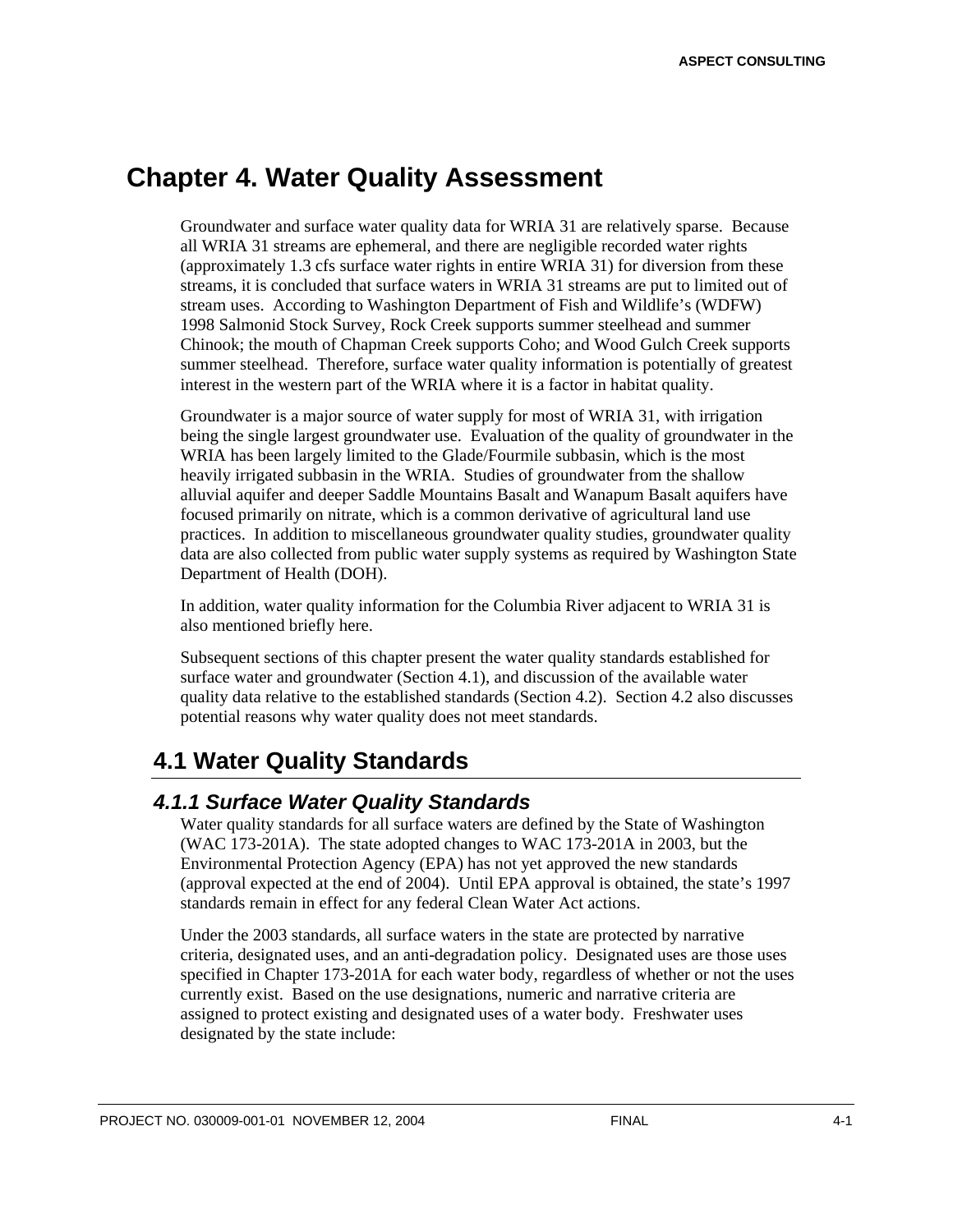# **Chapter 4. Water Quality Assessment**

Groundwater and surface water quality data for WRIA 31 are relatively sparse. Because all WRIA 31 streams are ephemeral, and there are negligible recorded water rights (approximately 1.3 cfs surface water rights in entire WRIA 31) for diversion from these streams, it is concluded that surface waters in WRIA 31 streams are put to limited out of stream uses. According to Washington Department of Fish and Wildlife's (WDFW) 1998 Salmonid Stock Survey, Rock Creek supports summer steelhead and summer Chinook; the mouth of Chapman Creek supports Coho; and Wood Gulch Creek supports summer steelhead. Therefore, surface water quality information is potentially of greatest interest in the western part of the WRIA where it is a factor in habitat quality.

Groundwater is a major source of water supply for most of WRIA 31, with irrigation being the single largest groundwater use. Evaluation of the quality of groundwater in the WRIA has been largely limited to the Glade/Fourmile subbasin, which is the most heavily irrigated subbasin in the WRIA. Studies of groundwater from the shallow alluvial aquifer and deeper Saddle Mountains Basalt and Wanapum Basalt aquifers have focused primarily on nitrate, which is a common derivative of agricultural land use practices. In addition to miscellaneous groundwater quality studies, groundwater quality data are also collected from public water supply systems as required by Washington State Department of Health (DOH).

In addition, water quality information for the Columbia River adjacent to WRIA 31 is also mentioned briefly here.

Subsequent sections of this chapter present the water quality standards established for surface water and groundwater (Section 4.1), and discussion of the available water quality data relative to the established standards (Section 4.2). Section 4.2 also discusses potential reasons why water quality does not meet standards.

# **4.1 Water Quality Standards**

## *4.1.1 Surface Water Quality Standards*

Water quality standards for all surface waters are defined by the State of Washington (WAC 173-201A). The state adopted changes to WAC 173-201A in 2003, but the Environmental Protection Agency (EPA) has not yet approved the new standards (approval expected at the end of 2004). Until EPA approval is obtained, the state's 1997 standards remain in effect for any federal Clean Water Act actions.

Under the 2003 standards, all surface waters in the state are protected by narrative criteria, designated uses, and an anti-degradation policy. Designated uses are those uses specified in Chapter 173-201A for each water body, regardless of whether or not the uses currently exist. Based on the use designations, numeric and narrative criteria are assigned to protect existing and designated uses of a water body. Freshwater uses designated by the state include: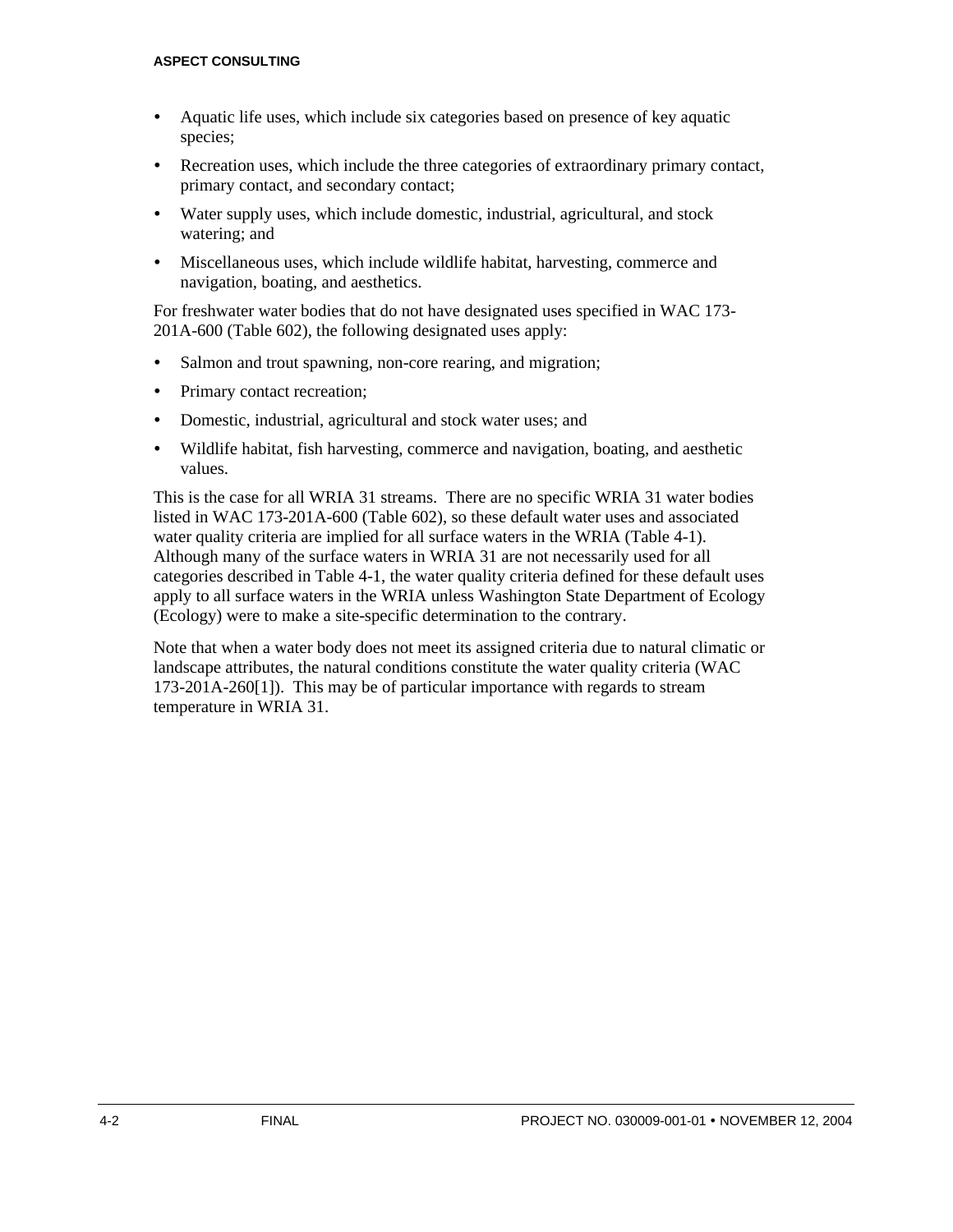- ü Aquatic life uses, which include six categories based on presence of key aquatic species;
- ü Recreation uses, which include the three categories of extraordinary primary contact, primary contact, and secondary contact;
- Water supply uses, which include domestic, industrial, agricultural, and stock watering; and
- ü Miscellaneous uses, which include wildlife habitat, harvesting, commerce and navigation, boating, and aesthetics.

For freshwater water bodies that do not have designated uses specified in WAC 173- 201A-600 (Table 602), the following designated uses apply:

- Salmon and trout spawning, non-core rearing, and migration;
- Primary contact recreation;
- Domestic, industrial, agricultural and stock water uses; and
- ü Wildlife habitat, fish harvesting, commerce and navigation, boating, and aesthetic values.

This is the case for all WRIA 31 streams. There are no specific WRIA 31 water bodies listed in WAC 173-201A-600 (Table 602), so these default water uses and associated water quality criteria are implied for all surface waters in the WRIA (Table 4-1). Although many of the surface waters in WRIA 31 are not necessarily used for all categories described in Table 4-1, the water quality criteria defined for these default uses apply to all surface waters in the WRIA unless Washington State Department of Ecology (Ecology) were to make a site-specific determination to the contrary.

Note that when a water body does not meet its assigned criteria due to natural climatic or landscape attributes, the natural conditions constitute the water quality criteria (WAC 173-201A-260[1]). This may be of particular importance with regards to stream temperature in WRIA 31.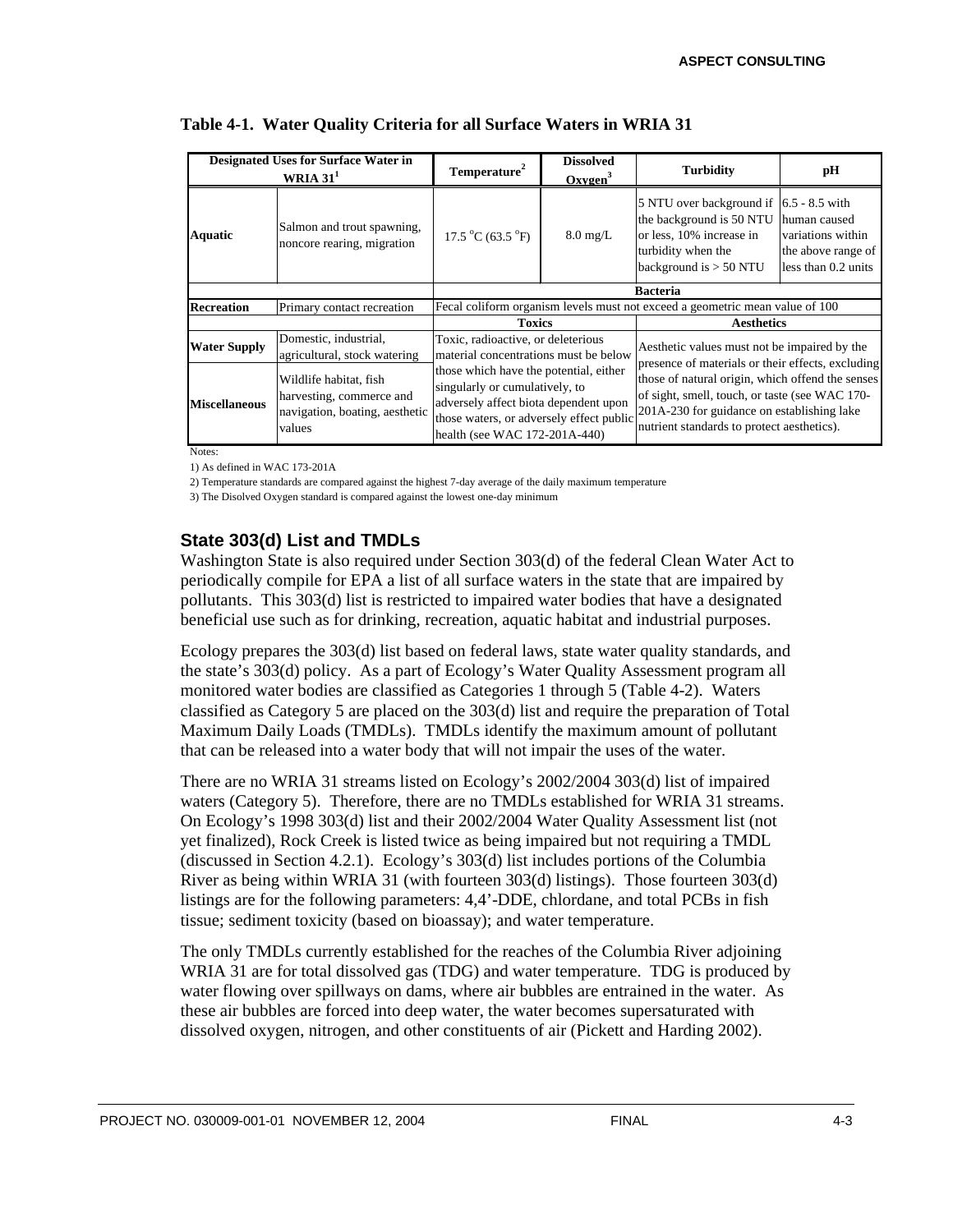|                      | <b>Designated Uses for Surface Water in</b><br>WRIA $311$                                      | Temperature <sup>2</sup>                                                                                                                                                                       | <b>Dissolved</b><br>Oxveen <sup>3</sup> | <b>Turbidity</b>                                                                                                                                                                                                                                    | pН |  |  |
|----------------------|------------------------------------------------------------------------------------------------|------------------------------------------------------------------------------------------------------------------------------------------------------------------------------------------------|-----------------------------------------|-----------------------------------------------------------------------------------------------------------------------------------------------------------------------------------------------------------------------------------------------------|----|--|--|
| Aquatic              | Salmon and trout spawning,<br>noncore rearing, migration                                       | 17.5 °C (63.5 °F)                                                                                                                                                                              | $8.0 \text{ mg/L}$                      | 5 NTU over background if $\vert$ 6.5 - 8.5 with<br>the background is 50 NTU<br>human caused<br>or less, 10% increase in<br>variations within<br>turbidity when the<br>the above range of<br>less than 0.2 units<br>background is $> 50$ NTU         |    |  |  |
|                      |                                                                                                |                                                                                                                                                                                                |                                         | <b>Bacteria</b>                                                                                                                                                                                                                                     |    |  |  |
| <b>Recreation</b>    | Primary contact recreation                                                                     | Fecal coliform organism levels must not exceed a geometric mean value of 100                                                                                                                   |                                         |                                                                                                                                                                                                                                                     |    |  |  |
|                      |                                                                                                | <b>Toxics</b>                                                                                                                                                                                  |                                         | <b>Aesthetics</b>                                                                                                                                                                                                                                   |    |  |  |
| <b>Water Supply</b>  | Domestic, industrial,<br>agricultural, stock watering                                          | Toxic, radioactive, or deleterious<br>material concentrations must be below                                                                                                                    |                                         | Aesthetic values must not be impaired by the                                                                                                                                                                                                        |    |  |  |
| <b>Miscellaneous</b> | Wildlife habitat, fish<br>harvesting, commerce and<br>navigation, boating, aesthetic<br>values | those which have the potential, either<br>singularly or cumulatively, to<br>adversely affect biota dependent upon<br>those waters, or adversely effect public<br>health (see WAC 172-201A-440) |                                         | presence of materials or their effects, excluding<br>those of natural origin, which offend the senses<br>of sight, smell, touch, or taste (see WAC 170-<br>201A-230 for guidance on establishing lake<br>nutrient standards to protect aesthetics). |    |  |  |

#### **Table 4-1. Water Quality Criteria for all Surface Waters in WRIA 31**

Notes:

1) As defined in WAC 173-201A

2) Temperature standards are compared against the highest 7-day average of the daily maximum temperature

3) The Disolved Oxygen standard is compared against the lowest one-day minimum

## **State 303(d) List and TMDLs**

Washington State is also required under Section 303(d) of the federal Clean Water Act to periodically compile for EPA a list of all surface waters in the state that are impaired by pollutants. This 303(d) list is restricted to impaired water bodies that have a designated beneficial use such as for drinking, recreation, aquatic habitat and industrial purposes.

Ecology prepares the 303(d) list based on federal laws, state water quality standards, and the state's 303(d) policy. As a part of Ecology's Water Quality Assessment program all monitored water bodies are classified as Categories 1 through 5 (Table 4-2). Waters classified as Category 5 are placed on the 303(d) list and require the preparation of Total Maximum Daily Loads (TMDLs). TMDLs identify the maximum amount of pollutant that can be released into a water body that will not impair the uses of the water.

There are no WRIA 31 streams listed on Ecology's 2002/2004 303(d) list of impaired waters (Category 5). Therefore, there are no TMDLs established for WRIA 31 streams. On Ecology's 1998 303(d) list and their 2002/2004 Water Quality Assessment list (not yet finalized), Rock Creek is listed twice as being impaired but not requiring a TMDL (discussed in Section 4.2.1). Ecology's 303(d) list includes portions of the Columbia River as being within WRIA 31 (with fourteen 303(d) listings). Those fourteen 303(d) listings are for the following parameters: 4,4'-DDE, chlordane, and total PCBs in fish tissue; sediment toxicity (based on bioassay); and water temperature.

The only TMDLs currently established for the reaches of the Columbia River adjoining WRIA 31 are for total dissolved gas (TDG) and water temperature. TDG is produced by water flowing over spillways on dams, where air bubbles are entrained in the water. As these air bubbles are forced into deep water, the water becomes supersaturated with dissolved oxygen, nitrogen, and other constituents of air (Pickett and Harding 2002).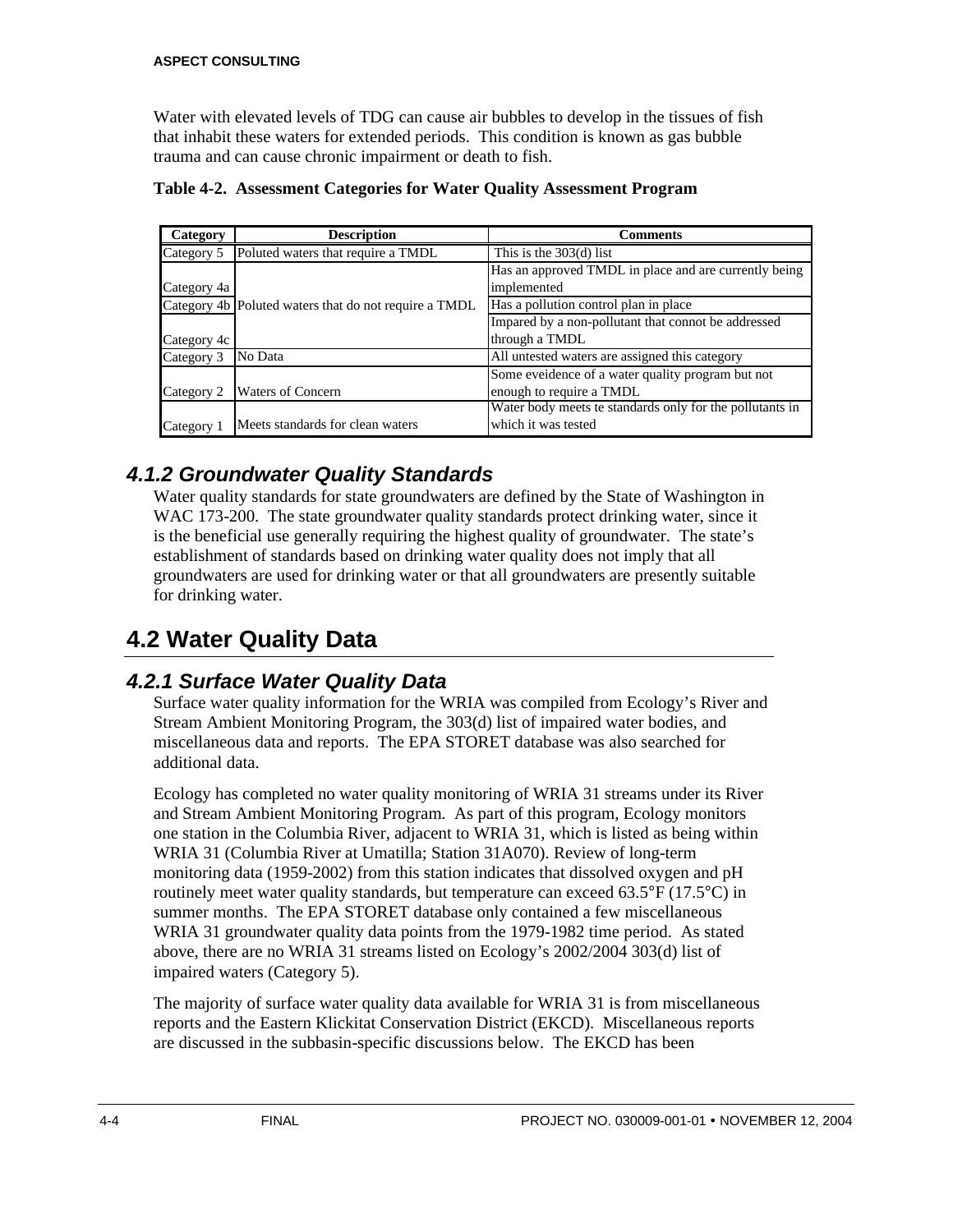Water with elevated levels of TDG can cause air bubbles to develop in the tissues of fish that inhabit these waters for extended periods. This condition is known as gas bubble trauma and can cause chronic impairment or death to fish.

| Category    | <b>Description</b>                                    | <b>Comments</b>                                          |
|-------------|-------------------------------------------------------|----------------------------------------------------------|
| Category 5  | Poluted waters that require a TMDL                    | This is the $303(d)$ list                                |
|             |                                                       | Has an approved TMDL in place and are currently being    |
| Category 4a |                                                       | implemented                                              |
|             | Category 4b Poluted waters that do not require a TMDL | Has a pollution control plan in place                    |
|             |                                                       | Impared by a non-pollutant that connot be addressed      |
| Category 4c |                                                       | through a TMDL                                           |
| Category 3  | No Data                                               | All untested waters are assigned this category           |
|             |                                                       | Some eveldence of a water quality program but not        |
| Category 2  | <b>Waters of Concern</b>                              | enough to require a TMDL                                 |
|             |                                                       | Water body meets te standards only for the pollutants in |
| Category 1  | Meets standards for clean waters                      | which it was tested                                      |

**Table 4-2. Assessment Categories for Water Quality Assessment Program**

# *4.1.2 Groundwater Quality Standards*

Water quality standards for state groundwaters are defined by the State of Washington in WAC 173-200. The state groundwater quality standards protect drinking water, since it is the beneficial use generally requiring the highest quality of groundwater. The state's establishment of standards based on drinking water quality does not imply that all groundwaters are used for drinking water or that all groundwaters are presently suitable for drinking water.

# **4.2 Water Quality Data**

# *4.2.1 Surface Water Quality Data*

Surface water quality information for the WRIA was compiled from Ecology's River and Stream Ambient Monitoring Program, the 303(d) list of impaired water bodies, and miscellaneous data and reports. The EPA STORET database was also searched for additional data.

Ecology has completed no water quality monitoring of WRIA 31 streams under its River and Stream Ambient Monitoring Program. As part of this program, Ecology monitors one station in the Columbia River, adjacent to WRIA 31, which is listed as being within WRIA 31 (Columbia River at Umatilla; Station 31A070). Review of long-term monitoring data (1959-2002) from this station indicates that dissolved oxygen and pH routinely meet water quality standards, but temperature can exceed 63.5°F (17.5°C) in summer months. The EPA STORET database only contained a few miscellaneous WRIA 31 groundwater quality data points from the 1979-1982 time period. As stated above, there are no WRIA 31 streams listed on Ecology's 2002/2004 303(d) list of impaired waters (Category 5).

The majority of surface water quality data available for WRIA 31 is from miscellaneous reports and the Eastern Klickitat Conservation District (EKCD). Miscellaneous reports are discussed in the subbasin-specific discussions below. The EKCD has been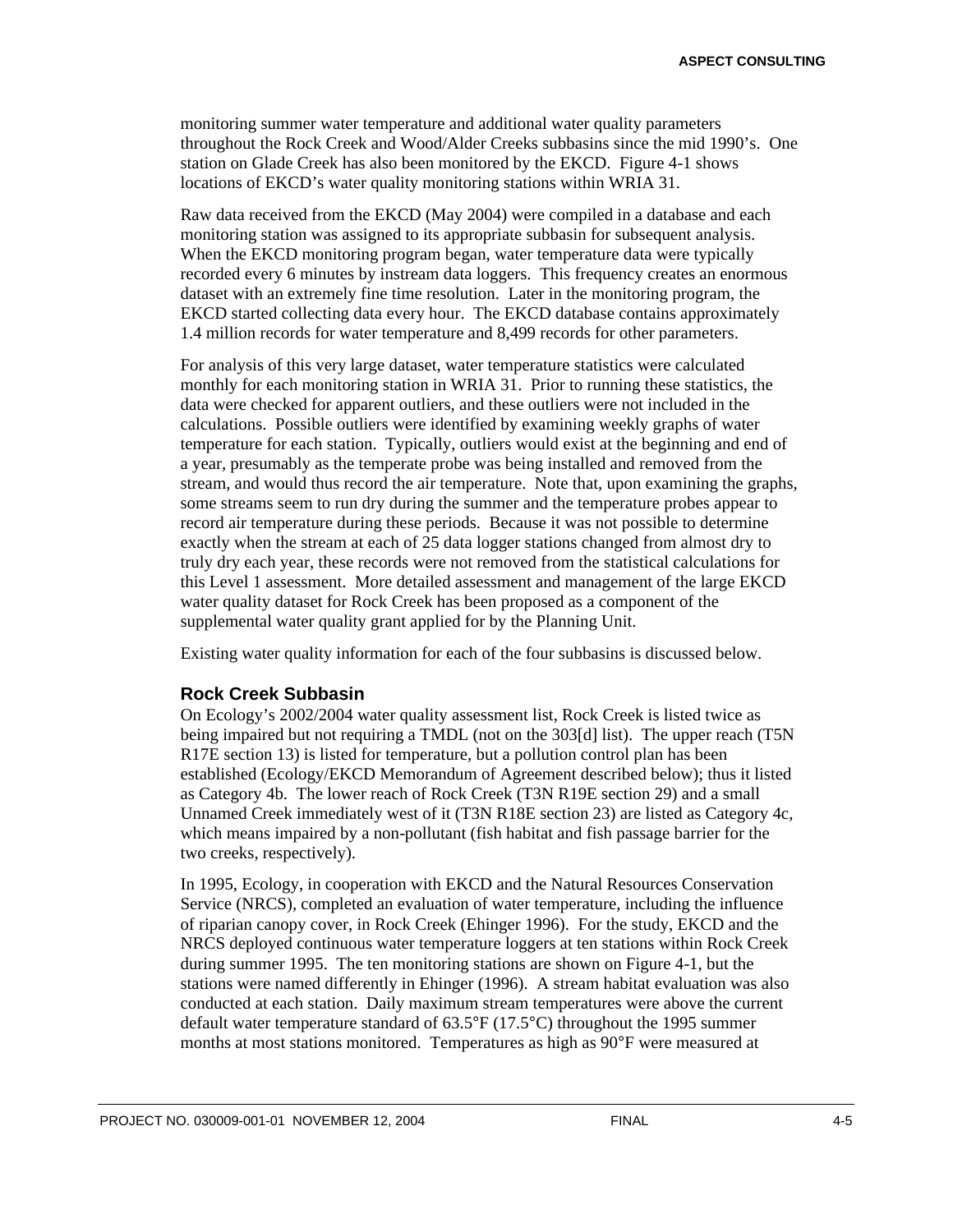monitoring summer water temperature and additional water quality parameters throughout the Rock Creek and Wood/Alder Creeks subbasins since the mid 1990's. One station on Glade Creek has also been monitored by the EKCD. Figure 4-1 shows locations of EKCD's water quality monitoring stations within WRIA 31.

Raw data received from the EKCD (May 2004) were compiled in a database and each monitoring station was assigned to its appropriate subbasin for subsequent analysis. When the EKCD monitoring program began, water temperature data were typically recorded every 6 minutes by instream data loggers. This frequency creates an enormous dataset with an extremely fine time resolution. Later in the monitoring program, the EKCD started collecting data every hour. The EKCD database contains approximately 1.4 million records for water temperature and 8,499 records for other parameters.

For analysis of this very large dataset, water temperature statistics were calculated monthly for each monitoring station in WRIA 31. Prior to running these statistics, the data were checked for apparent outliers, and these outliers were not included in the calculations. Possible outliers were identified by examining weekly graphs of water temperature for each station. Typically, outliers would exist at the beginning and end of a year, presumably as the temperate probe was being installed and removed from the stream, and would thus record the air temperature. Note that, upon examining the graphs, some streams seem to run dry during the summer and the temperature probes appear to record air temperature during these periods. Because it was not possible to determine exactly when the stream at each of 25 data logger stations changed from almost dry to truly dry each year, these records were not removed from the statistical calculations for this Level 1 assessment. More detailed assessment and management of the large EKCD water quality dataset for Rock Creek has been proposed as a component of the supplemental water quality grant applied for by the Planning Unit.

Existing water quality information for each of the four subbasins is discussed below.

#### **Rock Creek Subbasin**

On Ecology's 2002/2004 water quality assessment list, Rock Creek is listed twice as being impaired but not requiring a TMDL (not on the 303[d] list). The upper reach (T5N R17E section 13) is listed for temperature, but a pollution control plan has been established (Ecology/EKCD Memorandum of Agreement described below); thus it listed as Category 4b. The lower reach of Rock Creek (T3N R19E section 29) and a small Unnamed Creek immediately west of it (T3N R18E section 23) are listed as Category 4c, which means impaired by a non-pollutant (fish habitat and fish passage barrier for the two creeks, respectively).

In 1995, Ecology, in cooperation with EKCD and the Natural Resources Conservation Service (NRCS), completed an evaluation of water temperature, including the influence of riparian canopy cover, in Rock Creek (Ehinger 1996). For the study, EKCD and the NRCS deployed continuous water temperature loggers at ten stations within Rock Creek during summer 1995. The ten monitoring stations are shown on Figure 4-1, but the stations were named differently in Ehinger (1996). A stream habitat evaluation was also conducted at each station. Daily maximum stream temperatures were above the current default water temperature standard of 63.5°F (17.5°C) throughout the 1995 summer months at most stations monitored. Temperatures as high as 90°F were measured at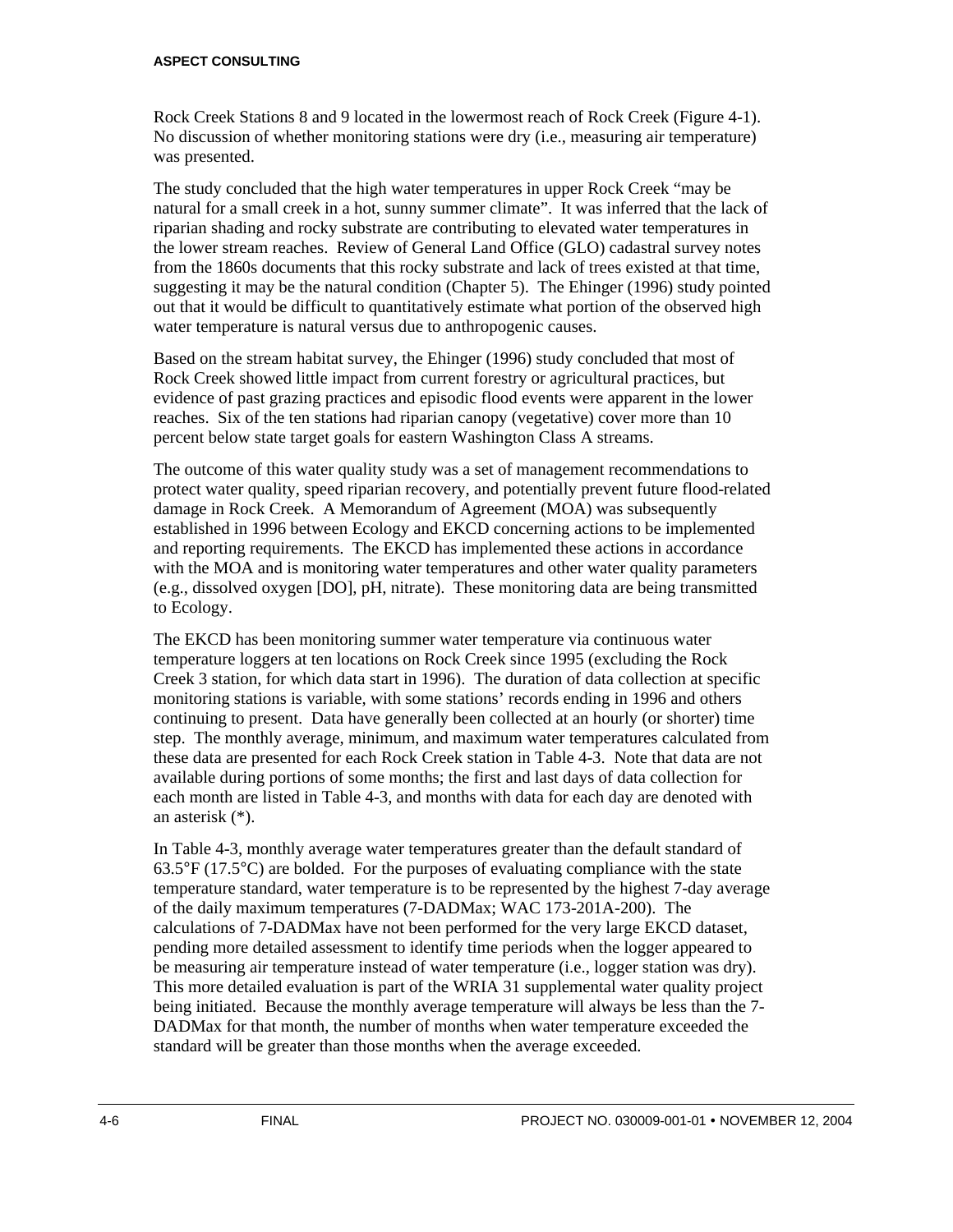#### **ASPECT CONSULTING**

Rock Creek Stations 8 and 9 located in the lowermost reach of Rock Creek (Figure 4-1). No discussion of whether monitoring stations were dry (i.e., measuring air temperature) was presented.

The study concluded that the high water temperatures in upper Rock Creek "may be natural for a small creek in a hot, sunny summer climate". It was inferred that the lack of riparian shading and rocky substrate are contributing to elevated water temperatures in the lower stream reaches. Review of General Land Office (GLO) cadastral survey notes from the 1860s documents that this rocky substrate and lack of trees existed at that time, suggesting it may be the natural condition (Chapter 5). The Ehinger (1996) study pointed out that it would be difficult to quantitatively estimate what portion of the observed high water temperature is natural versus due to anthropogenic causes.

Based on the stream habitat survey, the Ehinger (1996) study concluded that most of Rock Creek showed little impact from current forestry or agricultural practices, but evidence of past grazing practices and episodic flood events were apparent in the lower reaches. Six of the ten stations had riparian canopy (vegetative) cover more than 10 percent below state target goals for eastern Washington Class A streams.

The outcome of this water quality study was a set of management recommendations to protect water quality, speed riparian recovery, and potentially prevent future flood-related damage in Rock Creek. A Memorandum of Agreement (MOA) was subsequently established in 1996 between Ecology and EKCD concerning actions to be implemented and reporting requirements. The EKCD has implemented these actions in accordance with the MOA and is monitoring water temperatures and other water quality parameters (e.g., dissolved oxygen [DO], pH, nitrate). These monitoring data are being transmitted to Ecology.

The EKCD has been monitoring summer water temperature via continuous water temperature loggers at ten locations on Rock Creek since 1995 (excluding the Rock Creek 3 station, for which data start in 1996). The duration of data collection at specific monitoring stations is variable, with some stations' records ending in 1996 and others continuing to present. Data have generally been collected at an hourly (or shorter) time step. The monthly average, minimum, and maximum water temperatures calculated from these data are presented for each Rock Creek station in Table 4-3. Note that data are not available during portions of some months; the first and last days of data collection for each month are listed in Table 4-3, and months with data for each day are denoted with an asterisk (\*).

In Table 4-3, monthly average water temperatures greater than the default standard of  $63.5^{\circ}F(17.5^{\circ}C)$  are bolded. For the purposes of evaluating compliance with the state temperature standard, water temperature is to be represented by the highest 7-day average of the daily maximum temperatures (7-DADMax; WAC 173-201A-200). The calculations of 7-DADMax have not been performed for the very large EKCD dataset, pending more detailed assessment to identify time periods when the logger appeared to be measuring air temperature instead of water temperature (i.e., logger station was dry). This more detailed evaluation is part of the WRIA 31 supplemental water quality project being initiated. Because the monthly average temperature will always be less than the 7- DADMax for that month, the number of months when water temperature exceeded the standard will be greater than those months when the average exceeded.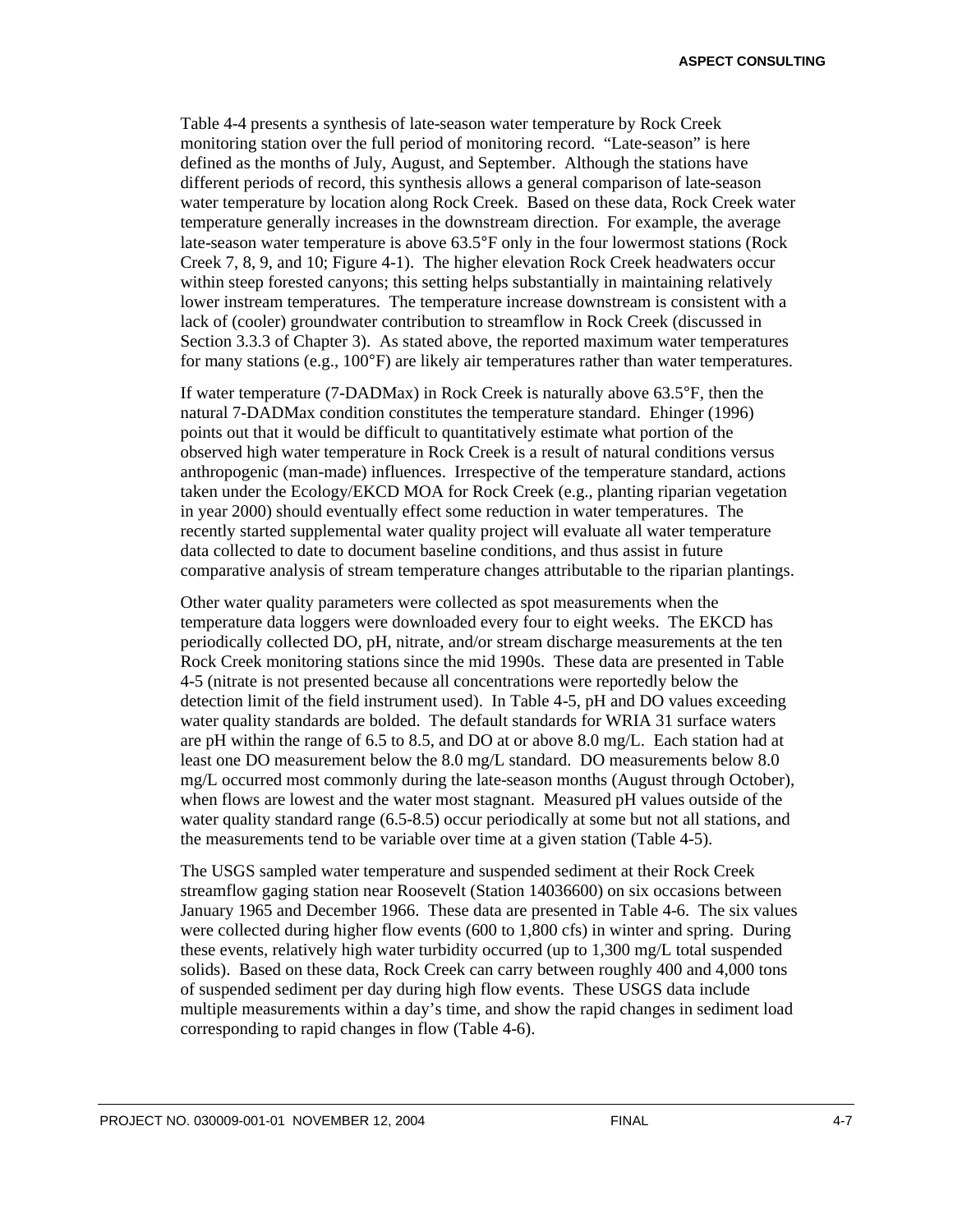**ASPECT CONSULTING**

Table 4-4 presents a synthesis of late-season water temperature by Rock Creek monitoring station over the full period of monitoring record. "Late-season" is here defined as the months of July, August, and September. Although the stations have different periods of record, this synthesis allows a general comparison of late-season water temperature by location along Rock Creek. Based on these data, Rock Creek water temperature generally increases in the downstream direction. For example, the average late-season water temperature is above 63.5°F only in the four lowermost stations (Rock Creek 7, 8, 9, and 10; Figure 4-1). The higher elevation Rock Creek headwaters occur within steep forested canyons; this setting helps substantially in maintaining relatively lower instream temperatures. The temperature increase downstream is consistent with a lack of (cooler) groundwater contribution to streamflow in Rock Creek (discussed in Section 3.3.3 of Chapter 3). As stated above, the reported maximum water temperatures for many stations (e.g., 100°F) are likely air temperatures rather than water temperatures.

If water temperature (7-DADMax) in Rock Creek is naturally above 63.5°F, then the natural 7-DADMax condition constitutes the temperature standard. Ehinger (1996) points out that it would be difficult to quantitatively estimate what portion of the observed high water temperature in Rock Creek is a result of natural conditions versus anthropogenic (man-made) influences. Irrespective of the temperature standard, actions taken under the Ecology/EKCD MOA for Rock Creek (e.g., planting riparian vegetation in year 2000) should eventually effect some reduction in water temperatures. The recently started supplemental water quality project will evaluate all water temperature data collected to date to document baseline conditions, and thus assist in future comparative analysis of stream temperature changes attributable to the riparian plantings.

Other water quality parameters were collected as spot measurements when the temperature data loggers were downloaded every four to eight weeks. The EKCD has periodically collected DO, pH, nitrate, and/or stream discharge measurements at the ten Rock Creek monitoring stations since the mid 1990s. These data are presented in Table 4-5 (nitrate is not presented because all concentrations were reportedly below the detection limit of the field instrument used). In Table 4-5, pH and DO values exceeding water quality standards are bolded. The default standards for WRIA 31 surface waters are pH within the range of 6.5 to 8.5, and DO at or above 8.0 mg/L. Each station had at least one DO measurement below the 8.0 mg/L standard. DO measurements below 8.0 mg/L occurred most commonly during the late-season months (August through October), when flows are lowest and the water most stagnant. Measured pH values outside of the water quality standard range (6.5-8.5) occur periodically at some but not all stations, and the measurements tend to be variable over time at a given station (Table 4-5).

The USGS sampled water temperature and suspended sediment at their Rock Creek streamflow gaging station near Roosevelt (Station 14036600) on six occasions between January 1965 and December 1966. These data are presented in Table 4-6. The six values were collected during higher flow events (600 to 1,800 cfs) in winter and spring. During these events, relatively high water turbidity occurred (up to 1,300 mg/L total suspended solids). Based on these data, Rock Creek can carry between roughly 400 and 4,000 tons of suspended sediment per day during high flow events. These USGS data include multiple measurements within a day's time, and show the rapid changes in sediment load corresponding to rapid changes in flow (Table 4-6).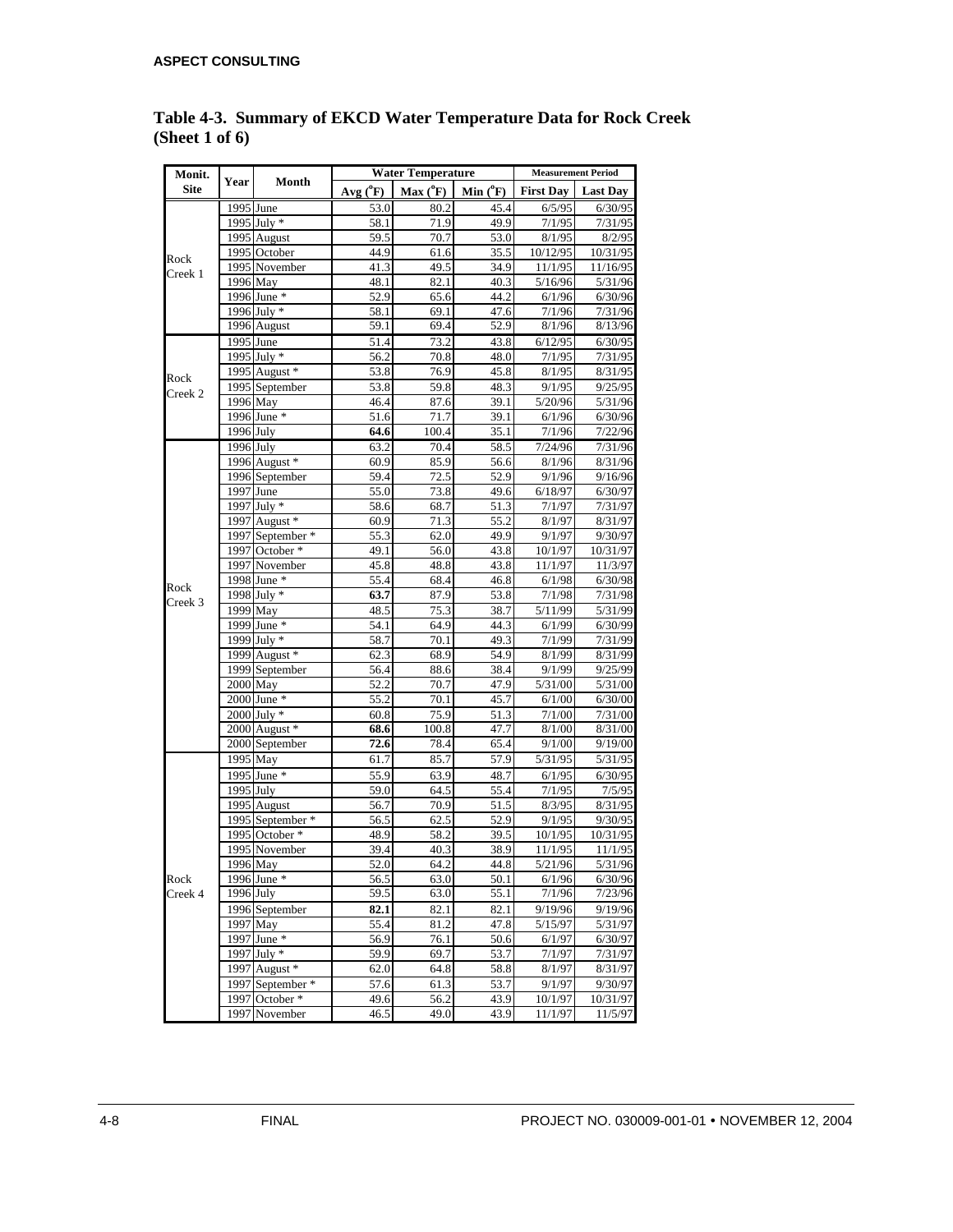| Monit.      |             |                  |              | <b>Water Temperature</b> |              | <b>Measurement Period</b> |                     |  |
|-------------|-------------|------------------|--------------|--------------------------|--------------|---------------------------|---------------------|--|
| <b>Site</b> | Year        | Month            | $Avg(^{0}F)$ | $Max(^0F)$               | Min $(^oF)$  | <b>First Day</b>          | <b>Last Day</b>     |  |
|             |             | 1995 June        | 53.0         | 80.2                     | 45.4         | 6/5/95                    | 6/30/95             |  |
|             |             | 1995 July *      | 58.1         | 71.9                     | 49.9         | 7/1/95                    | 7/31/95             |  |
| Rock        |             | 1995 August      | 59.5         | 70.7                     | 53.0         | 8/1/95                    | 8/2/95              |  |
|             |             | 1995 October     | 44.9         | 61.6                     | 35.5         | 10/12/95                  | 10/31/95            |  |
| Creek 1     |             | 1995 November    | 41.3         | 49.5                     | 34.9         | 11/1/95                   | 11/16/95            |  |
|             |             | 1996 May         | 48.1         | 82.1                     | 40.3         | 5/16/96                   | 5/31/96             |  |
|             |             | 1996 June *      | 52.9         | 65.6                     | 44.2         | 6/1/96                    | 6/30/96             |  |
|             |             | 1996 July *      | 58.1         | 69.1                     | 47.6         | 7/1/96                    | 7/31/96             |  |
|             |             | 1996 August      | 59.1         | 69.4                     | 52.9         | 8/1/96                    | 8/13/96             |  |
|             | $1995$ June |                  | 51.4         | 73.2                     | 43.8         | 6/12/95                   | 6/30/95             |  |
|             |             | 1995 July *      | 56.2         | 70.8                     | 48.0         | 7/1/95                    | 7/31/95             |  |
| Rock        |             | 1995 August *    | 53.8         | 76.9                     | 45.8         | 8/1/95                    | 8/31/95             |  |
| Creek 2     |             | 1995 September   | 53.8         | 59.8                     | 48.3         | 9/1/95                    | 9/25/95             |  |
|             |             | 1996 May         | 46.4         | 87.6                     | 39.1         | $\frac{1}{5}/20/96$       | 5/31/96             |  |
|             |             | 1996 June *      | 51.6         | 71.7                     | 39.1         | 6/1/96                    | 6/30/96             |  |
|             | 1996 July   |                  | 64.6         | 100.4                    | 35.1         | 7/1/96                    | 7/22/96             |  |
|             | 1996 July   |                  | 63.2         | 70.4                     | 58.5         | 7/24/96                   | 7/31/96             |  |
|             |             | 1996 August *    | 60.9         | 85.9                     | 56.6         | 8/1/96                    | 8/31/96             |  |
|             |             | 1996 September   | 59.4         | 72.5                     | 52.9         | 9/1/96                    | 9/16/96             |  |
|             | 1997 June   | 1997 July *      | 55.0         | 73.8                     | 49.6         | 6/18/97                   | 6/30/97             |  |
|             |             | 1997 August *    | 58.6         | 68.7<br>71.3             | 51.3<br>55.2 | 7/1/97                    | 7/31/97<br>8/31/97  |  |
|             |             | 1997 September * | 60.9         |                          |              | 8/1/97<br>9/1/97          |                     |  |
|             |             | 1997 October *   | 55.3<br>49.1 | 62.0<br>56.0             | 49.9<br>43.8 | 10/1/97                   | 9/30/97<br>10/31/97 |  |
|             |             | 1997 November    | 45.8         | 48.8                     | 43.8         | 11/1/97                   | 11/3/97             |  |
|             |             | 1998 June *      | 55.4         | 68.4                     | 46.8         | 6/1/98                    | 6/30/98             |  |
| Rock        |             | 1998 July *      | 63.7         | 87.9                     | 53.8         | 7/1/98                    | 7/31/98             |  |
| Creek 3     |             | $1999$ May       | 48.5         | 75.3                     | 38.7         | 5/11/99                   | 5/31/99             |  |
|             |             | 1999 June *      | 54.1         | 64.9                     | 44.3         | 6/1/99                    | 6/30/99             |  |
|             |             | 1999 July *      | 58.7         | 70.1                     | 49.3         | 7/1/99                    | 7/31/99             |  |
|             |             | 1999 August *    | 62.3         | 68.9                     | 54.9         | 8/1/99                    | 8/31/99             |  |
|             |             | 1999 September   | 56.4         | 88.6                     | 38.4         | 9/1/99                    | 9/25/99             |  |
|             | 2000 May    |                  | 52.2         | 70.7                     | 47.9         | 5/31/00                   | 5/31/00             |  |
|             |             | $2000$ June $*$  | 55.2         | 70.1                     | 45.7         | 6/1/00                    | 6/30/00             |  |
|             |             | 2000 July *      | 60.8         | 75.9                     | 51.3         | 7/1/00                    | 7/31/00             |  |
|             |             | 2000 August *    | 68.6         | 100.8                    | 47.7         | 8/1/00                    | 8/31/00             |  |
|             |             | 2000 September   | 72.6         | 78.4                     | 65.4         | 9/1/00                    | 9/19/00             |  |
|             | 1995 May    |                  | 61.7         | 85.7                     | 57.9         | 5/31/95                   | 5/31/95             |  |
|             |             | 1995 June *      | 55.9         | 63.9                     | 48.7         | 6/1/95                    | 6/30/95             |  |
|             | 1995 July   |                  | 59.0         | 64.5                     | 55.4         | 7/1/95                    | 7/5/95              |  |
|             |             | 1995 August      | 56.7         | 70.9                     | 51.5         | 8/3/95                    | 8/31/95             |  |
|             |             | 1995 September * | 56.5         | 62.5                     | 52.9         | 9/1/95                    | 9/30/95             |  |
|             |             | 1995 October *   | 48.9         | 58.2                     | 39.5         | 10/1/95                   | 10/31/95            |  |
|             |             | 1995 November    | 39.4         | 40.3                     | 38.9         | 11/1/95                   | 11/1/95             |  |
|             |             | 1996 May         | 52.0         | 64.2                     | 44.8         | 5/21/96                   | 5/31/96             |  |
| Rock        |             | 1996 June *      | 56.5         | 63.0                     | 50.1         | 6/1/96                    | 6/30/96             |  |
| Creek 4     | 1996 July   |                  | 59.5         | 63.0                     | 55.1         | 7/1/96                    | 7/23/96             |  |
|             |             | 1996 September   | 82.1         | 82.1                     | 82.1         | 9/19/96                   | 9/19/96             |  |
|             |             | 1997 May         | 55.4         | 81.2                     | 47.8         | 5/15/97                   | 5/31/97             |  |
|             |             | 1997 June *      | 56.9         | 76.1                     | 50.6         | 6/1/97                    | 6/30/97             |  |
|             |             | 1997 July $*$    | 59.9         | 69.7                     | 53.7         | 7/1/97                    | 7/31/97             |  |
|             |             | 1997 August *    | 62.0         | 64.8                     | 58.8         | 8/1/97                    | 8/31/97             |  |
|             |             | 1997 September * | 57.6         | 61.3                     | 53.7         | 9/1/97                    | 9/30/97             |  |
|             |             | 1997 October *   | 49.6         | 56.2                     | 43.9         | 10/1/97                   | 10/31/97            |  |
|             |             | 1997 November    | 46.5         | 49.0                     | 43.9         | 11/1/97                   | 11/5/97             |  |

**Table 4-3. Summary of EKCD Water Temperature Data for Rock Creek (Sheet 1 of 6)**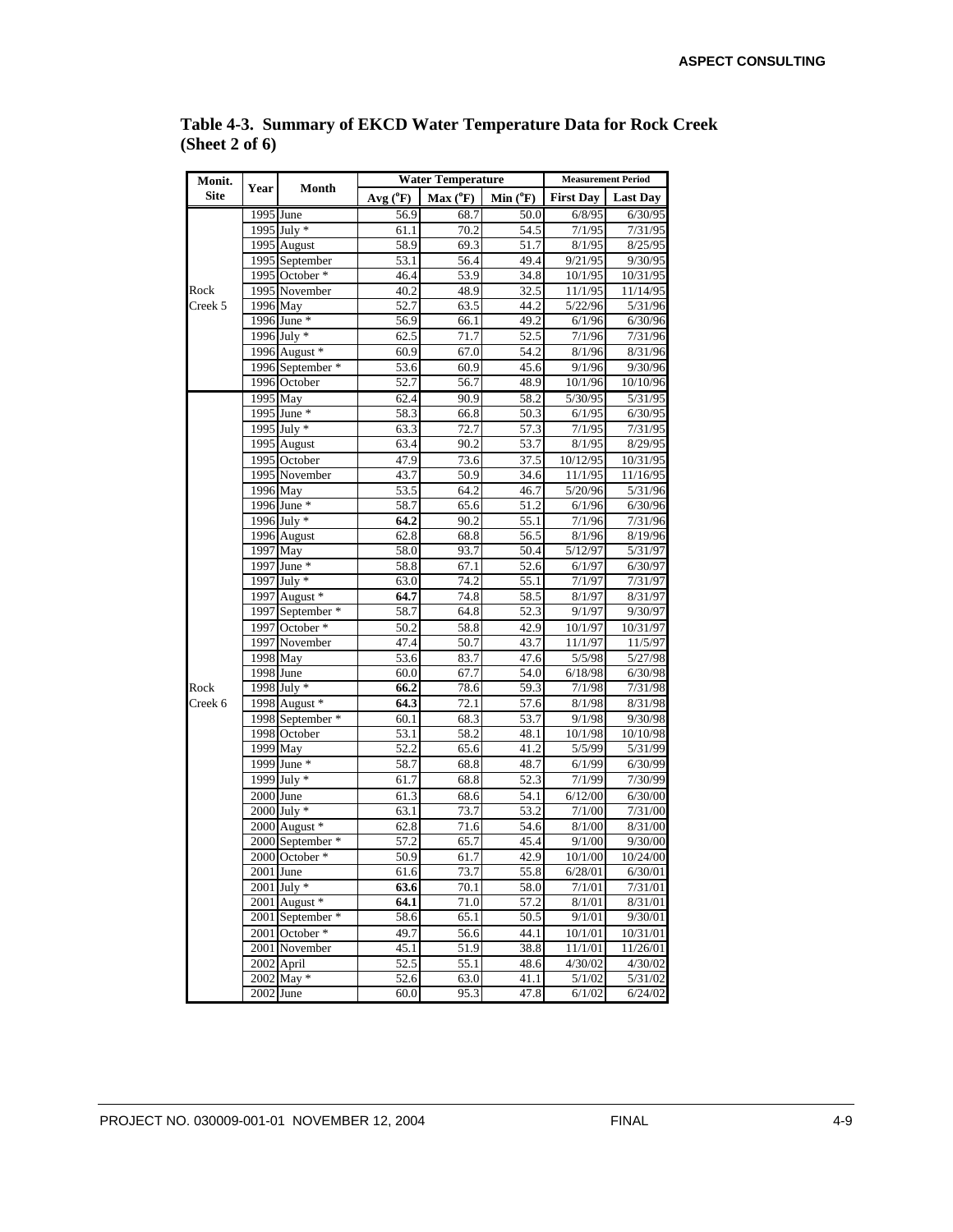| Monit.      | Year                   | Month                    |              | <b>Water Temperature</b> |                   | <b>Measurement Period</b> |                 |  |
|-------------|------------------------|--------------------------|--------------|--------------------------|-------------------|---------------------------|-----------------|--|
| <b>Site</b> |                        |                          | $Avg(^{o}F)$ | $Max(^oF)$               | $Min(^oF)$        | <b>First Day</b>          | <b>Last Day</b> |  |
|             | $\overline{1995}$ June |                          | 56.9         | 68.7                     | $\overline{50.0}$ | 6/8/95                    | 6/30/95         |  |
|             |                        | 1995 July *              | 61.1         | 70.2                     | 54.5              | 7/1/95                    | 7/31/95         |  |
|             |                        | 1995 August              | 58.9         | 69.3                     | 51.7              | 8/1/95                    | 8/25/95         |  |
|             |                        | 1995 September           | 53.1         | 56.4                     | 49.4              | 9/21/95                   | 9/30/95         |  |
|             |                        | 1995 October *           | 46.4         | 53.9                     | 34.8              | 10/1/95                   | 10/31/95        |  |
| Rock        |                        | 1995 November            | 40.2         | 48.9                     | 32.5              | 11/1/95                   | 11/14/95        |  |
| Creek 5     |                        | 1996 May                 | 52.7         | 63.5                     | 44.2              | 5/22/96                   | 5/31/96         |  |
|             |                        | 1996 June *              | 56.9         | 66.1                     | 49.2              | 6/1/96                    | 6/30/96         |  |
|             |                        | 1996 July *              | 62.5         | 71.7                     | 52.5              | 7/1/96                    | 7/31/96         |  |
|             |                        | 1996 August *            | 60.9         | 67.0                     | 54.2              | 8/1/96                    | 8/31/96         |  |
|             |                        | 1996 September *         | 53.6         | 60.9                     | 45.6              | 9/1/96                    | 9/30/96         |  |
|             |                        | 1996 October             | 52.7         | 56.7                     | 48.9              | 10/1/96                   | 10/10/96        |  |
|             | 1995 May               |                          | 62.4         | 90.9                     | 58.2              | 5/30/95                   | 5/31/95         |  |
|             |                        | 1995 June *              | 58.3         | 66.8                     | 50.3              | 6/1/95                    | 6/30/95         |  |
|             |                        | 1995 July *              | 63.3         | 72.7                     | 57.3              | 7/1/95                    | 7/31/95         |  |
|             |                        | $\overline{1995}$ August | 63.4         | 90.2                     | 53.7              | 8/1/95                    | 8/29/95         |  |
|             |                        | 1995 October             | 47.9         | 73.6                     | 37.5              | 10/12/95                  | 10/31/95        |  |
|             |                        | 1995 November            | 43.7         | 50.9                     | 34.6              | 11/1/95                   | 11/16/95        |  |
|             |                        | 1996 May                 | 53.5         | 64.2                     | 46.7              | 5/20/96                   | 5/31/96         |  |
|             |                        | 1996 June *              | 58.7         | 65.6                     | 51.2              | 6/1/96                    | 6/30/96         |  |
|             |                        | 1996 July *              | 64.2         | 90.2                     | 55.1              | 7/1/96                    | 7/31/96         |  |
|             |                        | 1996 August              | 62.8         | 68.8                     | 56.5              | 8/1/96                    | 8/19/96         |  |
|             | 1997 May               |                          | 58.0         | 93.7                     | 50.4              | 5/12/97                   | 5/31/97         |  |
|             |                        | $1997$ June *            | 58.8         | 67.1                     | 52.6              | 6/1/97                    | 6/30/97         |  |
|             |                        | $1997$ July *            | 63.0         | 74.2                     | 55.1              | 7/1/97                    | 7/31/97         |  |
|             |                        | 1997 August *            | 64.7         | 74.8                     | 58.5              | 8/1/97                    | 8/31/97         |  |
|             |                        | 1997 September *         | 58.7         | 64.8                     | 52.3              | 9/1/97                    | 9/30/97         |  |
|             |                        | 1997 October *           | 50.2         | 58.8                     | 42.9              | 10/1/97                   | 10/31/97        |  |
|             |                        | 1997 November            | 47.4         | 50.7                     | 43.7              | 11/1/97                   | 11/5/97         |  |
|             |                        | 1998 May                 | 53.6         | 83.7                     | 47.6              | 5/5/98                    | 5/27/98         |  |
|             | 1998 June              |                          | 60.0         | 67.7                     | 54.0              | 6/18/98                   | 6/30/98         |  |
| Rock        |                        | $1998$ July $*$          | 66.2         | 78.6                     | 59.3              | 7/1/98                    | 7/31/98         |  |
| Creek 6     |                        | 1998 August *            | 64.3         | 72.1                     | 57.6              | 8/1/98                    | 8/31/98         |  |
|             |                        | 1998 September *         | 60.1         | 68.3                     | 53.7              | 9/1/98                    | 9/30/98         |  |
|             |                        | 1998 October             | 53.1         | 58.2                     | 48.1              | 10/1/98                   | 10/10/98        |  |
|             |                        | 1999 May                 | 52.2         | 65.6                     | 41.2              | 5/5/99                    | 5/31/99         |  |
|             |                        | $1999$ June *            | 58.7         | 68.8                     | 48.7              | 6/1/99                    | 6/30/99         |  |
|             |                        | $1999$ July $*$          | 61.7         | 68.8                     | 52.3              | 7/1/99                    | 7/30/99         |  |
|             | 2000 June              |                          | 61.3         | 68.6                     | 54.1              | 6/12/00                   | 6/30/00         |  |
|             |                        | $2000$ July $*$          | 63.1         | 73.7                     | 53.2              | 7/1/00                    | 7/31/00         |  |
|             |                        | 2000 August *            | 62.8         | 71.6                     | 54.6              | 8/1/00                    | 8/31/00         |  |
|             |                        | 2000 September *         | 57.2         | 65.7                     | 45.4              | 9/1/00                    | 9/30/00         |  |
|             |                        | 2000 October *           | 50.9         | 61.7                     | 42.9              | 10/1/00                   | 10/24/00        |  |
|             | $2001$ June            |                          | 61.6         | 73.7                     | 55.8              | 6/28/01                   | 6/30/01         |  |
|             |                        | 2001 July *              | 63.6         | 70.1                     | 58.0              | 7/1/01                    | 7/31/01         |  |
|             |                        | $2001$ August $*$        | 64.1         | 71.0                     | 57.2              | 8/1/01                    | 8/31/01         |  |
|             |                        | 2001 September *         | 58.6         | 65.1                     | 50.5              | 9/1/01                    | 9/30/01         |  |
|             |                        | 2001 October *           | 49.7         | 56.6                     | 44.1              | 10/1/01                   | 10/31/01        |  |
|             |                        | 2001 November            | 45.1         | 51.9                     | 38.8              | 11/1/01                   | 11/26/01        |  |
|             |                        | 2002 April               | 52.5         | 55.1                     | 48.6              | 4/30/02                   | 4/30/02         |  |
|             |                        | 2002 May *               | 52.6         | 63.0                     | 41.1              | 5/1/02                    | 5/31/02         |  |
|             |                        | $2002$ June              | 60.0         | 95.3                     | 47.8              | 6/1/02                    | 6/24/02         |  |

### **Table 4-3. Summary of EKCD Water Temperature Data for Rock Creek (Sheet 2 of 6)**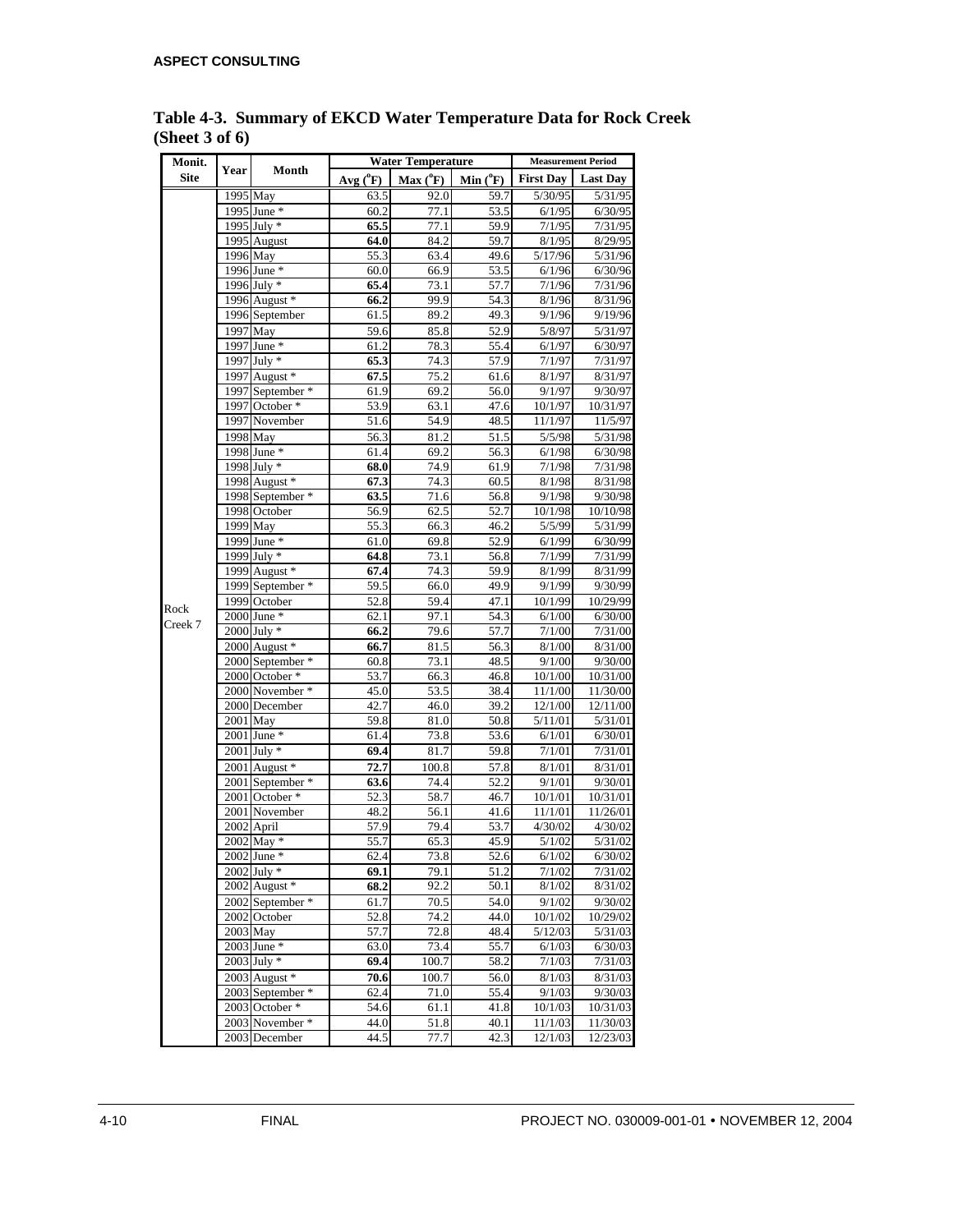| Monit.      |      |                                    |                   | <b>Water Temperature</b> |              |                   | <b>Measurement Period</b> |  |  |
|-------------|------|------------------------------------|-------------------|--------------------------|--------------|-------------------|---------------------------|--|--|
| <b>Site</b> | Year | Month                              | $Avg(^{0}F)$      | $Max(^oF)$               | Min $(^oF)$  | <b>First Day</b>  | <b>Last Day</b>           |  |  |
|             |      | 1995 May                           | 63.5              | 92.0                     | 59.7         | 5/30/95           | 5/31/95                   |  |  |
|             |      | 1995 June *                        | 60.2              | 77.1                     | 53.5         | 6/1/95            | 6/30/95                   |  |  |
|             |      | 1995 July *                        | 65.5              | 77.1                     | 59.9         | 7/1/95            | 7/31/95                   |  |  |
|             |      | 1995 August                        | 64.0              | 84.2                     | 59.7         | 8/1/95            | 8/29/95                   |  |  |
|             |      | 1996 May                           | $\overline{55.3}$ | 63.4                     | 49.6         | 5/17/96           | 5/31/96                   |  |  |
|             |      | 1996 June *                        | 60.0              | 66.9                     | 53.5         | 6/1/96            | 6/30/96                   |  |  |
|             |      | 1996 July *                        | 65.4              | 73.1                     | 57.7         | 7/1/96            | 7/31/96                   |  |  |
|             |      | 1996 August *                      | 66.2              | 99.9                     | 54.3         | 8/1/96            | 8/31/96                   |  |  |
|             |      | 1996 September                     | 61.5              | 89.2                     | 49.3         | 9/1/96            | 9/19/96                   |  |  |
|             |      | 1997 May                           | 59.6              | 85.8                     | 52.9         | 5/8/97            | 5/31/97                   |  |  |
|             |      | 1997 June *                        | 61.2              | 78.3                     | 55.4         | 6/1/97            | 6/30/97                   |  |  |
|             |      | 1997 July *                        | 65.3              | 74.3                     | 57.9         | 7/1/97            | 7/31/97                   |  |  |
|             |      | 1997 August *                      | 67.5              | 75.2                     | 61.6         | 8/1/97            | 8/31/97                   |  |  |
|             |      | 1997 September *                   | 61.9              | 69.2                     | 56.0         | 9/1/97            | 9/30/97                   |  |  |
|             |      | 1997 October *                     | 53.9              | 63.1                     | 47.6         | 10/1/97           | 10/31/97                  |  |  |
|             |      | 1997 November                      | 51.6              | 54.9                     | 48.5         | 11/1/97           | 11/5/97                   |  |  |
|             |      | 1998 May                           | 56.3              | 81.2                     | 51.5         | 5/5/98            | 5/31/98                   |  |  |
|             |      | 1998 June *                        | 61.4              | 69.2                     | 56.3         | 6/1/98            | 6/30/98                   |  |  |
|             |      | 1998 July *                        | 68.0              | 74.9                     | 61.9         | 7/1/98            | 7/31/98                   |  |  |
|             |      | 1998 August *                      | 67.3              | 74.3                     | 60.5         | 8/1/98            | 8/31/98                   |  |  |
|             |      | 1998 September *                   | 63.5              | 71.6                     | 56.8         | 9/1/98            | 9/30/98                   |  |  |
|             |      | 1998 October                       | 56.9              | 62.5                     | 52.7         | 10/1/98           | 10/10/98                  |  |  |
|             |      | 1999 May                           | 55.3              | 66.3                     | 46.2         | 5/5/99            | 5/31/99                   |  |  |
|             |      | 1999 June *                        | 61.0              | 69.8                     | 52.9         | 6/1/99            | 6/30/99                   |  |  |
|             |      | 1999 July $*$                      | 64.8              | 73.1                     | 56.8         | 7/1/99            | 7/31/99                   |  |  |
|             |      | 1999 August *                      | 67.4              | 74.3                     | 59.9         | 8/1/99            | 8/31/99                   |  |  |
|             |      | 1999 September *                   | 59.5              | 66.0                     | 49.9         | 9/1/99            | 9/30/99                   |  |  |
| Rock        |      | 1999 October                       | 52.8              | 59.4                     | 47.1         | 10/1/99           | 10/29/99                  |  |  |
| Creek 7     |      | $2000$ June $*$                    | 62.1              | 97.1                     | 54.3         | 6/1/00            | 6/30/00                   |  |  |
|             |      | 2000 July *<br>2000 August *       | 66.2              | 79.6                     | 57.7         | 7/1/00            | 7/31/00<br>8/31/00        |  |  |
|             |      |                                    | 66.7              | 81.5                     | 56.3         | 8/1/00            |                           |  |  |
|             |      | 2000 September *<br>2000 October * | 60.8<br>53.7      | 73.1<br>66.3             | 48.5<br>46.8 | 9/1/00<br>10/1/00 | 9/30/00<br>10/31/00       |  |  |
|             |      | 2000 November *                    | 45.0              | 53.5                     | 38.4         | 11/1/00           | 11/30/00                  |  |  |
|             |      | 2000 December                      | 42.7              | 46.0                     | 39.2         | 12/1/00           | 12/11/00                  |  |  |
|             |      | 2001 May                           | 59.8              | 81.0                     | 50.8         | 5/11/01           | 5/31/01                   |  |  |
|             |      | 2001 June *                        | 61.4              | 73.8                     | 53.6         | 6/1/01            | 6/30/01                   |  |  |
|             |      | $2001$ July $*$                    | 69.4              | 81.7                     | 59.8         | 7/1/01            | 7/31/01                   |  |  |
|             |      | 2001 August *                      | 72.7              | 100.8                    | 57.8         | 8/1/01            | 8/31/01                   |  |  |
|             |      | 2001 September *                   | 63.6              | 74.4                     | 52.2         | 9/1/01            | 9/30/01                   |  |  |
|             |      | 2001 October *                     | 52.3              | 58.7                     | 46.7         | 10/1/01           | 10/31/01                  |  |  |
|             |      | 2001 November                      | 48.2              | 56.1                     | 41.6         | 11/1/01           | 11/26/01                  |  |  |
|             |      | 2002 April                         | 57.9              | 79.4                     | 53.7         | 4/30/02           | 4/30/02                   |  |  |
|             |      | 2002 May *                         | 55.7              | 65.3                     | 45.9         | 5/1/02            | 5/31/02                   |  |  |
|             |      | 2002 June *                        | 62.4              | 73.8                     | 52.6         | 6/1/02            | 6/30/02                   |  |  |
|             |      | $2002$ July $*$                    | 69.1              | 79.1                     | 51.2         | 7/1/02            | 7/31/02                   |  |  |
|             |      | 2002 August *                      | 68.2              | 92.2                     | 50.1         | 8/1/02            | 8/31/02                   |  |  |
|             |      | 2002 September *                   | 61.7              | 70.5                     | 54.0         | 9/1/02            | 9/30/02                   |  |  |
|             |      | 2002 October                       | 52.8              | 74.2                     | 44.0         | 10/1/02           | 10/29/02                  |  |  |
|             |      | 2003 May                           | 57.7              | 72.8                     | 48.4         | 5/12/03           | 5/31/03                   |  |  |
|             |      | 2003 June *                        | 63.0              | 73.4                     | 55.7         | 6/1/03            | 6/30/03                   |  |  |
|             |      | $2003$ July $*$                    | 69.4              | 100.7                    | 58.2         | 7/1/03            | 7/31/03                   |  |  |
|             |      | 2003 August *                      | 70.6              | 100.7                    | 56.0         | 8/1/03            | 8/31/03                   |  |  |
|             |      | 2003 September *                   | 62.4              | 71.0                     | 55.4         | 9/1/03            | 9/30/03                   |  |  |
|             |      | 2003 October *                     | 54.6              | 61.1                     | 41.8         | 10/1/03           | 10/31/03                  |  |  |
|             |      | 2003 November *                    | 44.0              | 51.8                     | 40.1         | 11/1/03           | 11/30/03                  |  |  |
|             |      | 2003 December                      | 44.5              | 77.7                     | 42.3         | 12/1/03           | 12/23/03                  |  |  |

**Table 4-3. Summary of EKCD Water Temperature Data for Rock Creek (Sheet 3 of 6)**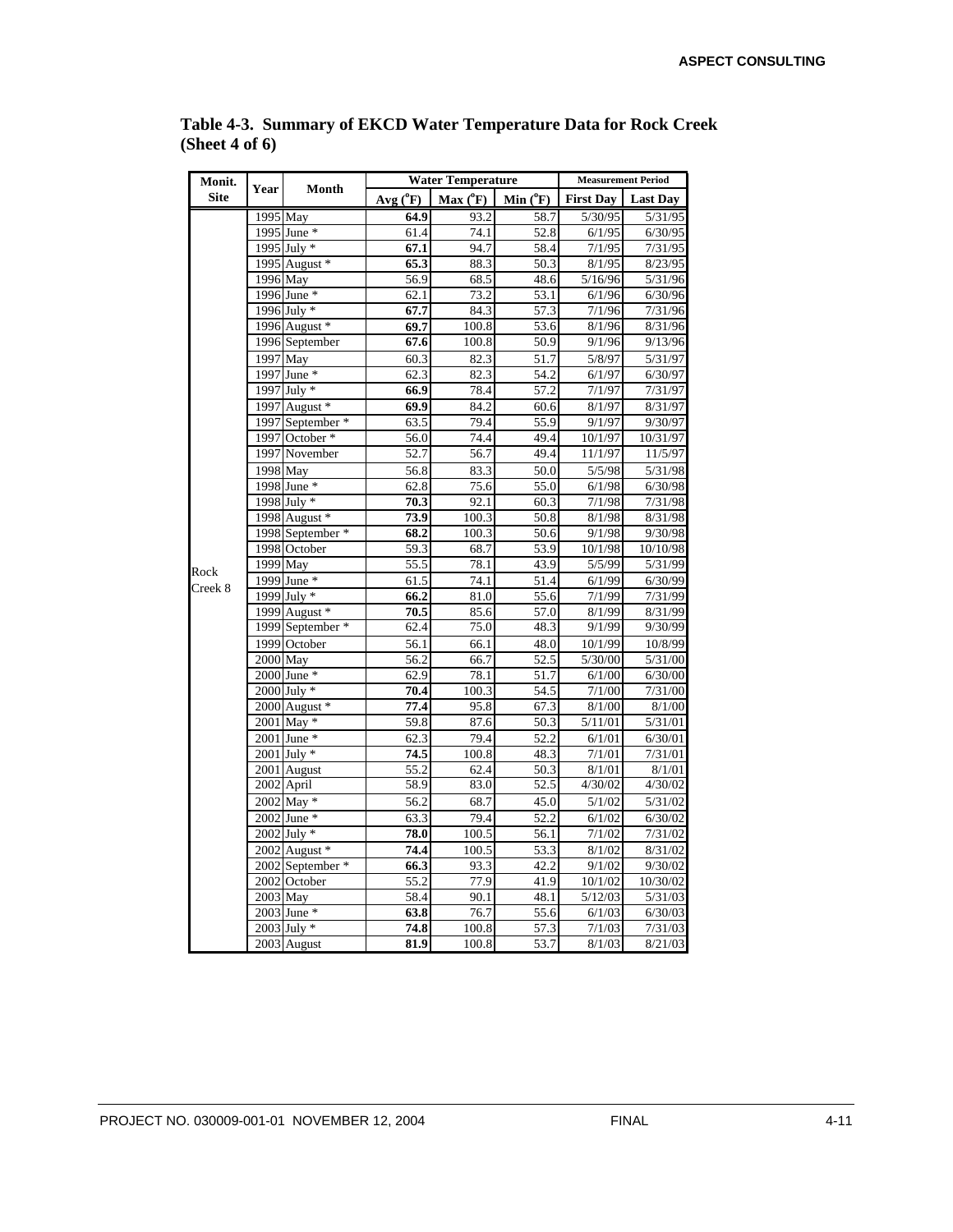| Monit.      | Year     | Month            |             | <b>Water Temperature</b> | <b>Measurement Period</b> |                  |                 |
|-------------|----------|------------------|-------------|--------------------------|---------------------------|------------------|-----------------|
| <b>Site</b> |          |                  | Avg $(^0F)$ | $Max(^oF)$               | Min $(^0F)$               | <b>First Day</b> | <b>Last Day</b> |
|             | 1995 May |                  | 64.9        | 93.2                     | 58.7                      | 5/30/95          | 5/31/95         |
|             |          | 1995 June *      | 61.4        | 74.1                     | 52.8                      | 6/1/95           | 6/30/95         |
|             |          | 1995 July *      | 67.1        | 94.7                     | 58.4                      | 7/1/95           | 7/31/95         |
|             |          | 1995 August *    | 65.3        | 88.3                     | 50.3                      | 8/1/95           | 8/23/95         |
|             | 1996 May |                  | 56.9        | 68.5                     | 48.6                      | 5/16/96          | 5/31/96         |
|             |          | 1996 June *      | 62.1        | 73.2                     | 53.1                      | 6/1/96           | 6/30/96         |
|             |          | 1996 July *      | 67.7        | 84.3                     | 57.3                      | 7/1/96           | 7/31/96         |
|             |          | 1996 August *    | 69.7        | 100.8                    | 53.6                      | 8/1/96           | 8/31/96         |
|             |          | 1996 September   | 67.6        | 100.8                    | 50.9                      | 9/1/96           | 9/13/96         |
|             | 1997 May |                  | 60.3        | 82.3                     | 51.7                      | 5/8/97           | 5/31/97         |
|             |          | 1997 June *      | 62.3        | 82.3                     | 54.2                      | 6/1/97           | 6/30/97         |
|             |          | 1997 July *      | 66.9        | 78.4                     | 57.2                      | 7/1/97           | 7/31/97         |
|             |          | 1997 August *    | 69.9        | 84.2                     | 60.6                      | 8/1/97           | 8/31/97         |
|             |          | 1997 September * | 63.5        | 79.4                     | 55.9                      | 9/1/97           | 9/30/97         |
|             |          | 1997 October *   | 56.0        | 74.4                     | 49.4                      | 10/1/97          | 10/31/97        |
|             |          | 1997 November    | 52.7        | 56.7                     | 49.4                      | 11/1/97          | 11/5/97         |
|             |          | 1998 May         | 56.8        | 83.3                     | 50.0                      | 5/5/98           | 5/31/98         |
|             |          | 1998 June *      | 62.8        | 75.6                     | 55.0                      | 6/1/98           | 6/30/98         |
|             |          | 1998 July *      | 70.3        | 92.1                     | 60.3                      | 7/1/98           | 7/31/98         |
|             |          | 1998 August *    | 73.9        | 100.3                    | 50.8                      | 8/1/98           | 8/31/98         |
|             |          | 1998 September * | 68.2        | 100.3                    | 50.6                      | 9/1/98           | 9/30/98         |
|             |          | 1998 October     | 59.3        | 68.7                     | 53.9                      | 10/1/98          | 10/10/98        |
| Rock        | 1999 May |                  | 55.5        | 78.1                     | 43.9                      | 5/5/99           | 5/31/99         |
| Creek 8     |          | 1999 June *      | 61.5        | 74.1                     | 51.4                      | 6/1/99           | 6/30/99         |
|             |          | 1999 July *      | 66.2        | 81.0                     | 55.6                      | 7/1/99           | 7/31/99         |
|             |          | 1999 August *    | 70.5        | 85.6                     | 57.0                      | 8/1/99           | 8/31/99         |
|             |          | 1999 September * | 62.4        | 75.0                     | 48.3                      | 9/1/99           | 9/30/99         |
|             |          | 1999 October     | 56.1        | 66.1                     | 48.0                      | 10/1/99          | 10/8/99         |
|             | 2000 May |                  | 56.2        | 66.7                     | 52.5                      | 5/30/00          | 5/31/00         |
|             |          | 2000 June *      | 62.9        | 78.1                     | 51.7                      | 6/1/00           | 6/30/00         |
|             |          | 2000 July *      | 70.4        | 100.3                    | 54.5                      | 7/1/00           | 7/31/00         |
|             |          | 2000 August *    | 77.4        | 95.8                     | 67.3                      | 8/1/00           | 8/1/00          |
|             |          | 2001 May *       | 59.8        | 87.6                     | 50.3                      | 5/11/01          | 5/31/01         |
|             |          | 2001 June *      | 62.3        | 79.4                     | 52.2                      | 6/1/01           | 6/30/01         |
|             |          | 2001 July *      | 74.5        | 100.8                    | 48.3                      | 7/1/01           | 7/31/01         |
|             |          | 2001 August      | 55.2        | 62.4                     | 50.3                      | 8/1/01           | 8/1/01          |
|             |          | 2002 April       | 58.9        | 83.0                     | 52.5                      | 4/30/02          | 4/30/02         |
|             |          | 2002 May *       | 56.2        | 68.7                     | 45.0                      | 5/1/02           | 5/31/02         |
|             |          | 2002 June *      | 63.3        | 79.4                     | 52.2                      | 6/1/02           | 6/30/02         |
|             |          | $2002$ July $*$  | 78.0        | 100.5                    | 56.1                      | 7/1/02           | 7/31/02         |
|             |          | 2002 August *    | 74.4        | 100.5                    | 53.3                      | 8/1/02           | 8/31/02         |
|             |          | 2002 September * | 66.3        | 93.3                     | 42.2                      | 9/1/02           | 9/30/02         |
|             |          | 2002 October     | 55.2        | 77.9                     | 41.9                      | 10/1/02          | 10/30/02        |
|             | 2003 May |                  | 58.4        | 90.1                     | 48.1                      | 5/12/03          | 5/31/03         |
|             |          | 2003 June *      | 63.8        | 76.7                     | 55.6                      | 6/1/03           | 6/30/03         |
|             |          | $2003$ July $*$  | 74.8        | 100.8                    | 57.3                      | 7/1/03           | 7/31/03         |
|             |          | 2003 August      | 81.9        | 100.8                    | 53.7                      | 8/1/03           | 8/21/03         |

**Table 4-3. Summary of EKCD Water Temperature Data for Rock Creek (Sheet 4 of 6)**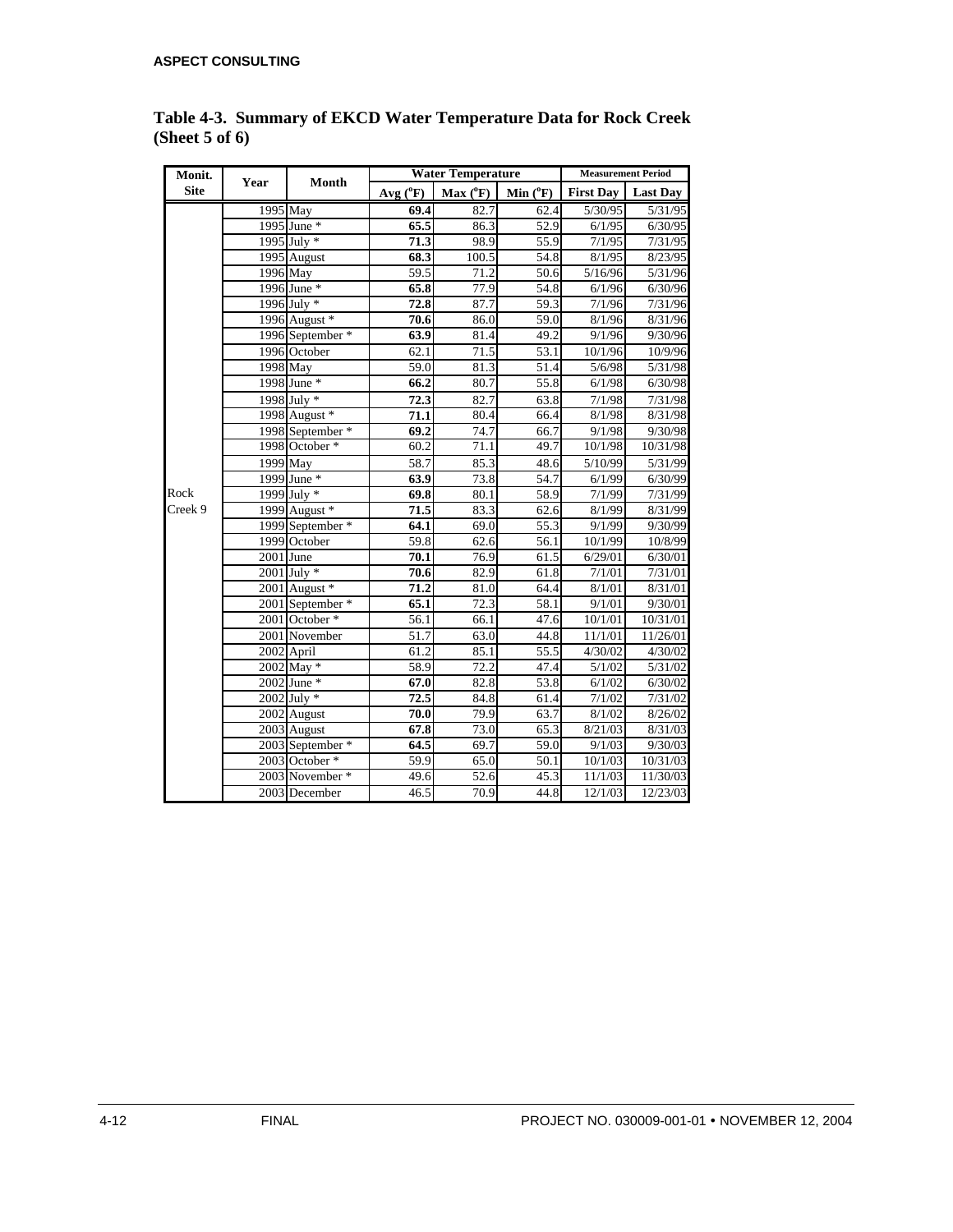| Monit.      | Year      | Month            |              |          | <b>Water Temperature</b> |                  |                 |  |  |
|-------------|-----------|------------------|--------------|----------|--------------------------|------------------|-----------------|--|--|
| <b>Site</b> |           |                  | $Avg(^{0}F)$ | Max (°F) | Min $(^oF)$              | <b>First Dav</b> | <b>Last Day</b> |  |  |
|             |           | 1995 May         | 69.4         | 82.7     | 62.4                     | 5/30/95          | 5/31/95         |  |  |
|             |           | 1995 June *      | 65.5         | 86.3     | 52.9                     | 6/1/95           | 6/30/95         |  |  |
|             |           | 1995 July *      | 71.3         | 98.9     | 55.9                     | 7/1/95           | 7/31/95         |  |  |
|             |           | 1995 August      | 68.3         | 100.5    | 54.8                     | 8/1/95           | 8/23/95         |  |  |
|             |           | 1996 May         | 59.5         | 71.2     | 50.6                     | 5/16/96          | 5/31/96         |  |  |
|             |           | 1996 June *      | 65.8         | 77.9     | 54.8                     | 6/1/96           | 6/30/96         |  |  |
|             |           | 1996 July *      | 72.8         | 87.7     | 59.3                     | 7/1/96           | 7/31/96         |  |  |
|             |           | 1996 August *    | 70.6         | 86.0     | 59.0                     | 8/1/96           | 8/31/96         |  |  |
|             |           | 1996 September * | 63.9         | 81.4     | 49.2                     | 9/1/96           | 9/30/96         |  |  |
|             |           | 1996 October     | 62.1         | 71.5     | $\overline{53.1}$        | 10/1/96          | 10/9/96         |  |  |
|             | 1998 May  |                  | 59.0         | 81.3     | 51.4                     | 5/6/98           | 5/31/98         |  |  |
|             |           | 1998 June *      | 66.2         | 80.7     | 55.8                     | 6/1/98           | 6/30/98         |  |  |
|             |           | 1998 July *      | 72.3         | 82.7     | 63.8                     | 7/1/98           | 7/31/98         |  |  |
|             |           | 1998 August *    | 71.1         | 80.4     | 66.4                     | 8/1/98           | 8/31/98         |  |  |
|             |           | 1998 September * | 69.2         | 74.7     | 66.7                     | 9/1/98           | 9/30/98         |  |  |
|             |           | 1998 October *   | 60.2         | 71.1     | 49.7                     | 10/1/98          | 10/31/98        |  |  |
|             |           | 1999 May         | 58.7         | 85.3     | 48.6                     | 5/10/99          | 5/31/99         |  |  |
|             |           | 1999 June *      | 63.9         | 73.8     | 54.7                     | 6/1/99           | 6/30/99         |  |  |
| Rock        |           | 1999 July *      | 69.8         | 80.1     | 58.9                     | 7/1/99           | 7/31/99         |  |  |
| Creek 9     |           | 1999 August *    | 71.5         | 83.3     | 62.6                     | 8/1/99           | 8/31/99         |  |  |
|             |           | 1999 September * | 64.1         | 69.0     | $\overline{55.3}$        | 9/1/99           | 9/30/99         |  |  |
|             |           | 1999 October     | 59.8         | 62.6     | 56.1                     | 10/1/99          | 10/8/99         |  |  |
|             | 2001 June |                  | 70.1         | 76.9     | 61.5                     | 6/29/01          | 6/30/01         |  |  |
|             |           | $2001$ July $*$  | 70.6         | 82.9     | 61.8                     | 7/1/01           | 7/31/01         |  |  |
|             |           | 2001 August *    | 71.2         | 81.0     | 64.4                     | 8/1/01           | 8/31/01         |  |  |
|             |           | 2001 September * | 65.1         | 72.3     | 58.1                     | 9/1/01           | 9/30/01         |  |  |
|             |           | 2001 October *   | 56.1         | 66.1     | 47.6                     | 10/1/01          | 10/31/01        |  |  |
|             |           | 2001 November    | 51.7         | 63.0     | 44.8                     | 11/1/01          | 11/26/01        |  |  |
|             |           | 2002 April       | 61.2         | 85.1     | 55.5                     | 4/30/02          | 4/30/02         |  |  |
|             |           | $2002$ May $*$   | 58.9         | 72.2     | 47.4                     | 5/1/02           | 5/31/02         |  |  |
|             |           | 2002 June *      | 67.0         | 82.8     | 53.8                     | 6/1/02           | 6/30/02         |  |  |
|             |           | 2002 July *      | 72.5         | 84.8     | 61.4                     | 7/1/02           | 7/31/02         |  |  |
|             |           | 2002 August      | 70.0         | 79.9     | 63.7                     | 8/1/02           | 8/26/02         |  |  |
|             |           | 2003 August      | 67.8         | 73.0     | 65.3                     | 8/21/03          | 8/31/03         |  |  |
|             |           | 2003 September * | 64.5         | 69.7     | 59.0                     | 9/1/03           | 9/30/03         |  |  |
|             |           | 2003 October *   | 59.9         | 65.0     | 50.1                     | 10/1/03          | 10/31/03        |  |  |
|             |           | 2003 November *  | 49.6         | 52.6     | 45.3                     | 11/1/03          | 11/30/03        |  |  |
|             |           | 2003 December    | 46.5         | 70.9     | 44.8                     | 12/1/03          | 12/23/03        |  |  |

**Table 4-3. Summary of EKCD Water Temperature Data for Rock Creek (Sheet 5 of 6)**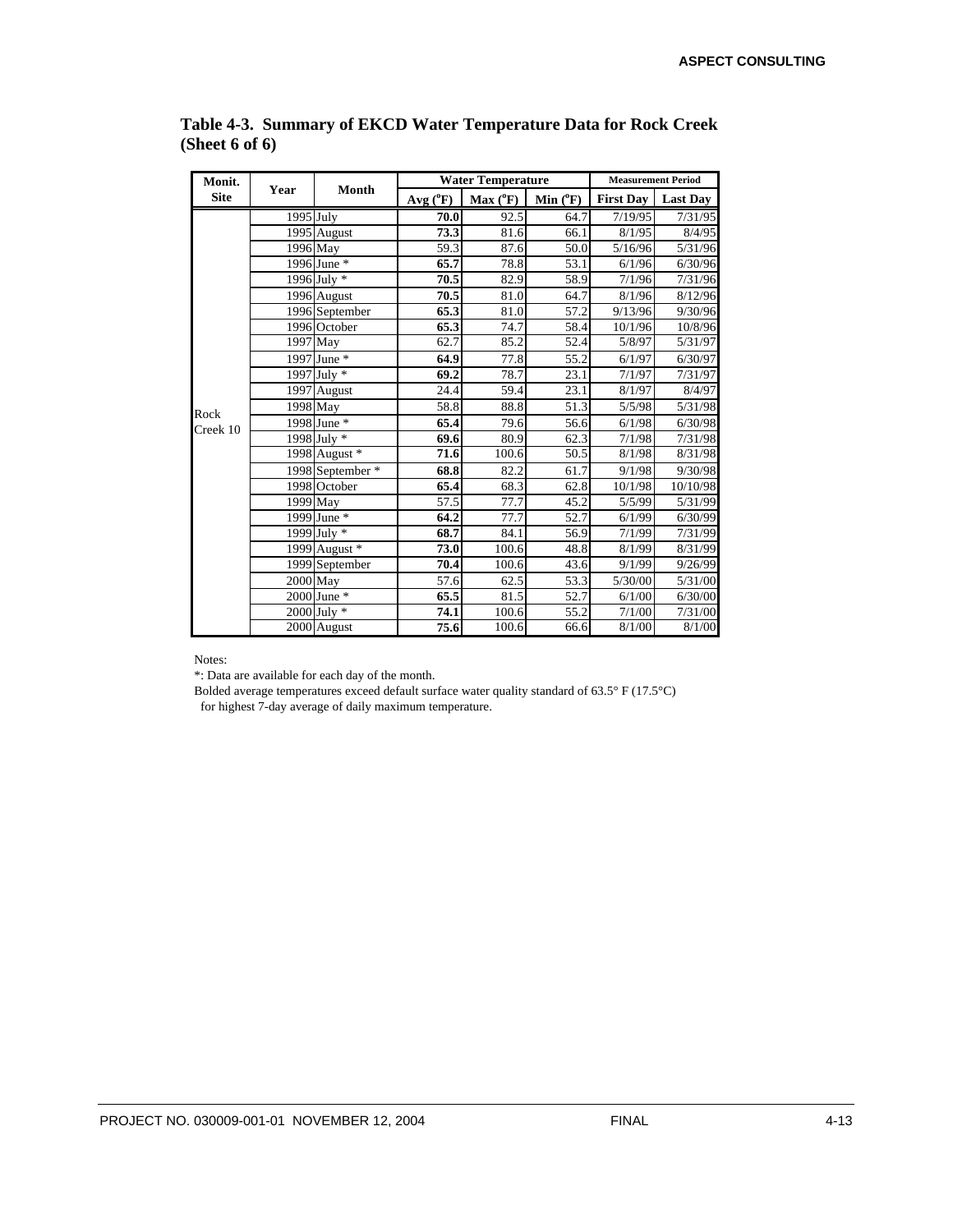| Monit.      | Year       | Month            |              | <b>Water Temperature</b> | <b>Measurement Period</b> |                  |                 |
|-------------|------------|------------------|--------------|--------------------------|---------------------------|------------------|-----------------|
| <b>Site</b> |            |                  | $Avg(^{0}F)$ | $Max(^oF)$               | Min $(^oF)$               | <b>First Day</b> | <b>Last Day</b> |
|             | 1995 July  |                  | 70.0         | 92.5                     | 64.7                      | 7/19/95          | 7/31/95         |
|             |            | 1995 August      | 73.3         | 81.6                     | 66.1                      | 8/1/95           | 8/4/95          |
|             | 1996 May   |                  | 59.3         | 87.6                     | 50.0                      | 5/16/96          | 5/31/96         |
|             |            | 1996 June *      | 65.7         | 78.8                     | 53.1                      | 6/1/96           | 6/30/96         |
|             |            | 1996 July *      | 70.5         | 82.9                     | 58.9                      | 7/1/96           | 7/31/96         |
|             |            | 1996 August      | 70.5         | 81.0                     | 64.7                      | 8/1/96           | 8/12/96         |
|             |            | 1996 September   | 65.3         | 81.0                     | 57.2                      | 9/13/96          | 9/30/96         |
|             |            | 1996 October     | 65.3         | 74.7                     | 58.4                      | 10/1/96          | 10/8/96         |
|             |            | 1997 May         | 62.7         | 85.2                     | 52.4                      | 5/8/97           | 5/31/97         |
|             |            | 1997 June *      | 64.9         | 77.8                     | 55.2                      | 6/1/97           | 6/30/97         |
|             |            | 1997 July *      | 69.2         | 78.7                     | 23.1                      | 7/1/97           | 7/31/97         |
|             |            | 1997 August      | 24.4         | 59.4                     | 23.1                      | 8/1/97           | 8/4/97          |
| Rock        | $1998$ May |                  | 58.8         | 88.8                     | 51.3                      | 5/5/98           | 5/31/98         |
| Creek 10    |            | 1998 June *      | 65.4         | 79.6                     | 56.6                      | 6/1/98           | 6/30/98         |
|             |            | 1998 July *      | 69.6         | 80.9                     | 62.3                      | 7/1/98           | 7/31/98         |
|             |            | 1998 August *    | 71.6         | 100.6                    | 50.5                      | 8/1/98           | 8/31/98         |
|             |            | 1998 September * | 68.8         | 82.2                     | 61.7                      | 9/1/98           | 9/30/98         |
|             |            | 1998 October     | 65.4         | 68.3                     | 62.8                      | 10/1/98          | 10/10/98        |
|             | 1999 May   |                  | 57.5         | 77.7                     | 45.2                      | 5/5/99           | 5/31/99         |
|             |            | 1999 June *      | 64.2         | 77.7                     | 52.7                      | 6/1/99           | 6/30/99         |
|             |            | 1999 July *      | 68.7         | 84.1                     | 56.9                      | 7/1/99           | 7/31/99         |
|             |            | 1999 August *    | 73.0         | 100.6                    | 48.8                      | 8/1/99           | 8/31/99         |
|             |            | 1999 September   | 70.4         | 100.6                    | 43.6                      | 9/1/99           | 9/26/99         |
|             | $2000$ May |                  | 57.6         | 62.5                     | 53.3                      | 5/30/00          | 5/31/00         |
|             |            | 2000 June *      | 65.5         | 81.5                     | 52.7                      | 6/1/00           | 6/30/00         |
|             |            | $2000$ July $*$  | 74.1         | 100.6                    | 55.2                      | 7/1/00           | 7/31/00         |
|             |            | 2000 August      | 75.6         | 100.6                    | 66.6                      | 8/1/00           | 8/1/00          |

**Table 4-3. Summary of EKCD Water Temperature Data for Rock Creek (Sheet 6 of 6)**

Notes:

\*: Data are available for each day of the month.

Bolded average temperatures exceed default surface water quality standard of 63.5° F (17.5°C) for highest 7-day average of daily maximum temperature.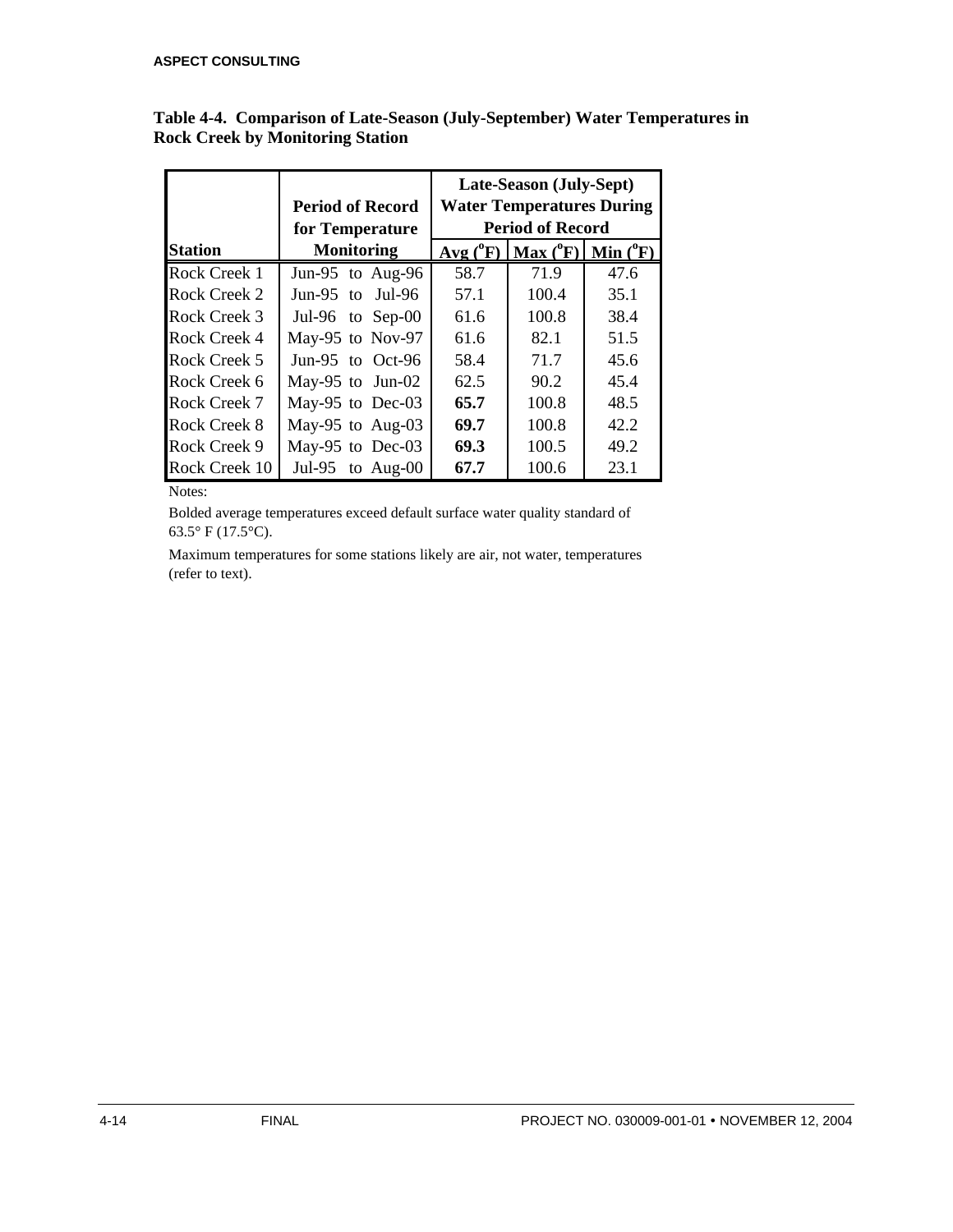|                |                         | Late-Season (July-Sept) |                                  |               |  |  |
|----------------|-------------------------|-------------------------|----------------------------------|---------------|--|--|
|                | <b>Period of Record</b> |                         | <b>Water Temperatures During</b> |               |  |  |
|                | for Temperature         |                         | <b>Period of Record</b>          |               |  |  |
| <b>Station</b> | <b>Monitoring</b>       | $Avg(^{0}F)$            | Max (°F)                         | Min $(^{0}F)$ |  |  |
| Rock Creek 1   | Jun-95 to Aug-96        | 58.7                    | 71.9                             | 47.6          |  |  |
| Rock Creek 2   | Jun-95 to<br>Jul-96     | 57.1                    | 100.4                            | 35.1          |  |  |
| Rock Creek 3   | Jul-96 to Sep-00        | 61.6                    | 100.8                            | 38.4          |  |  |
| Rock Creek 4   | May-95 to Nov-97        | 61.6                    | 82.1                             | 51.5          |  |  |
| Rock Creek 5   | Jun-95 to Oct-96        | 58.4                    | 71.7                             | 45.6          |  |  |
| Rock Creek 6   | May-95 to Jun-02        | 62.5                    | 90.2                             | 45.4          |  |  |
| Rock Creek 7   | May-95 to Dec-03        | 65.7                    | 100.8                            | 48.5          |  |  |
| Rock Creek 8   | May-95 to Aug-03        | 69.7                    | 100.8                            | 42.2          |  |  |
| Rock Creek 9   | May-95 to Dec-03        | 69.3                    | 100.5                            | 49.2          |  |  |
| Rock Creek 10  | Jul-95 to Aug-00        | 67.7                    | 100.6                            | 23.1          |  |  |

**Table 4-4. Comparison of Late-Season (July-September) Water Temperatures in Rock Creek by Monitoring Station**

Notes:

Bolded average temperatures exceed default surface water quality standard of 63.5° F (17.5°C).

Maximum temperatures for some stations likely are air, not water, temperatures (refer to text).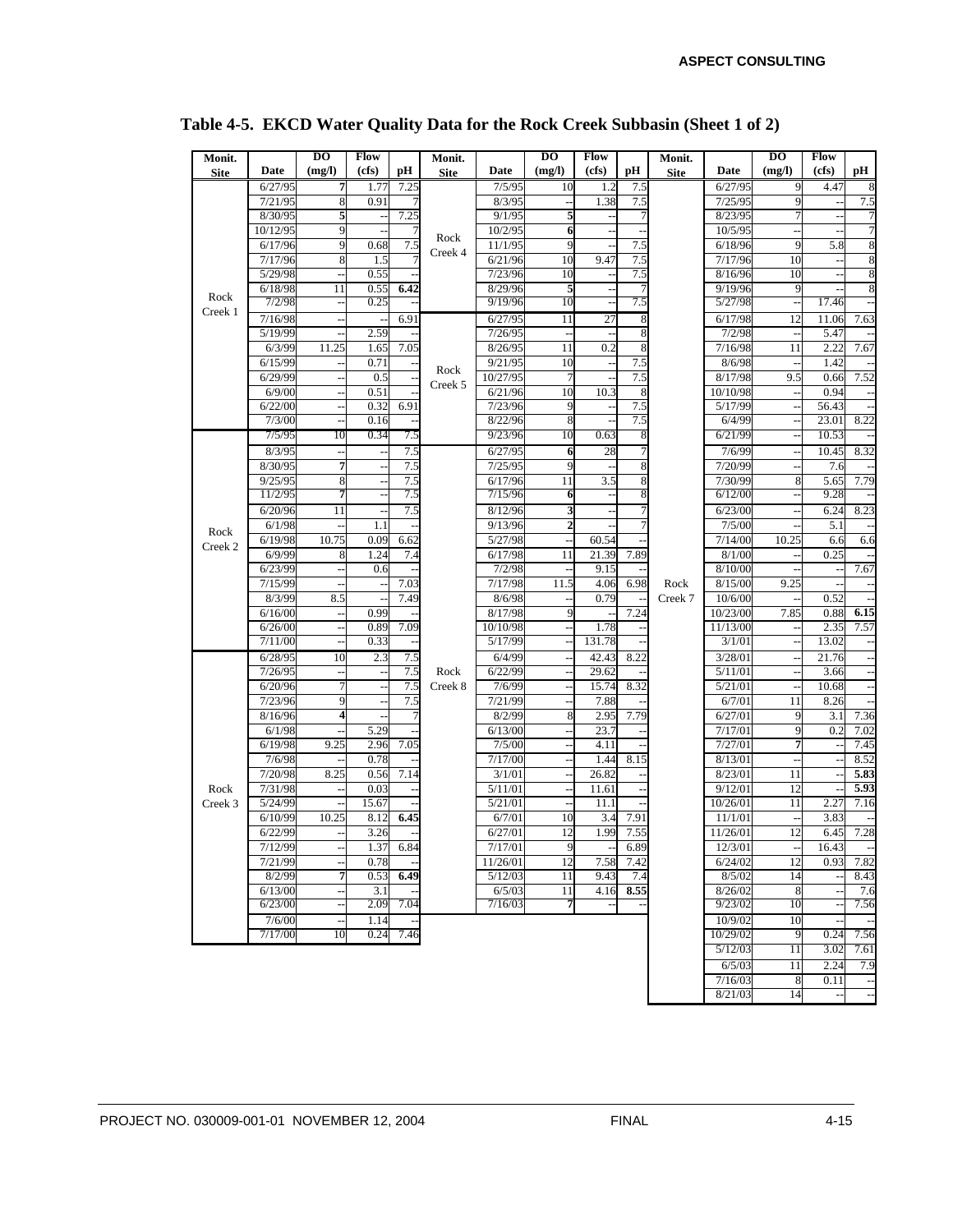| Monit.      |                  | $\overline{D}$           | <b>Flow</b> |      | Monit.      |                    | $\overline{D}$ | <b>Flow</b> |      | Monit.      |          | $\overline{D}$       | Flow      |        |
|-------------|------------------|--------------------------|-------------|------|-------------|--------------------|----------------|-------------|------|-------------|----------|----------------------|-----------|--------|
| <b>Site</b> | Date             | (mg/l)                   | (cfs)       | рH   | <b>Site</b> | Date               | (mg/l)         | (cfs)       | pН   | <b>Site</b> | Date     | (mg/l)               | (cfs)     | рH     |
|             | 6/27/95          | 7                        | 1.77        | 7.25 |             | 7/5/95             | 10             | 1.2         | 7.5  |             | 6/27/95  | 9                    | 4.47      | 8      |
|             | 7/21/95          | 8                        | 0.91        |      |             | 8/3/95             |                | 1.38        | 7.5  |             | 7/25/95  | 9                    |           | 7.5    |
|             | 8/30/95          | 5                        |             | 7.25 |             | 9/1/95             | 5              |             |      |             | 8/23/95  |                      |           | 7      |
|             | 10/12/95         | 9                        |             |      |             | 10/2/95            | 6              |             |      |             | 10/5/95  |                      |           | $\tau$ |
|             | 6/17/96          | 9                        | 0.68        | 7.5  | Rock        | 11/1/95            | 9              |             | 7.5  |             | 6/18/96  | 9                    | 5.8       | 8      |
|             | 7/17/96          | 8                        | 1.5         |      | Creek 4     | 6/21/96            | 10             | 9.47        | 7.5  |             | 7/17/96  | 10                   |           | 8      |
|             | 5/29/98          |                          | 0.55        |      |             | 7/23/96            | 10             |             | 7.5  |             | 8/16/96  | 10                   |           | 8      |
|             | 6/18/98          | 11                       | 0.55        | 6.42 |             | 8/29/96            | 5              |             |      |             | 9/19/96  | 9                    |           | 8      |
| Rock        | 7/2/98           |                          | 0.25        |      |             | 9/19/96            | 10             |             | 7.5  |             | 5/27/98  |                      | 17.46     |        |
| Creek 1     | 7/16/98          |                          |             | 6.91 |             | 6/27/95            | 11             | 27          |      |             | 6/17/98  | 12                   | 11.06     | 7.63   |
|             | 5/19/99          |                          | 2.59        |      |             | 7/26/95            |                |             |      |             | 7/2/98   |                      | 5.47      |        |
|             | 6/3/99           | 11.25                    | 1.65        | 7.05 |             | 8/26/95            | 11             | 0.2         |      |             | 7/16/98  | 11                   | 2.22      | 7.67   |
|             | 6/15/99          |                          | 0.71        |      |             | 9/21/95            | 10             |             | 7.5  |             | 8/6/98   |                      | 1.42      |        |
|             | 6/29/99          | ÷,                       | 0.5         |      | Rock        | 10/27/95           | 7              |             | 7.5  |             | 8/17/98  | 9.5                  | 0.66      | 7.52   |
|             | 6/9/00           |                          | 0.51        |      | Creek 5     | 6/21/96            | 10             | 10.3        |      |             | 10/10/98 |                      | 0.94      |        |
|             | 6/22/00          |                          | 0.32        | 6.91 |             | 7/23/96            | 9              |             | 7.5  |             | 5/17/99  |                      | 56.43     |        |
|             | 7/3/00           |                          | 0.16        |      |             | 8/22/96            | 8              |             | 7.5  |             | 6/4/99   |                      | 23.01     | 8.22   |
|             | 7/5/95           | 10                       | 0.34        | 7.5  |             | 9/23/96            | 10             | 0.63        |      |             | 6/21/99  |                      | 10.53     |        |
|             | 8/3/95           |                          |             | 7.5  |             | 6/27/95            | 6              | 28          |      |             | 7/6/99   |                      | 10.45     | 8.32   |
|             | 8/30/95          | 7                        |             | 7.5  |             | 7/25/95            | 9              |             |      |             | 7/20/99  |                      | 7.6       |        |
|             | 9/25/95          | 8                        |             | 7.5  |             | 6/17/96            | 11             | 3.5         |      |             | 7/30/99  | 8                    | 5.65      | 7.79   |
|             | 11/2/95          | 7                        |             | 7.5  |             | 7/15/96            | 6              |             |      |             | 6/12/00  |                      | 9.28      |        |
|             |                  |                          |             |      |             |                    |                |             |      |             |          |                      |           |        |
|             | 6/20/96          | 11                       |             | 7.5  |             | 8/12/96            | 3              |             |      |             | 6/23/00  |                      | 6.24      | 8.23   |
| Rock        | 6/1/98           |                          | 1.1         |      |             | 9/13/96            | $\overline{2}$ |             |      |             | 7/5/00   |                      | 5.1       |        |
| Creek 2     | 6/19/98          | 10.75                    | 0.09        | 6.62 |             | 5/27/98<br>6/17/98 |                | 60.54       |      |             | 7/14/00  | 10.25                | 6.6       | 6.6    |
|             | 6/9/99           | 8                        | 1.24        | 7.4  |             |                    | 11             | 21.39       | 7.89 |             | 8/1/00   |                      | 0.25      |        |
|             | 6/23/99          |                          | 0.6         |      |             | 7/2/98             |                | 9.15        |      |             | 8/10/00  |                      |           | 7.67   |
|             | 7/15/99          |                          |             | 7.03 |             | 7/17/98            | 11.5           | 4.06        | 6.98 | Rock        | 8/15/00  | 9.25                 |           |        |
|             | 8/3/99           | 8.5                      |             | 7.49 |             | 8/6/98             |                | 0.79        |      | Creek 7     | 10/6/00  |                      | 0.52      |        |
|             | 6/16/00          |                          | 0.99        |      |             | 8/17/98            | 9              |             | 7.24 |             | 10/23/00 | 7.85                 | 0.88      | 6.15   |
|             | 6/26/00          | $\overline{a}$           | 0.89        | 7.09 |             | 10/10/98           |                | 1.78        |      |             | 11/13/00 |                      | 2.35      | 7.57   |
|             | $\frac{7}{1100}$ |                          | 0.33        |      |             | 5/17/99            |                | 131.78      |      |             | 3/1/01   |                      | 13.02     |        |
|             | 6/28/95          | 10                       | 2.3         | 7.5  |             | 6/4/99             |                | 42.43       | 8.22 |             | 3/28/01  | $\ddot{\phantom{a}}$ | 21.76     |        |
|             | 7/26/95          |                          |             | 7.5  | Rock        | 6/22/99            |                | 29.62       |      |             | 5/11/01  |                      | 3.66      |        |
|             | 6/20/96          | 7                        |             | 7.5  | Creek 8     | 7/6/99             |                | 15.74       | 8.32 |             | 5/21/01  |                      | 10.68     |        |
|             | 7/23/96          | 9                        |             | 7.5  |             | 7/21/99            |                | 7.88        |      |             | 6/7/01   | 11                   | 8.26      |        |
|             | 8/16/96          | 4                        |             |      |             | 8/2/99             | 8              | 2.95        | 7.79 |             | 6/27/01  | 9                    | 3.1       | 7.36   |
|             | 6/1/98           |                          | 5.29        |      |             | 6/13/00            |                | 23.7        |      |             | 7/17/01  | 9                    | 0.2       | 7.02   |
|             | 6/19/98          | 9.25                     | 2.96        | 7.05 |             | 7/5/00             |                | 4.11        |      |             | 7/27/01  |                      |           | 7.45   |
|             | 7/6/98           |                          | 0.78        |      |             | 7/17/00            |                | 1.44        | 8.15 |             | 8/13/01  |                      |           | 8.52   |
|             | 7/20/98          | 8.25                     | 0.56        | 7.14 |             | 3/1/01             |                | 26.82       |      |             | 8/23/01  | 11                   |           | 5.83   |
| Rock        | 7/31/98          |                          | 0.03        |      |             | 5/11/01            |                | 11.61       |      |             | 9/12/01  | 12                   |           | 5.93   |
| Creek 3     | 5/24/99          |                          | 15.67       |      |             | 5/21/01            |                | 11.1        |      |             | 10/26/01 | 11                   | 2.27      | 7.16   |
|             | 6/10/99          | 10.25                    | 8.12        | 6.45 |             | 6/7/01             | 10             | 3.4         | 7.91 |             | 11/1/01  |                      | 3.83      |        |
|             | 6/22/99          |                          | 3.26        |      |             | 6/27/01            | 12             | 1.99        | 7.55 |             | 11/26/01 | 12                   | 6.45      | 7.28   |
|             | 7/12/99          |                          | 1.37        | 6.84 |             | 7/17/01            | 9              |             | 6.89 |             | 12/3/01  |                      | 16.43     |        |
|             | 7/21/99          |                          | 0.78        |      |             | 11/26/01           | 12             | 7.58        | 7.42 |             | 6/24/02  | 12                   | 0.93      | 7.82   |
|             | 8/2/99           | 7                        | 0.53        | 6.49 |             | 5/12/03            | 11             | 9.43        | 7.4  |             | 8/5/02   | 14                   |           | 8.43   |
|             | 6/13/00          | $\overline{\phantom{a}}$ | 3.1         |      |             | 6/5/03             | 11             | 4.16        | 8.55 |             | 8/26/02  | 8                    | $\ddotsc$ | 7.6    |
|             | 6/23/00          |                          | 2.09        | 7.04 |             | 7/16/03            |                |             |      |             | 9/23/02  | 10                   |           | 7.56   |
|             | 7/6/00           |                          | 1.14        |      |             |                    |                |             |      |             | 10/9/02  | 10                   |           |        |
|             | 7/17/00          | 10                       | 0.24        | 7.46 |             |                    |                |             |      |             | 10/29/02 | 9                    | 0.24      | 7.56   |
|             |                  |                          |             |      |             |                    |                |             |      |             | 5/12/03  | 11                   | 3.02      | 7.61   |
|             |                  |                          |             |      |             |                    |                |             |      |             | 6/5/03   | 11                   | 2.24      | 7.9    |
|             |                  |                          |             |      |             |                    |                |             |      |             | 7/16/03  | 8                    | 0.11      |        |

# **Table 4-5. EKCD Water Quality Data for the Rock Creek Subbasin (Sheet 1 of 2)**

 $8/21/03$  14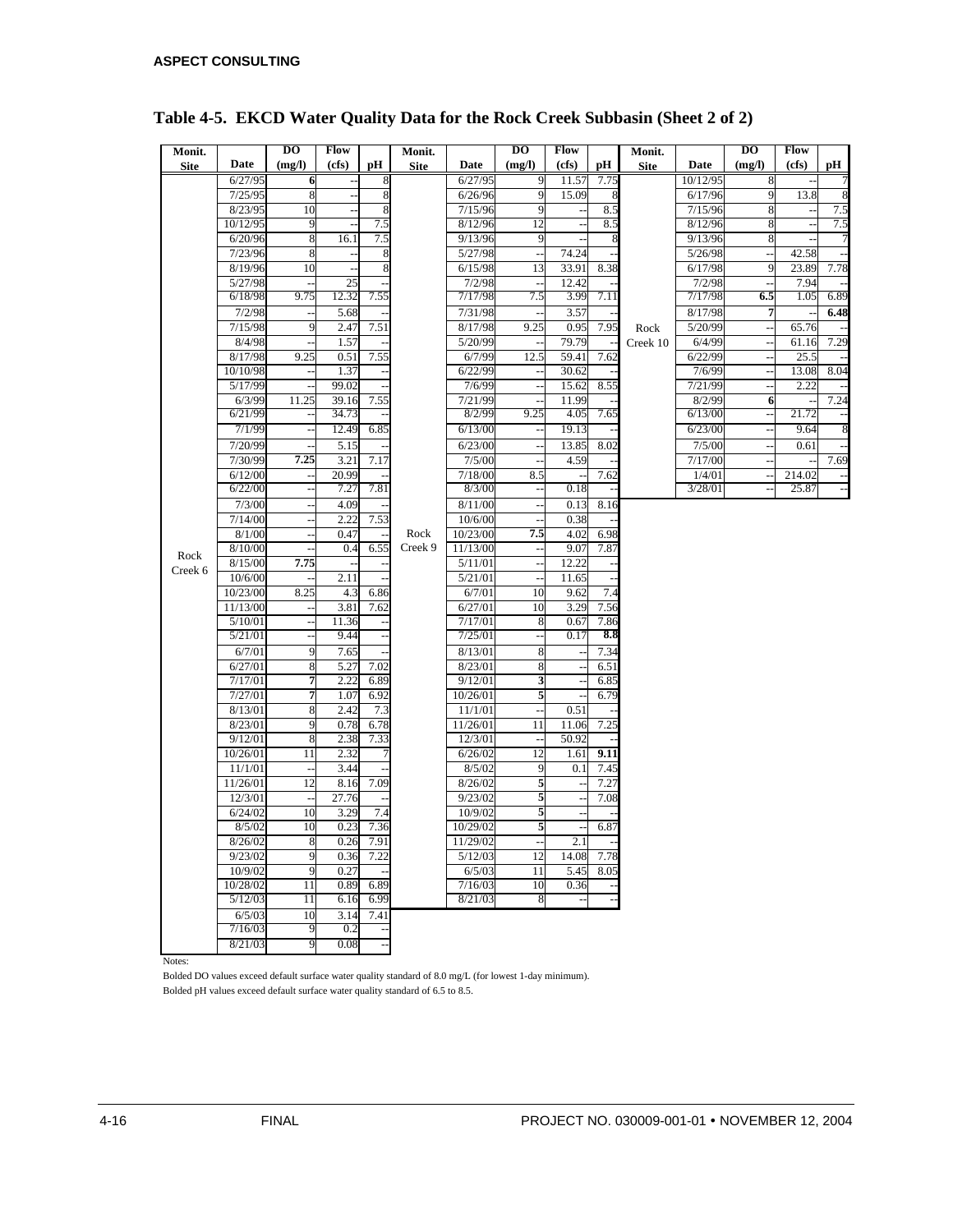| Monit.      |                   | DO                            | Flow         |      | Monit.      |                    | $\overline{D}$                   | Flow                     |      | Monit.      |                    | DO                              | Flow         |                          |
|-------------|-------------------|-------------------------------|--------------|------|-------------|--------------------|----------------------------------|--------------------------|------|-------------|--------------------|---------------------------------|--------------|--------------------------|
| <b>Site</b> | Date              | (mg/l)                        | (cfs)        | рH   | <b>Site</b> | Date               | (mg/l)                           | (cfs)                    | pН   | <b>Site</b> | Date               | (mg/l)                          | (cfs)        | pН                       |
|             | 6/27/95           | 6                             |              | 8    |             | 6/27/95            | 9                                | 11.57                    | 7.75 |             | 10/12/95           | 8                               |              | 7                        |
|             | 7/25/95           | 8                             |              | 8    |             | 6/26/96            | 9                                | 15.09                    | 8    |             | 6/17/96            | 9                               | 13.8         | 8                        |
|             | 8/23/95           | 10                            |              | 8    |             | 7/15/96            | 9                                |                          | 8.5  |             | 7/15/96            | 8                               |              | 7.5                      |
|             | 10/12/95          | 9                             |              | 7.5  |             | 8/12/96            | 12                               |                          | 8.5  |             | 8/12/96            | 8                               |              | 7.5                      |
|             | 6/20/96           | 8                             | 16.1         | 7.5  |             | 9/13/96            | 9                                |                          | 8    |             | 9/13/96            | 8                               |              | $\overline{7}$           |
|             | 7/23/96           | 8                             |              |      |             | 5/27/98            |                                  | 74.24                    |      |             | 5/26/98            | $\overline{\phantom{a}}$        | 42.58        | $\overline{a}$           |
|             | 8/19/96           | 10                            |              | 8    |             | 6/15/98            | 13                               | 33.91                    | 8.38 |             | 6/17/98            | 9                               | 23.89        | 7.78                     |
|             | 5/27/98           | 9.75                          | 25<br>12.32  | 7.55 |             | 7/2/98             | $\overline{\phantom{a}}$<br>7.5  | 12.42<br>3.99            | 7.11 |             | 7/2/98             | $\overline{\phantom{a}}$<br>6.5 | 7.94<br>1.05 | 6.89                     |
|             | 6/18/98           |                               |              |      |             | 7/17/98            |                                  |                          |      |             | 7/17/98            |                                 |              |                          |
|             | 7/2/98<br>7/15/98 | $\overline{\phantom{a}}$<br>9 | 5.68<br>2.47 | 7.51 |             | 7/31/98<br>8/17/98 | $\overline{\phantom{a}}$<br>9.25 | 3.57<br>0.95             | 7.95 |             | 8/17/98<br>5/20/99 | 7                               | 65.76        | 6.48                     |
|             | 8/4/98            |                               | 1.57         |      |             | 5/20/99            |                                  | 79.79                    |      | Rock        | 6/4/99             | $\sim$                          | 61.16        | 7.29                     |
|             | 8/17/98           | 9.25                          | 0.51         | 7.55 |             | 6/7/99             | 12.5                             | 59.41                    | 7.62 | Creek 10    | 6/22/99            |                                 | 25.5         |                          |
|             | 10/10/98          |                               | 1.37         |      |             | 6/22/99            |                                  | 30.62                    |      |             | 7/6/99             | $\overline{\phantom{a}}$<br>ä,  | 13.08        | 8.04                     |
|             | 5/17/99           | ÷,                            | 99.02        |      |             | 7/6/99             | $\overline{\phantom{a}}$         | 15.62                    | 8.55 |             | 7/21/99            | $\ddot{\phantom{a}}$            | 2.22         |                          |
|             | 6/3/99            | 11.25                         | 39.16        | 7.55 |             | 7/21/99            |                                  | 11.99                    |      |             | 8/2/99             | 6                               |              | 7.24                     |
|             | 6/21/99           | $\overline{\phantom{a}}$      | 34.73        |      |             | 8/2/99             | 9.25                             | 4.05                     | 7.65 |             | 6/13/00            | $\overline{\phantom{a}}$        | 21.72        | $\overline{\phantom{a}}$ |
|             | 7/1/99            | $\overline{\phantom{a}}$      | 12.49        | 6.85 |             | 6/13/00            |                                  | 19.13                    |      |             | 6/23/00            |                                 | 9.64         | 8                        |
|             | 7/20/99           | L,                            | 5.15         |      |             | 6/23/00            | L.                               | 13.85                    | 8.02 |             | 7/5/00             | $\sim$                          | 0.61         | $\overline{a}$           |
|             | 7/30/99           | 7.25                          | 3.21         | 7.17 |             | 7/5/00             |                                  | 4.59                     |      |             | 7/17/00            | $\ddot{\phantom{1}}$            |              | 7.69                     |
|             | 6/12/00           | $\overline{a}$                | 20.99        |      |             | 7/18/00            | 8.5                              |                          | 7.62 |             | 1/4/01             | $\ddotsc$                       | 214.02       |                          |
|             | 6/22/00           | $\overline{\phantom{a}}$      | 7.27         | 7.81 |             | 8/3/00             | $\overline{\phantom{a}}$         | 0.18                     |      |             | 3/28/01            |                                 | 25.87        | $\overline{\phantom{a}}$ |
|             | 7/3/00            | $\overline{\phantom{a}}$      | 4.09         |      |             | 8/11/00            |                                  | 0.13                     | 8.16 |             |                    |                                 |              |                          |
|             | 7/14/00           | $\ddot{\phantom{a}}$          | 2.22         | 7.53 |             | 10/6/00            | $\overline{\phantom{a}}$         | 0.38                     |      |             |                    |                                 |              |                          |
|             | 8/1/00            | $\overline{\phantom{a}}$      | 0.47         |      | Rock        | 10/23/00           | 7.5                              | 4.02                     | 6.98 |             |                    |                                 |              |                          |
|             | 8/10/00           |                               | 0.4          | 6.55 | Creek 9     | 11/13/00           |                                  | 9.07                     | 7.87 |             |                    |                                 |              |                          |
| Rock        | 8/15/00           | 7.75                          |              |      |             | 5/11/01            | $\ddot{\phantom{1}}$             | 12.22                    |      |             |                    |                                 |              |                          |
| Creek 6     | 10/6/00           |                               | 2.11         |      |             | 5/21/01            |                                  | 11.65                    |      |             |                    |                                 |              |                          |
|             | 10/23/00          | 8.25                          | 4.3          | 6.86 |             | 6/7/01             | 10                               | 9.62                     | 7.4  |             |                    |                                 |              |                          |
|             | 11/13/00          |                               | 3.81         | 7.62 |             | 6/27/01            | 10                               | 3.29                     | 7.56 |             |                    |                                 |              |                          |
|             | 5/10/01           | $\overline{\phantom{a}}$      | 11.36        |      |             | 7/17/01            | 8                                | 0.67                     | 7.86 |             |                    |                                 |              |                          |
|             | 5/21/01           |                               | 9.44         |      |             | 7/25/01            |                                  | 0.17                     | 8.8  |             |                    |                                 |              |                          |
|             | 6/7/01            | 9                             | 7.65         |      |             | 8/13/01            | 8                                |                          | 7.34 |             |                    |                                 |              |                          |
|             | 6/27/01           | $\bf 8$                       | 5.27         | 7.02 |             | 8/23/01            | 8                                |                          | 6.51 |             |                    |                                 |              |                          |
|             | 7/17/01           | 7                             | 2.22         | 6.89 |             | 9/12/01            | 3                                |                          | 6.85 |             |                    |                                 |              |                          |
|             | 7/27/01           | $\overline{7}$                | 1.07         | 6.92 |             | 10/26/01           | 5                                |                          | 6.79 |             |                    |                                 |              |                          |
|             | 8/13/01           | 8                             | 2.42         | 7.3  |             | 11/1/01            |                                  | 0.51                     |      |             |                    |                                 |              |                          |
|             | 8/23/01           | 9                             | 0.78         | 6.78 |             | 11/26/01           | 11                               | 11.06                    | 7.25 |             |                    |                                 |              |                          |
|             | 9/12/01           | 8                             | 2.38         | 7.33 |             | 12/3/01            |                                  | 50.92                    |      |             |                    |                                 |              |                          |
|             | 10/26/01          | 11                            | 2.32         |      |             | 6/26/02            | 12                               | 1.61                     | 9.11 |             |                    |                                 |              |                          |
|             | 11/1/01           | $\overline{\phantom{a}}$      | 3.44         |      |             | 8/5/02             | 9                                | 0.1                      | 7.45 |             |                    |                                 |              |                          |
|             | 11/26/01          | 12                            | 8.16         | 7.09 |             | 8/26/02            | 5                                |                          | 7.27 |             |                    |                                 |              |                          |
|             | 12/3/01           | ÷,                            | 27.76        |      |             | 9/23/02            | 5                                | $\overline{\phantom{a}}$ | 7.08 |             |                    |                                 |              |                          |
|             | 6/24/02           | 10                            | 3.29         | 7.4  |             | 10/9/02            | 5                                |                          |      |             |                    |                                 |              |                          |
|             | 8/5/02            | 10                            | 0.23         | 7.36 |             | 10/29/02           | 5                                |                          | 6.87 |             |                    |                                 |              |                          |
|             | 8/26/02           | 8                             | 0.26         | 7.91 |             | 11/29/02           |                                  | 2.1                      |      |             |                    |                                 |              |                          |
|             | 9/23/02           | 9                             | 0.36         | 7.22 |             | 5/12/03            | 12                               | 14.08                    | 7.78 |             |                    |                                 |              |                          |
|             | 10/9/02           | 9                             | 0.27         |      |             | 6/5/03             | 11                               | 5.45                     | 8.05 |             |                    |                                 |              |                          |
|             | 10/28/02          | 11                            | 0.89         | 6.89 |             | 7/16/03            | 10                               | 0.36                     |      |             |                    |                                 |              |                          |
|             | 5/12/03           | 11                            | 6.16         | 6.99 |             | 8/21/03            | 8                                |                          |      |             |                    |                                 |              |                          |
|             | 6/5/03            | 10                            | 3.14         | 7.41 |             |                    |                                  |                          |      |             |                    |                                 |              |                          |
|             | 7/16/03           | 9                             | 0.2          |      |             |                    |                                  |                          |      |             |                    |                                 |              |                          |
|             | 8/21/03           | 9                             | 0.08         |      |             |                    |                                  |                          |      |             |                    |                                 |              |                          |

## **Table 4-5. EKCD Water Quality Data for the Rock Creek Subbasin (Sheet 2 of 2)**

Notes:

Bolded DO values exceed default surface water quality standard of 8.0 mg/L (for lowest 1-day minimum). Bolded pH values exceed default surface water quality standard of 6.5 to 8.5.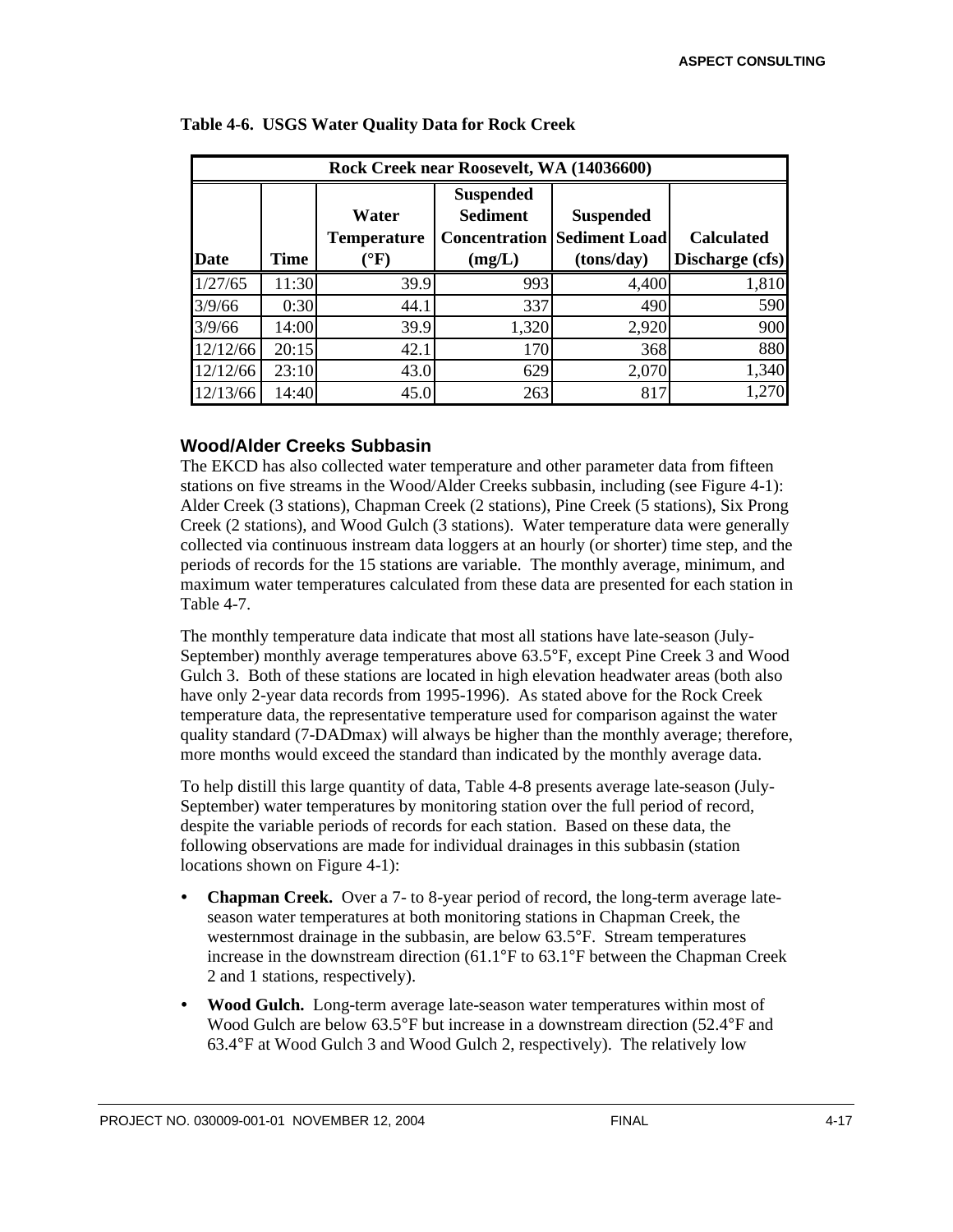|             | Rock Creek near Roosevelt, WA (14036600) |                                                 |                                                                       |                                                        |                                      |  |  |  |  |  |  |  |
|-------------|------------------------------------------|-------------------------------------------------|-----------------------------------------------------------------------|--------------------------------------------------------|--------------------------------------|--|--|--|--|--|--|--|
| <b>Date</b> | Time                                     | Water<br><b>Temperature</b><br>$\rm ^{\circ}F)$ | <b>Suspended</b><br><b>Sediment</b><br><b>Concentration</b><br>(mg/L) | <b>Suspended</b><br><b>Sediment Load</b><br>(tons/day) | <b>Calculated</b><br>Discharge (cfs) |  |  |  |  |  |  |  |
| 1/27/65     | 11:30                                    | 39.9                                            | 993                                                                   | 4,400                                                  | 1,810                                |  |  |  |  |  |  |  |
| 3/9/66      | 0:30                                     | 44.1                                            | 337                                                                   | 490                                                    | 590                                  |  |  |  |  |  |  |  |
| 3/9/66      | 14:00                                    | 39.9                                            | 1,320                                                                 | 2,920                                                  | 900                                  |  |  |  |  |  |  |  |
| 12/12/66    | 20:15                                    | 42.1                                            | 170                                                                   | 368                                                    | 880                                  |  |  |  |  |  |  |  |
| 12/12/66    | 23:10                                    | 43.0                                            | 629                                                                   | 2,070                                                  | 1,340                                |  |  |  |  |  |  |  |
| 12/13/66    | 14:40                                    | 45.0                                            | 263                                                                   | 817                                                    | 1,270                                |  |  |  |  |  |  |  |

#### **Table 4-6. USGS Water Quality Data for Rock Creek**

## **Wood/Alder Creeks Subbasin**

The EKCD has also collected water temperature and other parameter data from fifteen stations on five streams in the Wood/Alder Creeks subbasin, including (see Figure 4-1): Alder Creek (3 stations), Chapman Creek (2 stations), Pine Creek (5 stations), Six Prong Creek (2 stations), and Wood Gulch (3 stations). Water temperature data were generally collected via continuous instream data loggers at an hourly (or shorter) time step, and the periods of records for the 15 stations are variable. The monthly average, minimum, and maximum water temperatures calculated from these data are presented for each station in Table 4-7.

The monthly temperature data indicate that most all stations have late-season (July-September) monthly average temperatures above 63.5°F, except Pine Creek 3 and Wood Gulch 3. Both of these stations are located in high elevation headwater areas (both also have only 2-year data records from 1995-1996). As stated above for the Rock Creek temperature data, the representative temperature used for comparison against the water quality standard (7-DADmax) will always be higher than the monthly average; therefore, more months would exceed the standard than indicated by the monthly average data.

To help distill this large quantity of data, Table 4-8 presents average late-season (July-September) water temperatures by monitoring station over the full period of record, despite the variable periods of records for each station. Based on these data, the following observations are made for individual drainages in this subbasin (station locations shown on Figure 4-1):

- ü **Chapman Creek.** Over a 7- to 8-year period of record, the long-term average lateseason water temperatures at both monitoring stations in Chapman Creek, the westernmost drainage in the subbasin, are below 63.5°F. Stream temperatures increase in the downstream direction (61.1°F to 63.1°F between the Chapman Creek 2 and 1 stations, respectively).
- ü **Wood Gulch.** Long-term average late-season water temperatures within most of Wood Gulch are below 63.5°F but increase in a downstream direction (52.4°F and 63.4°F at Wood Gulch 3 and Wood Gulch 2, respectively). The relatively low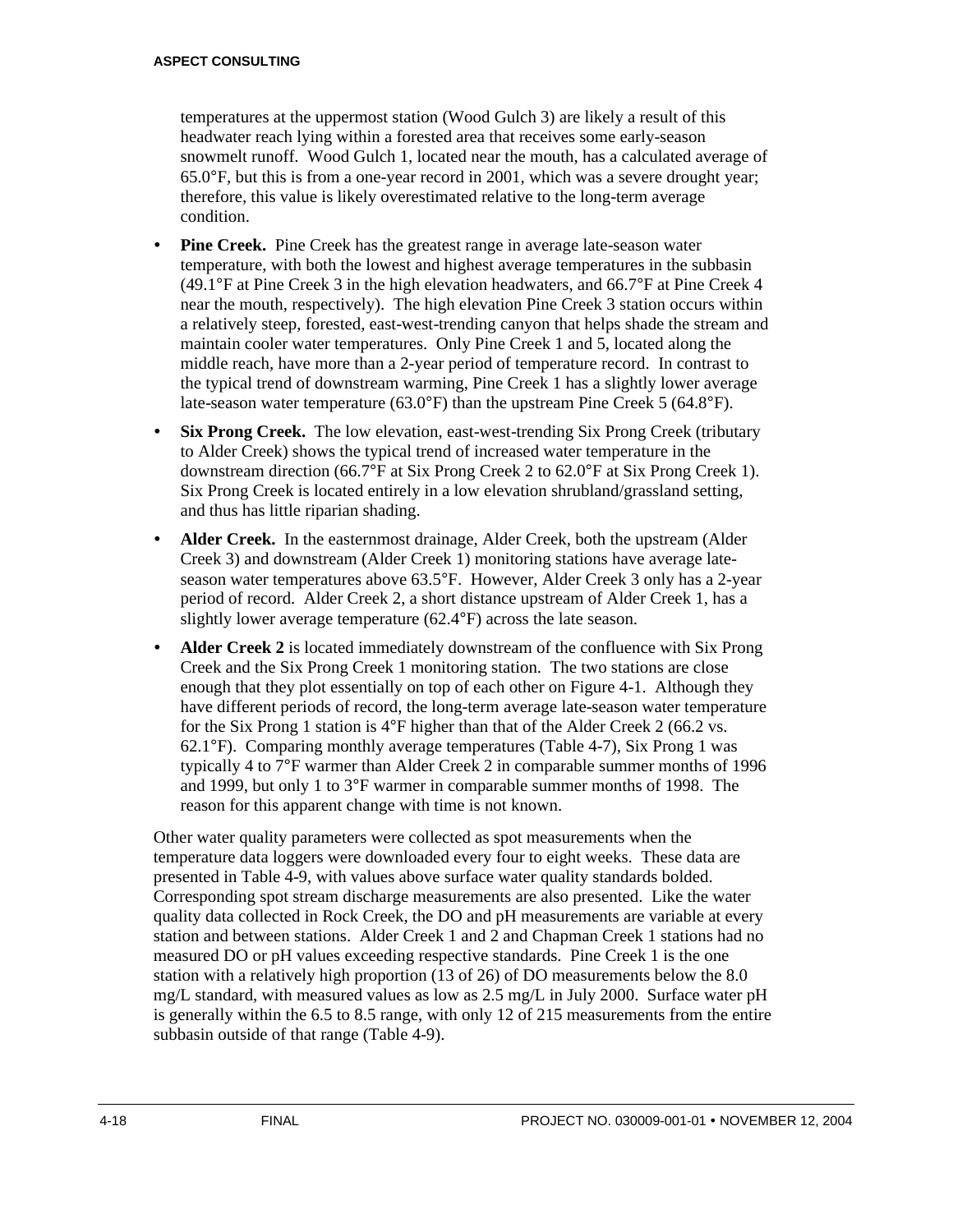temperatures at the uppermost station (Wood Gulch 3) are likely a result of this headwater reach lying within a forested area that receives some early-season snowmelt runoff. Wood Gulch 1, located near the mouth, has a calculated average of 65.0°F, but this is from a one-year record in 2001, which was a severe drought year; therefore, this value is likely overestimated relative to the long-term average condition.

- **Pine Creek.** Pine Creek has the greatest range in average late-season water temperature, with both the lowest and highest average temperatures in the subbasin (49.1°F at Pine Creek 3 in the high elevation headwaters, and 66.7°F at Pine Creek 4 near the mouth, respectively). The high elevation Pine Creek 3 station occurs within a relatively steep, forested, east-west-trending canyon that helps shade the stream and maintain cooler water temperatures. Only Pine Creek 1 and 5, located along the middle reach, have more than a 2-year period of temperature record. In contrast to the typical trend of downstream warming, Pine Creek 1 has a slightly lower average late-season water temperature (63.0°F) than the upstream Pine Creek 5 (64.8°F).
- **Six Prong Creek.** The low elevation, east-west-trending Six Prong Creek (tributary to Alder Creek) shows the typical trend of increased water temperature in the downstream direction (66.7°F at Six Prong Creek 2 to 62.0°F at Six Prong Creek 1). Six Prong Creek is located entirely in a low elevation shrubland/grassland setting, and thus has little riparian shading.
- Alder Creek. In the easternmost drainage, Alder Creek, both the upstream (Alder Creek 3) and downstream (Alder Creek 1) monitoring stations have average lateseason water temperatures above 63.5°F. However, Alder Creek 3 only has a 2-year period of record. Alder Creek 2, a short distance upstream of Alder Creek 1, has a slightly lower average temperature (62.4°F) across the late season.
- ü **Alder Creek 2** is located immediately downstream of the confluence with Six Prong Creek and the Six Prong Creek 1 monitoring station. The two stations are close enough that they plot essentially on top of each other on Figure 4-1. Although they have different periods of record, the long-term average late-season water temperature for the Six Prong 1 station is 4°F higher than that of the Alder Creek 2 (66.2 vs. 62.1°F). Comparing monthly average temperatures (Table 4-7), Six Prong 1 was typically 4 to 7°F warmer than Alder Creek 2 in comparable summer months of 1996 and 1999, but only 1 to 3°F warmer in comparable summer months of 1998. The reason for this apparent change with time is not known.

Other water quality parameters were collected as spot measurements when the temperature data loggers were downloaded every four to eight weeks. These data are presented in Table 4-9, with values above surface water quality standards bolded. Corresponding spot stream discharge measurements are also presented. Like the water quality data collected in Rock Creek, the DO and pH measurements are variable at every station and between stations. Alder Creek 1 and 2 and Chapman Creek 1 stations had no measured DO or pH values exceeding respective standards. Pine Creek 1 is the one station with a relatively high proportion (13 of 26) of DO measurements below the 8.0 mg/L standard, with measured values as low as 2.5 mg/L in July 2000. Surface water pH is generally within the 6.5 to 8.5 range, with only 12 of 215 measurements from the entire subbasin outside of that range (Table 4-9).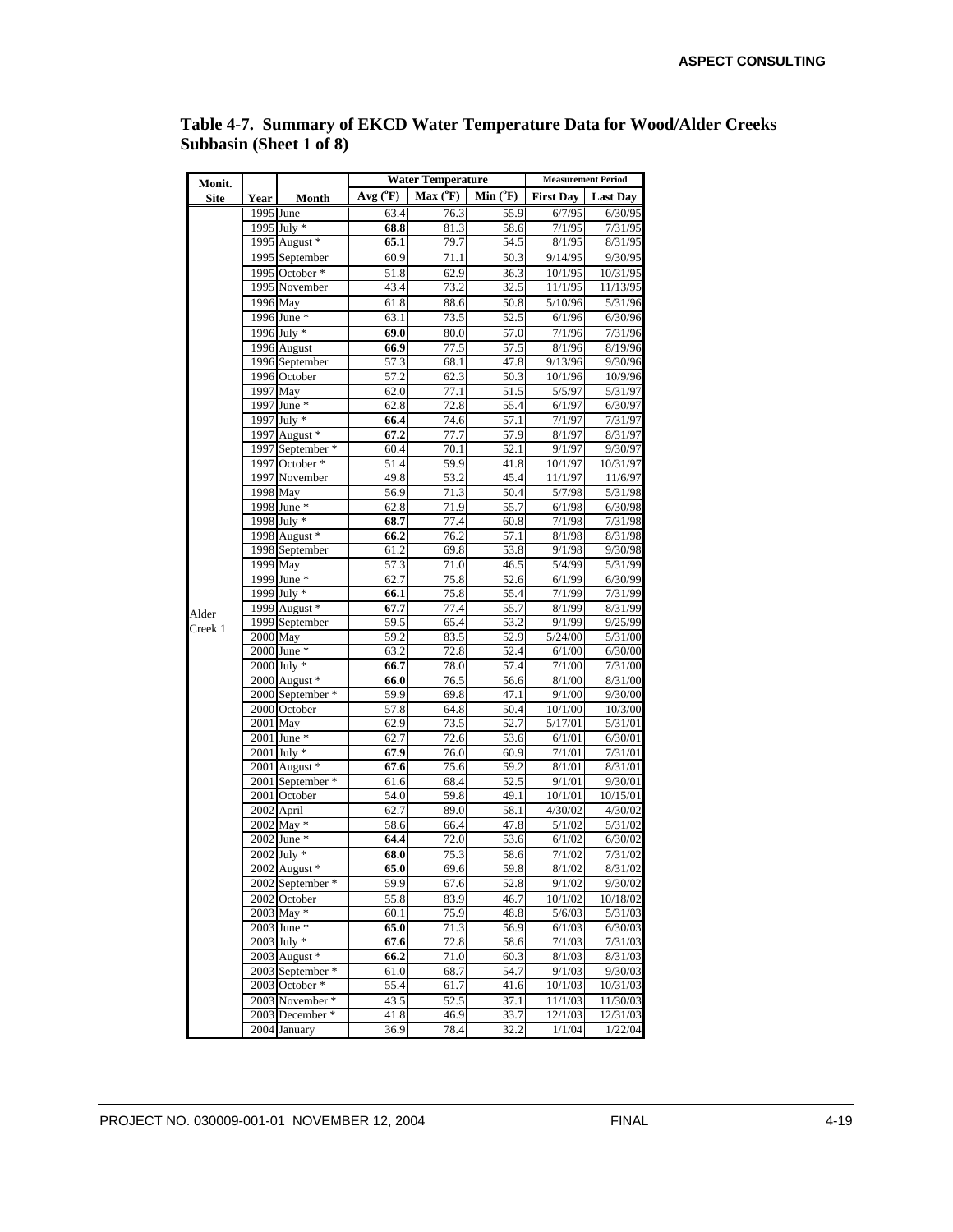| Monit.      |            |                                    |              | <b>Water Temperature</b> | <b>Measurement Period</b> |                    |                     |
|-------------|------------|------------------------------------|--------------|--------------------------|---------------------------|--------------------|---------------------|
| <b>Site</b> | Year       | Month                              | $Avg(^{o}F)$ | $Max(^oF)$               | $Min(^oF)$                | <b>First Day</b>   | <b>Last Day</b>     |
|             | 1995 June  |                                    | 63.4         | 76.3                     | 55.9                      | 6/7/95             | 6/30/95             |
|             |            | 1995 July *                        | 68.8         | 81.3                     | 58.6                      | 7/1/95             | 7/31/95             |
|             |            | 1995 August *                      | 65.1         | 79.7                     | 54.5                      | 8/1/95             | 8/31/95             |
|             |            | 1995 September                     | 60.9         | 71.1                     | 50.3                      | 9/14/95            | 9/30/95             |
|             |            | 1995 October *                     | 51.8         | 62.9                     | 36.3                      | 10/1/95            | 10/31/95            |
|             |            | 1995 November                      | 43.4         | 73.2                     | 32.5                      | 11/1/95            | 11/13/95            |
|             |            | 1996 May                           | 61.8         | 88.6                     | 50.8                      | 5/10/96            | 5/31/96             |
|             |            | 1996 June *                        | 63.1         | 73.5                     | 52.5                      | 6/1/96             | 6/30/96             |
|             |            | 1996 July *                        | 69.0         | 80.0                     | 57.0                      | 7/1/96             | 7/31/96             |
|             |            | 1996 August                        | 66.9         | 77.5                     | 57.5                      | 8/1/96             | 8/19/96             |
|             |            | 1996 September                     | 57.3         | 68.1                     | 47.8                      | 9/13/96            | 9/30/96             |
|             |            | 1996 October                       | 57.2         | 62.3                     | 50.3                      | 10/1/96            | 10/9/96             |
|             | 1997 May   |                                    | 62.0         | 77.1                     | 51.5                      | 5/5/97             | 5/31/97             |
|             |            | 1997 June *                        | 62.8         | 72.8                     | 55.4                      | 6/1/97             | 6/30/97             |
|             |            | 1997 July *                        | 66.4         | 74.6                     | 57.1                      | 7/1/97             | 7/31/97             |
|             |            | 1997 August *                      | 67.2         | 77.7                     | 57.9                      | 8/1/97             | 8/31/97             |
|             |            | 1997 September *                   | 60.4         | 70.1                     | 52.1                      | 9/1/97             | 9/30/97             |
|             |            | 1997 October *                     | 51.4         | 59.9                     | 41.8                      | 10/1/97            | 10/31/97            |
|             | 1998 May   | 1997 November                      | 49.8         | 53.2                     | 45.4                      | 11/1/97            | 11/6/97             |
|             |            |                                    | 56.9         | 71.3                     | 50.4                      | 5/7/98             | 5/31/98             |
|             |            | 1998 June *                        | 62.8         | 71.9                     | 55.7                      | 6/1/98             | 6/30/98             |
|             |            | 1998 July *                        | 68.7         | 77.4                     | 60.8                      | 7/1/98             | 7/31/98             |
|             |            | 1998 August *                      | 66.2         | 76.2                     | 57.1                      | 8/1/98             | 8/31/98             |
|             |            | 1998 September                     | 61.2         | 69.8                     | 53.8                      | 9/1/98             | 9/30/98             |
|             |            | 1999 May                           | 57.3         | 71.0                     | 46.5                      | 5/4/99             | 5/31/99             |
|             |            | 1999 June *                        | 62.7         | 75.8                     | 52.6                      | 6/1/99             | 6/30/99             |
|             |            | 1999 July *                        | 66.1         | 75.8                     | 55.4                      | 7/1/99             | 7/31/99             |
| Alder       |            | 1999 August *                      | 67.7         | 77.4                     | 55.7                      | 8/1/99             | 8/31/99             |
| Creek 1     |            | 1999 September                     | 59.5         | 65.4                     | 53.2                      | 9/1/99             | 9/25/99             |
|             | $2000$ May |                                    | 59.2         | 83.5                     | 52.9                      | 5/24/00            | 5/31/00             |
|             |            | $2000$ June $*$                    | 63.2         | 72.8                     | 52.4                      | 6/1/00             | 6/30/00             |
|             |            | 2000 July *                        | 66.7         | 78.0                     | 57.4                      | 7/1/00             | 7/31/00             |
|             |            | 2000 August *                      | 66.0         | 76.5                     | 56.6                      | 8/1/00             | 8/31/00             |
|             |            | 2000 September *                   | 59.9         | $69.\overline{8}$        | 47.1                      | 9/1/00             | 9/30/00             |
|             |            | 2000 October                       | 57.8         | 64.8                     | 50.4                      | 10/1/00            | 10/3/00             |
|             | $2001$ May |                                    | 62.9         | 73.5                     | 52.7                      | 5/17/01            | 5/31/01             |
|             |            | 2001 June *                        | 62.7         | 72.6                     | 53.6                      | 6/1/01             | 6/30/01             |
|             |            | 2001 July *                        | 67.9         | 76.0                     | 60.9                      | 7/1/01             | 7/31/01             |
|             |            | 2001 August *                      | 67.6         | 75.6                     | 59.2                      | 8/1/01             | 8/31/01             |
|             |            | 2001 September *                   | 61.6         | 68.4                     | 52.5                      | 9/1/01             | 9/30/01             |
|             |            | 2001 October                       | 54.0         | 59.8                     | 49.1                      | 10/1/01            | 10/15/01            |
|             |            | 2002 April                         | 62.7         | 89.0                     | 58.1                      | 4/30/02            | 4/30/02             |
|             |            | 2002 May *<br>2002 June *          | 58.6         | 66.4                     | 47.8                      | 5/1/02             | 5/31/02             |
|             |            |                                    | 64.4         | 72.0                     | 53.6                      | 6/1/02             | 6/30/02             |
|             |            | $2002$ July $*$                    | 68.0         | 75.3                     | 58.6                      | 7/1/02             | 7/31/02             |
|             |            | 2002 August *                      | 65.0         | 69.6                     | 59.8                      | 8/1/02             | 8/31/02             |
|             |            | 2002 September *                   | 59.9         | 67.6                     | 52.8                      | 9/1/02             | 9/30/02             |
|             |            | 2002 October                       | 55.8         | 83.9                     | 46.7                      | 10/1/02            | 10/18/02            |
|             |            | 2003 May *                         | 60.1         | 75.9                     | 48.8                      | 5/6/03             | 5/31/03             |
|             |            | $2003$ June $*$                    | 65.0         | 71.3                     | 56.9                      | 6/1/03             | 6/30/03             |
|             |            | $2003$ July $*$                    | 67.6         | 72.8                     | 58.6                      | 7/1/03             | 7/31/03             |
|             |            | 2003 August *<br>2003 September *  | 66.2         | 71.0                     | 60.3                      | 8/1/03             | 8/31/03<br>9/30/03  |
|             |            |                                    | 61.0         | 68.7                     | 54.7                      | 9/1/03             |                     |
|             |            | 2003 October *                     | 55.4         | 61.7                     | 41.6                      | 10/1/03            | 10/31/03            |
|             |            | 2003 November *<br>2003 December * | 43.5         | 52.5                     | 37.1                      | 11/1/03<br>12/1/03 | 11/30/03            |
|             |            |                                    | 41.8         | 46.9                     | 33.7<br>$\overline{32.2}$ | 1/1/04             | 12/31/03<br>1/22/04 |
|             |            | 2004 January                       | 36.9         | 78.4                     |                           |                    |                     |

**Table 4-7. Summary of EKCD Water Temperature Data for Wood/Alder Creeks Subbasin (Sheet 1 of 8)**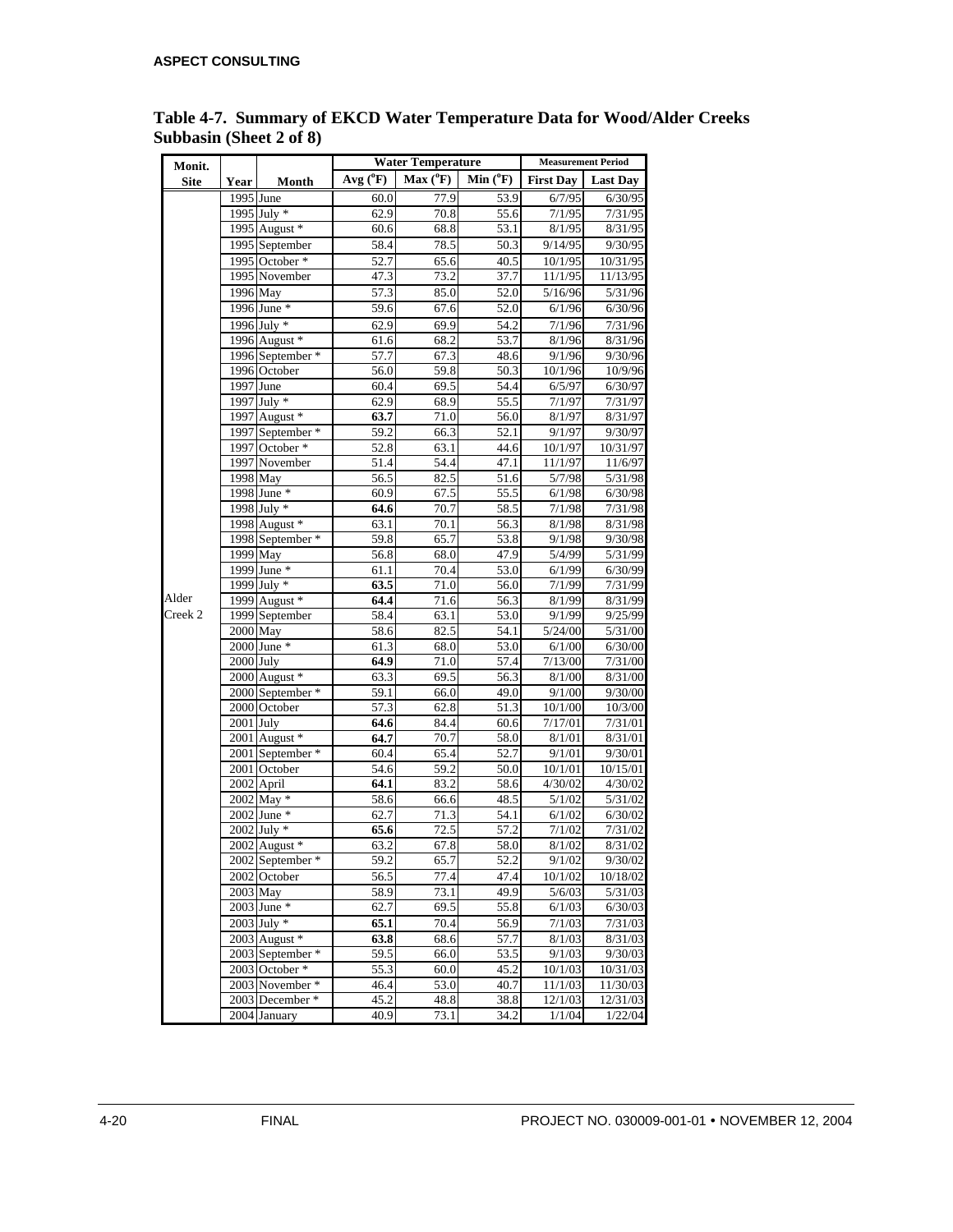| Monit.      |             |                  |                   | <b>Water Temperature</b> | <b>Measurement Period</b> |                    |                 |
|-------------|-------------|------------------|-------------------|--------------------------|---------------------------|--------------------|-----------------|
| <b>Site</b> | Year        | Month            | Avg $(^0F)$       | $Max(^oF)$               | Min $(^oF)$               | <b>First Day</b>   | <b>Last Day</b> |
|             |             | 1995 June        | 60.0              | 77.9                     | 53.9                      | 6/7/95             | 6/30/95         |
|             |             | 1995 July *      | 62.9              | 70.8                     | 55.6                      | 7/1/95             | 7/31/95         |
|             |             | 1995 August *    | 60.6              | 68.8                     | 53.1                      | 8/1/95             | 8/31/95         |
|             |             | 1995 September   | 58.4              | 78.5                     | 50.3                      | 9/14/95            | 9/30/95         |
|             |             | 1995 October *   | 52.7              | 65.6                     | 40.5                      | 10/1/95            | 10/31/95        |
|             |             | 1995 November    | 47.3              | 73.2                     | 37.7                      | 11/1/95            | 11/13/95        |
|             |             | 1996 May         | 57.3              | 85.0                     | 52.0                      | $\frac{5}{16}{96}$ | 5/31/96         |
|             |             | 1996 June *      | 59.6              | 67.6                     | 52.0                      | 6/1/96             | 6/30/96         |
|             |             | 1996 July $*$    | 62.9              | 69.9                     | 54.2                      | 7/1/96             | 7/31/96         |
|             |             | 1996 August *    | 61.6              | 68.2                     | 53.7                      | 8/1/96             | 8/31/96         |
|             |             | 1996 September * | 57.7              | 67.3                     | 48.6                      | 9/1/96             | 9/30/96         |
|             |             | 1996 October     | 56.0              | 59.8                     | 50.3                      | 10/1/96            | 10/9/96         |
|             |             | 1997 June        | 60.4              | 69.5                     | 54.4                      | 6/5/97             | 6/30/97         |
|             |             | $1997$ July $*$  | 62.9              | 68.9                     | 55.5                      | 7/1/97             | 7/31/97         |
|             |             | 1997 August *    | 63.7              | 71.0                     | 56.0                      | 8/1/97             | 8/31/97         |
|             |             | 1997 September * | 59.2              | 66.3                     | 52.1                      | 9/1/97             | 9/30/97         |
|             |             | 1997 October *   | 52.8              | 63.1                     | 44.6                      | 10/1/97            | 10/31/97        |
|             |             | 1997 November    | 51.4              | 54.4                     | 47.1                      | 11/1/97            | 11/6/97         |
|             |             | 1998 May         | 56.5              | 82.5                     | 51.6                      | 5/7/98             | 5/31/98         |
|             |             | 1998 June *      | 60.9              | 67.5                     | 55.5                      | 6/1/98             | 6/30/98         |
|             |             | 1998 July *      | 64.6              | 70.7                     | 58.5                      | 7/1/98             | 7/31/98         |
|             |             | $1998$ August *  | 63.1              | 70.1                     | 56.3                      | 8/1/98             | 8/31/98         |
|             |             | 1998 September * | 59.8              | 65.7                     | 53.8                      | 9/1/98             | 9/30/98         |
|             |             | 1999 May         | 56.8              | 68.0                     | 47.9                      | 5/4/99             | 5/31/99         |
|             |             | 1999 June *      | 61.1              | 70.4                     | 53.0                      | 6/1/99             | 6/30/99         |
|             |             | 1999 July *      | 63.5              | 71.0                     | 56.0                      | 7/1/99             | 7/31/99         |
| Alder       |             | 1999 August *    | 64.4              | 71.6                     | 56.3                      | 8/1/99             | 8/31/99         |
| Creek 2     |             | 1999 September   | 58.4              | 63.1                     | 53.0                      | 9/1/99             | 9/25/99         |
|             |             | 2000 May         | 58.6              | 82.5                     | 54.1                      | 5/24/00            | 5/31/00         |
|             |             | 2000 June *      | 61.3              | 68.0                     | 53.0                      | 6/1/00             | 6/30/00         |
|             | $2000$ July |                  | 64.9              | 71.0                     | 57.4                      | 7/13/00            | 7/31/00         |
|             |             | 2000 August *    | 63.3              | 69.5                     | 56.3                      | 8/1/00             | 8/31/00         |
|             |             | 2000 September * | 59.1              | 66.0                     | 49.0                      | 9/1/00             | 9/30/00         |
|             |             | 2000 October     | 57.3              | 62.8                     | 51.3                      | 10/1/00            | 10/3/00         |
|             | $2001$ July |                  | 64.6              | 84.4                     | 60.6                      | 7/17/01            | 7/31/01         |
|             |             | 2001 August *    | 64.7              | 70.7                     | 58.0                      | 8/1/01             | 8/31/01         |
|             |             | 2001 September * | 60.4              | 65.4                     | 52.7                      | 9/1/01             | 9/30/01         |
|             |             | 2001 October     | 54.6              | 59.2                     | 50.0                      | 10/1/01            | 10/15/01        |
|             |             | 2002 April       | 64.1              | 83.2                     | 58.6                      | 4/30/02            | 4/30/02         |
|             |             | 2002 May *       | $\overline{58.6}$ | 66.6                     | 48.5                      | 5/1/02             | 5/31/02         |
|             |             | 2002 June *      | 62.7              | 71.3                     | 54.1                      | 6/1/02             | 6/30/02         |
|             |             | $2002$ July $*$  | 65.6              | 72.5                     | 57.2                      | 7/1/02             | 7/31/02         |
|             |             | $2002$ August *  | 63.2              | 67.8                     | 58.0                      | 8/1/02             | 8/31/02         |
|             |             | 2002 September * | 59.2              | 65.7                     | 52.2                      | 9/1/02             | 9/30/02         |
|             |             | 2002 October     | 56.5              | 77.4                     | 47.4                      | 10/1/02            | 10/18/02        |
|             |             | $2003$ May       | 58.9              | 73.1                     | 49.9                      | 5/6/03             | 5/31/03         |
|             |             | $2003$ June $*$  | 62.7              | 69.5                     | 55.8                      | 6/1/03             | 6/30/03         |
|             |             | $2003$ July $*$  | 65.1              | 70.4                     | 56.9                      | 7/1/03             | 7/31/03         |
|             |             | 2003 August *    | 63.8              | 68.6                     | 57.7                      | 8/1/03             | 8/31/03         |
|             |             | 2003 September * | 59.5              | 66.0                     | 53.5                      | 9/1/03             | 9/30/03         |
|             |             | 2003 October *   | 55.3              | 60.0                     | 45.2                      | 10/1/03            | 10/31/03        |
|             |             | 2003 November *  | 46.4              | 53.0                     | 40.7                      | 11/1/03            | 11/30/03        |
|             |             | 2003 December *  | 45.2              | 48.8                     | 38.8                      | 12/1/03            | 12/31/03        |
|             |             | 2004 January     | 40.9              | 73.1                     | 34.2                      | 1/1/04             | 1/22/04         |

**Table 4-7. Summary of EKCD Water Temperature Data for Wood/Alder Creeks Subbasin (Sheet 2 of 8)**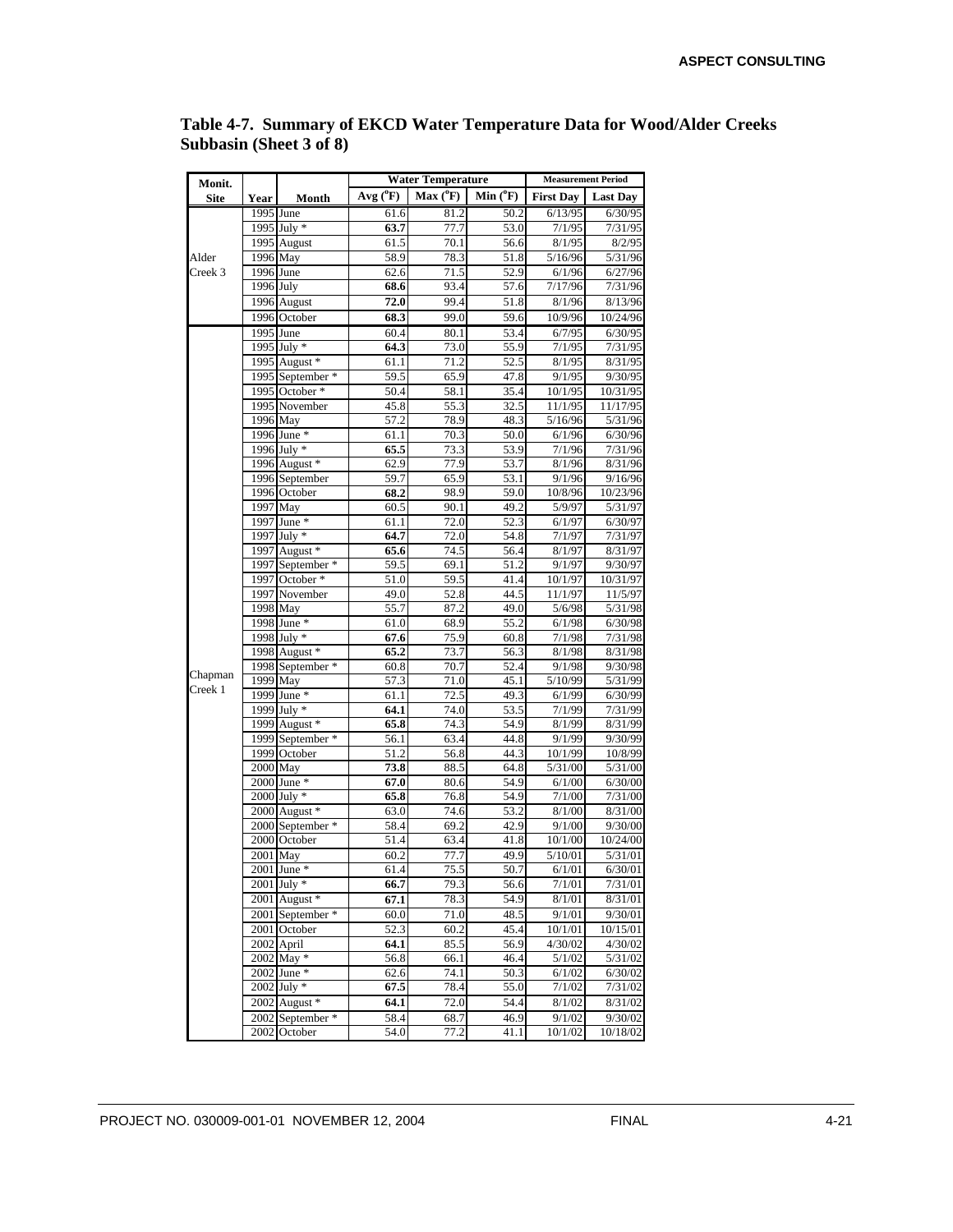| Monit.      |           |                                   |                   | <b>Water Temperature</b>  | <b>Measurement Period</b> |                   |                    |  |
|-------------|-----------|-----------------------------------|-------------------|---------------------------|---------------------------|-------------------|--------------------|--|
| <b>Site</b> | Year      | Month                             | $Avg(^{o}F)$      | $Max(^oF)$                | $Min(^oF)$                | <b>First Day</b>  | <b>Last Day</b>    |  |
|             |           | 1995 June                         | 61.6              | 81.2                      | 50.2                      | 6/13/95           | 6/30/95            |  |
|             |           | 1995 July *                       | 63.7              | 77.7                      | 53.0                      | 7/1/95            | 7/31/95            |  |
|             |           | 1995 August                       | 61.5              | 70.1                      | 56.6                      | 8/1/95            | 8/2/95             |  |
| Alder       | 1996 May  |                                   | 58.9              | 78.3                      | 51.8                      | 5/16/96           | 5/31/96            |  |
| Creek 3     | 1996 June |                                   | 62.6              | 71.5                      | 52.9                      | 6/1/96            | 6/27/96            |  |
|             | 1996 July |                                   | 68.6              | 93.4                      | 57.6                      | 7/17/96           | 7/31/96            |  |
|             |           | 1996 August                       | 72.0              | 99.4                      | 51.8                      | 8/1/96            | 8/13/96            |  |
|             |           | 1996 October<br>1995 June         | 68.3<br>60.4      | 99.0<br>80.1              | 59.6<br>$53.\overline{4}$ | 10/9/96           | 10/24/96           |  |
|             |           | 1995 July *                       | 64.3              | 73.0                      | 55.9                      | 6/7/95<br>7/1/95  | 6/30/95<br>7/31/95 |  |
|             |           | 1995 August *                     | 61.1              | 71.2                      | 52.5                      | 8/1/95            | 8/31/95            |  |
|             |           | 1995 September *                  | 59.5              | 65.9                      | 47.8                      | $\frac{9}{1/95}$  | 9/30/95            |  |
|             |           | 1995 October *                    | 50.4              | 58.1                      | 35.4                      | 10/1/95           | 10/31/95           |  |
|             |           | 1995 November                     | 45.8              | 55.3                      | 32.5                      | 11/1/95           | 11/17/95           |  |
|             |           | $1996$ May                        | 57.2              | 78.9                      | 48.3                      | 5/16/96           | 5/31/96            |  |
|             |           | 1996 June *                       | 61.1              | 70.3                      | 50.0                      | 6/1/96            | 6/30/96            |  |
|             |           | 1996 July *                       | 65.5              | 73.3                      | 53.9                      | 7/1/96            | 7/31/96            |  |
|             |           | 1996 August *                     | 62.9              | 77.9                      | 53.7                      | 8/1/96            | 8/31/96            |  |
|             |           | 1996 September                    | 59.7              | 65.9                      | 53.1                      | 9/1/96            | 9/16/96            |  |
|             |           | 1996 October                      | 68.2              | 98.9                      | 59.0                      | 10/8/96           | 10/23/96           |  |
|             | 1997 May  |                                   | 60.5              | 90.1                      | 49.2                      | 5/9/97            | 5/31/97            |  |
|             |           | 1997 June *                       | 61.1              | 72.0                      | 52.3                      | 6/1/97            | 6/30/97            |  |
|             |           | 1997 July *                       | 64.7              | 72.0                      | 54.8                      | 7/1/97            | 7/31/97            |  |
|             |           | 1997 August *<br>1997 September * | 65.6<br>59.5      | 74.5<br>69.1              | 56.4<br>51.2              | 8/1/97<br>9/1/97  | 8/31/97<br>9/30/97 |  |
|             |           | 1997 October *                    | 51.0              | 59.5                      | 41.4                      | 10/1/97           | 10/31/97           |  |
|             |           | 1997 November                     | 49.0              | 52.8                      | 44.5                      | 11/1/97           | 11/5/97            |  |
|             |           | 1998 May                          | 55.7              | 87.2                      | 49.0                      | 5/6/98            | 5/31/98            |  |
|             |           | 1998 June *                       | 61.0              | 68.9                      | 55.2                      | 6/1/98            | 6/30/98            |  |
|             |           | 1998 July *                       | 67.6              | 75.9                      | 60.8                      | 7/1/98            | 7/31/98            |  |
|             |           | 1998 August *                     | 65.2              | 73.7                      | 56.3                      | 8/1/98            | 8/31/98            |  |
| Chapman     |           | 1998 September *                  | 60.8              | 70.7                      | 52.4                      | 9/1/98            | 9/30/98            |  |
| Creek 1     | 1999 May  |                                   | 57.3              | 71.0                      | 45.1                      | 5/10/99           | 5/31/99            |  |
|             |           | 1999 June *                       | 61.1              | 72.5                      | 49.3                      | 6/1/99            | 6/30/99            |  |
|             |           | 1999 July *                       | 64.1              | 74.0                      | 53.5                      | 7/1/99            | 7/31/99            |  |
|             |           | 1999 August *                     | 65.8              | 74.3                      | 54.9                      | 8/1/99            | 8/31/99            |  |
|             |           | 1999 September *<br>1999 October  | 56.1<br>51.2      | $63.\overline{4}$<br>56.8 | 44.8<br>44.3              | 9/1/99<br>10/1/99 | 9/30/99<br>10/8/99 |  |
|             | 2000 May  |                                   | 73.8              | 88.5                      | 64.8                      | 5/31/00           | 5/31/00            |  |
|             |           | 2000 June *                       | 67.0              | 80.6                      | 54.9                      | 6/1/00            | 6/30/00            |  |
|             |           | $2000$ July $*$                   | 65.8              | 76.8                      | 54.9                      | 7/1/00            | 7/31/00            |  |
|             |           | 2000 August *                     | 63.0              | 74.6                      | 53.2                      | 8/1/00            | 8/31/00            |  |
|             |           | 2000 September *                  | 58.4              | 69.2                      | 42.9                      | 9/1/00            | 9/30/00            |  |
|             |           | 2000 October                      | 51.4              | 63.4                      | 41.8                      | 10/1/00           | 10/24/00           |  |
|             | 2001 May  |                                   | 60.2              | 77.7                      | 49.9                      | 5/10/01           | 5/31/01            |  |
|             |           | 2001 June *                       | 61.4              | 75.5                      | 50.7                      | 6/1/01            | 6/30/01            |  |
|             |           | $2001$ July $*$                   | 66.7              | 79.3                      | 56.6                      | 7/1/01            | 7/31/01            |  |
|             |           | 2001 August *                     | 67.1              | 78.3                      | 54.9                      | 8/1/01            | 8/31/01            |  |
|             |           | 2001 September *                  | 60.0              | 71.0                      | 48.5                      | 9/1/01            | 9/30/01            |  |
|             |           | 2001 October                      | $\overline{52.3}$ | 60.2                      | 45.4                      | 10/1/01           | 10/15/01           |  |
|             |           | 2002 April<br>$2002$ May $*$      | 64.1              | 85.5                      | 56.9<br>46.4              | 4/30/02<br>5/1/02 | 4/30/02            |  |
|             |           | 2002 June *                       | 56.8<br>62.6      | 66.1                      | 50.3                      | 6/1/02            | 5/31/02<br>6/30/02 |  |
|             |           | 2002 July *                       | 67.5              | 74.1<br>78.4              | 55.0                      | 7/1/02            | 7/31/02            |  |
|             |           | 2002 August *                     | 64.1              | 72.0                      | 54.4                      | 8/1/02            | 8/31/02            |  |
|             |           | 2002 September *                  | 58.4              | 68.7                      | 46.9                      | 9/1/02            | 9/30/02            |  |
|             |           | 2002 October                      | 54.0              | 77.2                      | 41.1                      | 10/1/02           | 10/18/02           |  |

**Table 4-7. Summary of EKCD Water Temperature Data for Wood/Alder Creeks Subbasin (Sheet 3 of 8)**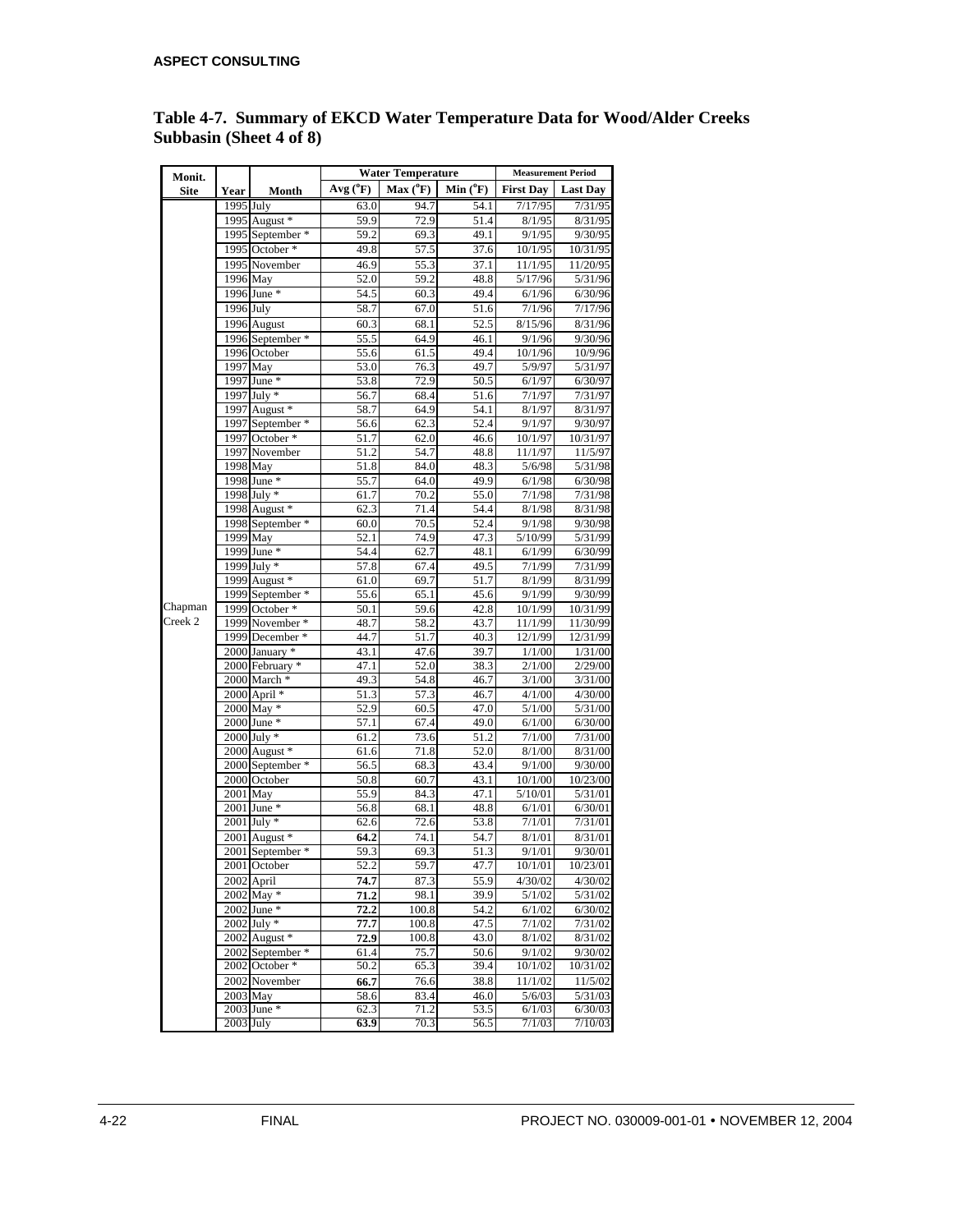| Monit.      |                            |                                   |              | <b>Water Temperature</b> | <b>Measurement Period</b> |                               |                                |
|-------------|----------------------------|-----------------------------------|--------------|--------------------------|---------------------------|-------------------------------|--------------------------------|
| <b>Site</b> | Year                       | Month                             | $Avg(^{0}F)$ | $Max(^oF)$               | $Min(^0F)$                | <b>First Day</b>              | <b>Last Day</b>                |
|             | 1995 July                  |                                   | 63.0         | 94.7                     | 54.1                      | 7/17/95                       | 7/31/95                        |
|             |                            | 1995 August *                     | 59.9         | 72.9                     | 51.4                      | 8/1/95                        | 8/31/95                        |
|             |                            | 1995 September *                  | 59.2         | 69.3                     | 49.1                      | 9/1/95                        | 9/30/95                        |
|             |                            | 1995 October *                    | 49.8         | 57.5                     | 37.6                      | 10/1/95                       | 10/31/95                       |
|             |                            | 1995 November                     | 46.9         | 55.3                     | 37.1                      | 11/1/95                       | 11/20/95                       |
|             | 1996 May                   |                                   | 52.0         | 59.2                     | 48.8                      | 5/17/96                       | 5/31/96                        |
|             |                            | 1996 June *                       | 54.5         | 60.3                     | 49.4                      | 6/1/96                        | 6/30/96                        |
|             | 1996 July                  |                                   | 58.7         | 67.0                     | 51.6                      | 7/1/96                        | 7/17/96                        |
|             |                            | 1996 August                       | 60.3         | 68.1                     | 52.5                      | 8/15/96                       | 8/31/96                        |
|             |                            | 1996 September *                  | 55.5         | 64.9                     | 46.1                      | 9/1/96                        | 9/30/96                        |
|             |                            | 1996 October                      | 55.6         | 61.5                     | 49.4                      | 10/1/96                       | 10/9/96                        |
|             | 1997 May                   |                                   | 53.0         | 76.3                     | 49.7                      | 5/9/97                        | 5/31/97                        |
|             |                            | 1997 June *                       | 53.8         | 72.9                     | 50.5                      | 6/1/97                        | 6/30/97                        |
|             |                            | 1997 July *                       | 56.7         | 68.4                     | 51.6                      | 7/1/97                        | 7/31/97                        |
|             |                            | 1997 August *                     | 58.7         | 64.9                     | 54.1                      | 8/1/97                        | 8/31/97                        |
|             |                            | 1997 September *                  | 56.6         | 62.3                     | 52.4                      | 9/1/97                        | 9/30/97                        |
|             |                            | 1997 October *                    | 51.7         | 62.0                     | 46.6                      | 10/1/97                       | 10/31/97                       |
|             |                            | 1997 November<br>1998 May         | 51.2<br>51.8 | 54.7<br>84.0             | 48.8<br>48.3              | 11/1/97<br>$\frac{1}{5/6}/98$ | 11/5/97<br>$\frac{1}{5}/31/98$ |
|             | 1998 June *<br>1998 July * |                                   | 55.7         | 64.0                     | 49.9                      | 6/1/98                        | 6/30/98                        |
|             |                            |                                   | 61.7         | 70.2                     | 55.0                      | 7/1/98                        | 7/31/98                        |
|             |                            | 1998 August *<br>1998 September * | 62.3         | 71.4                     | 54.4                      | 8/1/98                        | 8/31/98                        |
|             |                            |                                   | 60.0         | 70.5                     | 52.4                      | 9/1/98                        | 9/30/98                        |
|             | 1999 May                   |                                   | 52.1         | 74.9                     | 47.3                      | 5/10/99                       | 5/31/99                        |
|             |                            | 1999 June *                       | 54.4         | 62.7                     | 48.1                      | 6/1/99                        | 6/30/99                        |
|             |                            | 1999 July *                       | 57.8         | 67.4                     | 49.5                      | 7/1/99                        | 7/31/99                        |
|             |                            | 1999 August *                     | 61.0         | 69.7                     | 51.7                      | 8/1/99                        | 8/31/99                        |
|             |                            | 1999 September *                  | 55.6         | 65.1                     | 45.6                      | 9/1/99                        | 9/30/99                        |
| Chapman     |                            | 1999 October *                    | 50.1         | 59.6                     | 42.8                      | 10/1/99                       | 10/31/99                       |
| Creek 2     |                            | 1999 November *                   | 48.7         | 58.2                     | 43.7                      | 11/1/99                       | 11/30/99                       |
|             |                            | 1999 December *                   | 44.7         | 51.7                     | 40.3                      | 12/1/99                       | 12/31/99                       |
|             |                            | 2000 January *                    | 43.1         | 47.6                     | 39.7                      | 1/1/00                        | 1/31/00                        |
|             |                            | 2000 February *                   | 47.1         | 52.0                     | 38.3                      | 2/1/00                        | 2/29/00                        |
|             |                            | 2000 March *                      | 49.3         | 54.8                     | 46.7                      | 3/1/00                        | 3/31/00                        |
|             |                            | 2000 April *                      | 51.3         | 57.3                     | 46.7                      | 4/1/00                        | 4/30/00                        |
|             |                            | 2000 May *                        | 52.9         | 60.5                     | 47.0                      | 5/1/00                        | 5/31/00                        |
|             |                            | 2000 June *<br>2000 July *        | 57.1<br>61.2 | 67.4<br>73.6             | 49.0<br>51.2              | 6/1/00<br>7/1/00              | 6/30/00<br>7/31/00             |
|             |                            | 2000 August *                     | 61.6         | 71.8                     | 52.0                      | 8/1/00                        | 8/31/00                        |
|             |                            | 2000 September *                  | 56.5         | $68.\overline{3}$        | 43.4                      | 9/1/00                        | 9/30/00                        |
|             |                            | 2000 October                      | 50.8         | 60.7                     | 43.1                      | 10/1/00                       | 10/23/00                       |
|             | 2001 May                   |                                   | 55.9         | 84.3                     | 47.1                      | 5/10/01                       | 5/31/01                        |
|             |                            | 2001 June *                       | 56.8         | 68.1                     | 48.8                      | 6/1/01                        | 6/30/01                        |
|             |                            | 2001 July *                       | 62.6         | 72.6                     | 53.8                      | 7/1/01                        | 7/31/01                        |
|             |                            | 2001 August *                     | 64.2         | 74.1                     | 54.7                      | 8/1/01                        | 8/31/01                        |
|             |                            | 2001 September *                  | 59.3         | 69.3                     | 51.3                      | 9/1/01                        | 9/30/01                        |
|             |                            | 2001 October                      | 52.2         | 59.7                     | 47.7                      | 10/1/01                       | 10/23/01                       |
|             |                            | 2002 April                        | 74.7         | 87.3                     | 55.9                      | 4/30/02                       | 4/30/02                        |
|             |                            | 2002 May *                        | 71.2         | 98.1                     | 39.9                      | 5/1/02                        | 5/31/02                        |
|             |                            | 2002 June *                       | 72.2         | 100.8                    | 54.2                      | 6/1/02                        | 6/30/02                        |
|             |                            | 2002 July *                       | 77.7         | 100.8                    | 47.5                      | 7/1/02                        | 7/31/02                        |
|             |                            | 2002 August *                     | 72.9         | 100.8                    | 43.0                      | 8/1/02                        | 8/31/02                        |
|             |                            | 2002 September *                  | 61.4         | 75.7                     | 50.6                      | 9/1/02                        | 9/30/02                        |
|             |                            | 2002 October *                    | 50.2         | 65.3                     | 39.4                      | 10/1/02                       | 10/31/02                       |
|             |                            | 2002 November                     | 66.7         | 76.6                     | 38.8                      | 11/1/02                       | 11/5/02                        |
|             | $2003$ May                 |                                   | 58.6         | 83.4                     | 46.0                      | 5/6/03                        | 5/31/03                        |
|             |                            | 2003 June *                       | 62.3         | 71.2                     | 53.5                      | 6/1/03                        | 6/30/03                        |
|             | $2003$ July                |                                   | 63.9         | 70.3                     | 56.5                      | 7/1/03                        | 7/10/03                        |

#### **Table 4-7. Summary of EKCD Water Temperature Data for Wood/Alder Creeks Subbasin (Sheet 4 of 8)**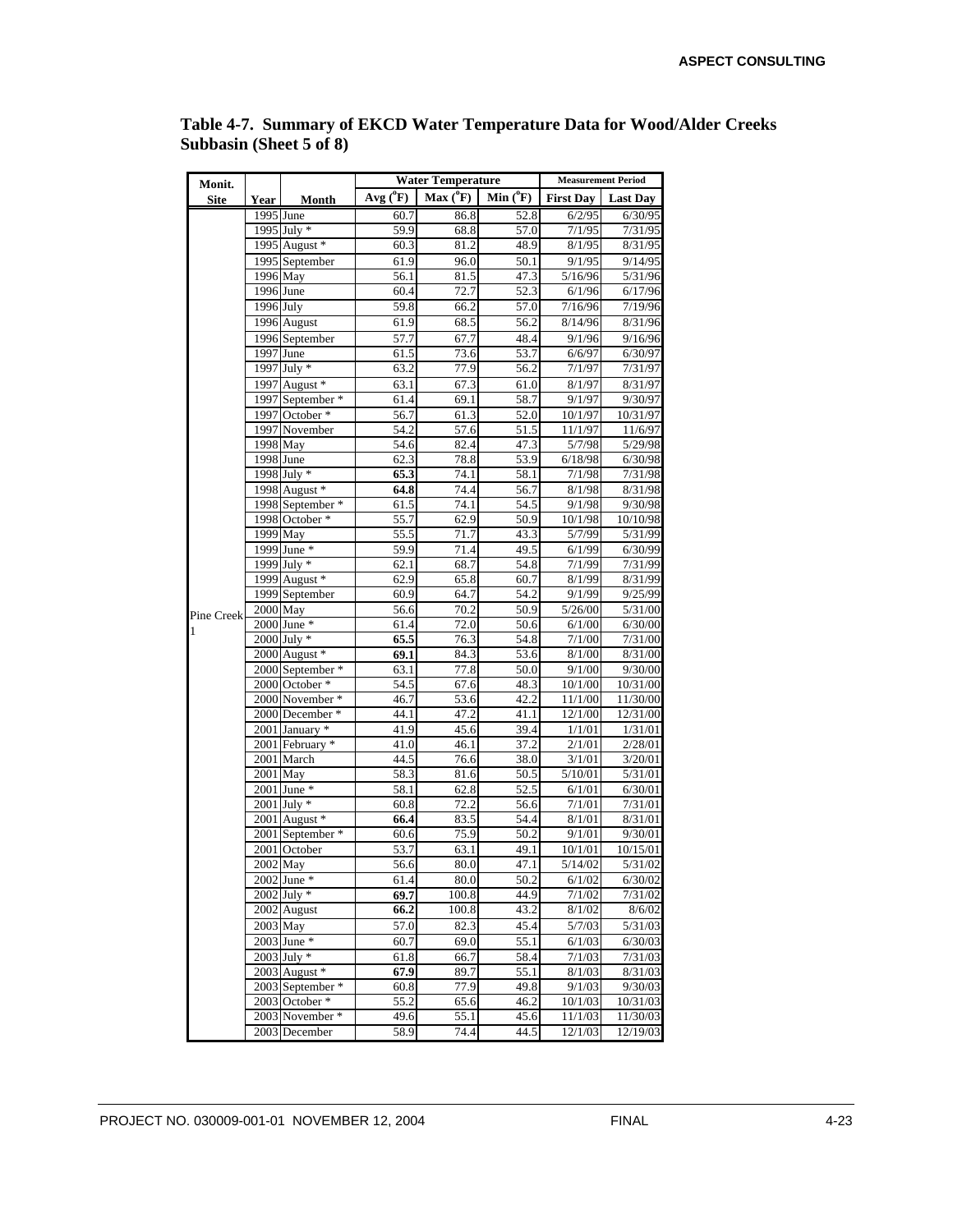| Monit.      |             |                                    |                   | <b>Water Temperature</b> | <b>Measurement Period</b> |                  |                    |
|-------------|-------------|------------------------------------|-------------------|--------------------------|---------------------------|------------------|--------------------|
| <b>Site</b> | Year        | Month                              | $Avg(^{0}F)$      | $Max(^{0}F)$             | Min $(^oF)$               | <b>First Day</b> | <b>Last Day</b>    |
|             |             | 1995 June                          | 60.7              | 86.8                     | 52.8                      | 6/2/95           | 6/30/95            |
|             |             | 1995 July *                        | 59.9              | 68.8                     | 57.0                      | 7/1/95           | 7/31/95            |
|             |             | 1995 August *                      | 60.3              | 81.2                     | 48.9                      | 8/1/95           | 8/31/95            |
|             |             | 1995 September                     | 61.9              | 96.0                     | 50.1                      | 9/1/95           | 9/14/95            |
|             |             | 1996 May                           | 56.1              | 81.5                     | 47.3                      | 5/16/96          | 5/31/96            |
|             | $1996$ June |                                    | 60.4              | 72.7                     | 52.3                      | 6/1/96           | 6/17/96            |
|             | 1996 July   |                                    | 59.8              | 66.2                     | 57.0                      | 7/16/96          | 7/19/96            |
|             |             | 1996 August                        | 61.9              | 68.5                     | 56.2                      | 8/14/96          | 8/31/96            |
|             |             | 1996 September                     | 57.7              | 67.7                     | 48.4                      | 9/1/96           | 9/16/96            |
|             |             | 1997 June                          | 61.5              | 73.6                     | 53.7                      | 6/6/97           | 6/30/97            |
|             |             | 1997 July *                        | 63.2              | 77.9                     | 56.2                      | 7/1/97           | 7/31/97            |
|             |             | 1997 August *                      | 63.1              | 67.3                     | 61.0                      | 8/1/97           | 8/31/97            |
|             |             | 1997 September *                   | 61.4              | 69.1                     | 58.7                      | 9/1/97           | 9/30/97            |
|             |             | 1997 October *                     | 56.7              | 61.3                     | 52.0                      | 10/1/97          | 10/31/97           |
|             |             | 1997 November                      | 54.2              | 57.6                     | 51.5                      | 11/1/97          | 11/6/97            |
|             |             | 1998 May                           | 54.6              | 82.4                     | 47.3                      | 5/7/98           | 5/29/98            |
|             | $1998$ June |                                    | 62.3              | 78.8                     | 53.9                      | 6/18/98          | 6/30/98            |
|             |             | $1998$ July *                      | 65.3              | 74.1                     | 58.1                      | 7/1/98           | 7/31/98            |
|             |             | 1998 August *                      | 64.8              | 74.4                     | 56.7                      | 8/1/98           | 8/31/98            |
|             |             | 1998 September *                   | 61.5              | 74.1                     | 54.5                      | 9/1/98           | 9/30/98            |
|             |             | 1998 October *                     | 55.7              | 62.9                     | 50.9                      | 10/1/98          | 10/10/98           |
|             |             | 1999 May                           | $55.\overline{5}$ | 71.7                     | 43.3                      | 5/7/99           | 5/31/99            |
|             |             | 1999 June *                        | 59.9              | 71.4                     | 49.5                      | 6/1/99           | 6/30/99            |
|             |             | 1999 July *                        | 62.1              | 68.7                     | 54.8                      | 7/1/99           | 7/31/99            |
|             |             | 1999 August $*$                    | 62.9              | 65.8                     | 60.7                      | 8/1/99           | 8/31/99            |
|             |             | 1999 September                     | 60.9              | 64.7                     | 54.2                      | 9/1/99           | 9/25/99            |
| Pine Creek  | 2000 May    |                                    | 56.6              | 70.2                     | 50.9                      | 5/26/00          | 5/31/00            |
| 1           |             | $2000$ June $*$                    | 61.4              | 72.0                     | 50.6                      | 6/1/00           | 6/30/00            |
|             |             | $2000$ July $*$                    | 65.5              | 76.3                     | 54.8                      | 7/1/00           | 7/31/00            |
|             |             | 2000 August *                      | 69.1              | 84.3<br>77.8             | 53.6                      | 8/1/00<br>9/1/00 | 8/31/00<br>9/30/00 |
|             |             | 2000 September *<br>2000 October * | 63.1<br>54.5      | 67.6                     | 50.0<br>48.3              | 10/1/00          | 10/31/00           |
|             |             | 2000 November *                    | 46.7              | 53.6                     | 42.2                      | 11/1/00          | 11/30/00           |
|             |             | 2000 December *                    | 44.1              | 47.2                     | 41.1                      | 12/1/00          | 12/31/00           |
|             |             | 2001 January *                     | 41.9              | 45.6                     | 39.4                      | 1/1/01           | 1/31/01            |
|             |             | 2001 February *                    | 41.0              | 46.1                     | 37.2                      | 2/1/01           | 2/28/01            |
|             |             | 2001 March                         | 44.5              | 76.6                     | $38.\overline{0}$         | 3/1/01           | 3/20/01            |
|             | 2001 May    |                                    | 58.3              | 81.6                     | 50.5                      | 5/10/01          | 5/31/01            |
|             |             | $2001$ June $*$                    | 58.1              | 62.8                     | 52.5                      | 6/1/01           | 6/30/01            |
|             |             | $2001$ July $*$                    | 60.8              | $\overline{72.2}$        | 56.6                      | 7/1/01           | 7/31/01            |
|             |             | $2001$ August $*$                  | 66.4              | 83.5                     | 54.4                      | 8/1/01           | 8/31/01            |
|             |             | 2001 September *                   | 60.6              | 75.9                     | 50.2                      | 9/1/01           | 9/30/01            |
|             |             | 2001 October                       | 53.7              | 63.1                     | 49.1                      | 10/1/01          | 10/15/01           |
|             |             | 2002 May                           | 56.6              | 80.0                     | 47.1                      | 5/14/02          | 5/31/02            |
|             |             | $2002$ June $*$                    | 61.4              | 80.0                     | 50.2                      | 6/1/02           | 6/30/02            |
|             |             | $2002$ July $*$                    | 69.7              | 100.8                    | 44.9                      | 7/1/02           | 7/31/02            |
|             |             | 2002 August                        | 66.2              | 100.8                    | 43.2                      | 8/1/02           | 8/6/02             |
|             |             | 2003 May                           | 57.0              | 82.3                     | 45.4                      | 5/7/03           | 5/31/03            |
|             |             | $2003$ June $*$                    | 60.7              | 69.0                     | 55.1                      | 6/1/03           | 6/30/03            |
|             |             | $2003$ July $*$                    | 61.8              | 66.7                     | 58.4                      | 7/1/03           | 7/31/03            |
|             |             | $2003$ August $*$                  | 67.9              | 89.7                     | 55.1                      | 8/1/03           | 8/31/03            |
|             |             | 2003 September *                   | 60.8              | 77.9                     | 49.8                      | 9/1/03           | 9/30/03            |
|             |             | 2003 October *                     | 55.2              | 65.6                     | 46.2                      | 10/1/03          | 10/31/03           |
|             |             | 2003 November *                    | 49.6              | 55.1                     | 45.6                      | 11/1/03          | 11/30/03           |
|             |             | 2003 December                      | 58.9              | 74.4                     | 44.5                      | 12/1/03          | 12/19/03           |

**Table 4-7. Summary of EKCD Water Temperature Data for Wood/Alder Creeks Subbasin (Sheet 5 of 8)**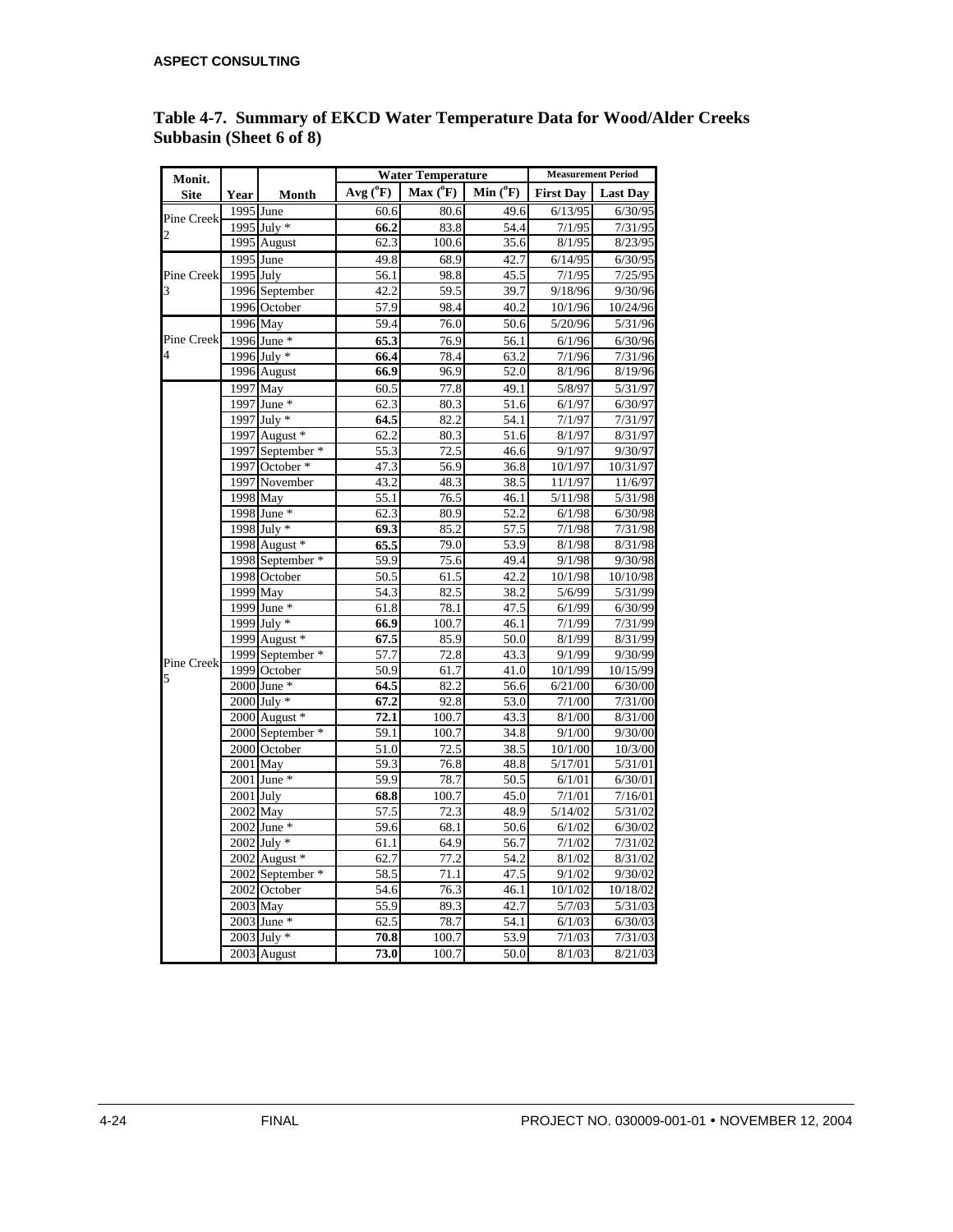| Monit.                  |             |                  |                    | <b>Water Temperature</b> | <b>Measurement Period</b> |                  |                 |
|-------------------------|-------------|------------------|--------------------|--------------------------|---------------------------|------------------|-----------------|
| <b>Site</b>             | Year        | Month            | $Avg(^{0}F)$       | $Max(^0F)$               | Min $(^0F)$               | <b>First Day</b> | <b>Last Day</b> |
|                         | $1995$ June |                  | 60.6               | 80.6                     | 49.6                      | 6/13/95          | 6/30/95         |
| Pine Creek              |             | 1995 July *      | 66.2               | 83.8                     | 54.4                      | 7/1/95           | 7/31/95         |
| $\overline{\mathbf{c}}$ |             | 1995 August      | 62.3               | 100.6                    | 35.6                      | 8/1/95           | 8/23/95         |
|                         | 1995 June   |                  | 49.8               | 68.9                     | 42.7                      | 6/14/95          | 6/30/95         |
| Pine Creek              | $1995$ July |                  | 56.1               | 98.8                     | 45.5                      | 7/1/95           | 7/25/95         |
| 3                       |             | 1996 September   | 42.2               | 59.5                     | 39.7                      | 9/18/96          | 9/30/96         |
|                         |             | 1996 October     | $\overline{57.9}$  | 98.4                     | 40.2                      | 10/1/96          | 10/24/96        |
|                         | 1996 May    |                  | 59.4               | 76.0                     | 50.6                      | 5/20/96          | 5/31/96         |
| Pine Creek              |             | 1996 June *      | 65.3               | 76.9                     | 56.1                      | 6/1/96           | 6/30/96         |
| 4                       |             | 1996 July *      | 66.4               | 78.4                     | 63.2                      | 7/1/96           | 7/31/96         |
|                         |             | 1996 August      | 66.9               | 96.9                     | 52.0                      | 8/1/96           | 8/19/96         |
|                         |             | 1997 May         | 60.5               | 77.8                     | 49.1                      | 5/8/97           | 5/31/97         |
|                         |             | 1997 June *      | 62.3               | 80.3                     | 51.6                      | 6/1/97           | 6/30/97         |
|                         |             | 1997 July *      | 64.5               | 82.2                     | 54.1                      | 7/1/97           | 7/31/97         |
|                         |             | 1997 August *    | 62.2               | 80.3                     | 51.6                      | 8/1/97           | 8/31/97         |
|                         |             | 1997 September * | 55.3               | 72.5                     | 46.6                      | 9/1/97           | 9/30/97         |
|                         |             | 1997 October *   | 47.3               | 56.9                     | 36.8                      | 10/1/97          | 10/31/97        |
|                         |             | 1997 November    | 43.2               | 48.3                     | 38.5                      | 11/1/97          | 11/6/97         |
|                         |             | 1998 May         | 55.1               | 76.5                     | 46.1                      | 5/11/98          | 5/31/98         |
|                         |             | 1998 June *      | 62.3               | 80.9                     | 52.2                      | 6/1/98           | 6/30/98         |
|                         |             | 1998 July *      | 69.3               | 85.2                     | 57.5                      | 7/1/98           | 7/31/98         |
|                         |             | 1998 August *    | 65.5               | 79.0                     | 53.9                      | 8/1/98           | 8/31/98         |
|                         |             | 1998 September * | 59.9               | 75.6                     | 49.4                      | 9/1/98           | 9/30/98         |
|                         |             | 1998 October     | 50.5               | 61.5                     | 42.2                      | 10/1/98          | 10/10/98        |
|                         |             | 1999 May         | 54.3               | 82.5                     | 38.2                      | 5/6/99           | 5/31/99         |
|                         |             | 1999 June *      | 61.8               | 78.1                     | 47.5                      | 6/1/99           | 6/30/99         |
|                         |             | 1999 July *      | 66.9               | 100.7                    | 46.1                      | 7/1/99           | 7/31/99         |
|                         |             | 1999 August *    | 67.5               | 85.9                     | 50.0                      | 8/1/99           | 8/31/99         |
| Pine Creek              |             | 1999 September * | 57.7               | 72.8                     | 43.3                      | 9/1/99           | 9/30/99         |
| 5                       |             | 1999 October     | 50.9               | 61.7                     | 41.0                      | 10/1/99          | 10/15/99        |
|                         |             | 2000 June *      | 64.5               | 82.2                     | 56.6                      | 6/21/00          | 6/30/00         |
|                         |             | 2000 July *      | 67.2               | 92.8                     | 53.0                      | 7/1/00           | 7/31/00         |
|                         |             | 2000 August *    | 72.1               | 100.7                    | 43.3                      | 8/1/00           | 8/31/00         |
|                         |             | 2000 September * | 59.1               | 100.7                    | 34.8                      | 9/1/00           | 9/30/00         |
|                         |             | 2000 October     | 51.0               | 72.5                     | 38.5                      | 10/1/00          | 10/3/00         |
|                         | 2001 May    |                  | 59.3               | 76.8                     | 48.8                      | 5/17/01          | 5/31/01         |
|                         |             | 2001 June *      | 59.9               | 78.7                     | 50.5                      | 6/1/01           | 6/30/01         |
|                         | $2001$ July |                  | 68.8               | 100.7                    | 45.0                      | 7/1/01           | 7/16/01         |
|                         | 2002 May    |                  | $\overline{5}$ 7.5 | 72.3                     | 48.9                      | 5/14/02          | 5/31/02         |
|                         |             | $2002$ June $*$  | 59.6               | 68.1                     | 50.6                      | 6/1/02           | 6/30/02         |
|                         |             | 2002 July *      | 61.1               | 64.9                     | 56.7                      | 7/1/02           | 7/31/02         |
|                         |             | 2002 August *    | 62.7               | 77.2                     | 54.2                      | 8/1/02           | 8/31/02         |
|                         |             | 2002 September * | 58.5               | 71.1                     | 47.5                      | 9/1/02           | 9/30/02         |
|                         |             | 2002 October     | 54.6               | 76.3                     | 46.1                      | 10/1/02          | 10/18/02        |
|                         | 2003 May    |                  | 55.9               | 89.3                     | 42.7                      | 5/7/03           | 5/31/03         |
|                         |             | $2003$ June $*$  | 62.5               | 78.7                     | 54.1                      | 6/1/03           | 6/30/03         |
|                         |             | $2003$ July $*$  | 70.8               | 100.7                    | 53.9                      | 7/1/03           | 7/31/03         |
|                         |             | 2003 August      | 73.0               | 100.7                    | 50.0                      | 8/1/03           | 8/21/03         |

### **Table 4-7. Summary of EKCD Water Temperature Data for Wood/Alder Creeks Subbasin (Sheet 6 of 8)**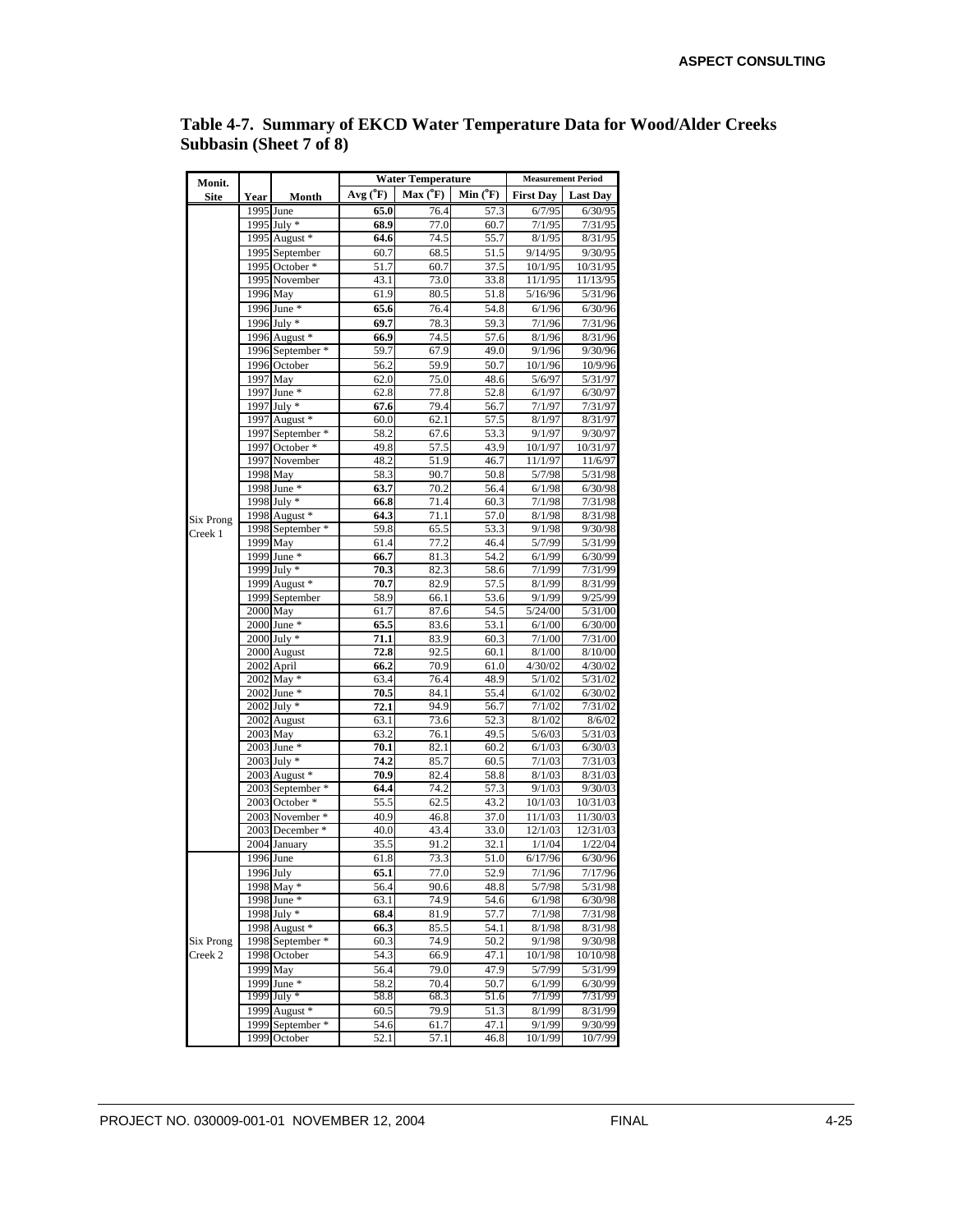| Monit.               |           |                                   |              | <b>Water Temperature</b> | <b>Measurement Period</b> |                  |                    |
|----------------------|-----------|-----------------------------------|--------------|--------------------------|---------------------------|------------------|--------------------|
| <b>Site</b>          | Year      | Month                             | $Avg(^{o}F)$ | $Max(^0F)$               | $Min(^oF)$                | <b>First Day</b> | <b>Last Day</b>    |
|                      |           | 1995 June                         | 65.0         | 76.4                     | 57.3                      | 6/7/95           | 6/30/95            |
|                      |           | 1995 July *                       | 68.9         | 77.0                     | 60.7                      | 7/1/95           | 7/31/95            |
|                      |           | 1995 August *                     | 64.6         | 74.5                     | 55.7                      | 8/1/95           | 8/31/95            |
|                      |           | 1995 September                    | 60.7         | 68.5                     | 51.5                      | 9/14/95          | 9/30/95            |
|                      |           | 1995 October *                    | 51.7         | 60.7                     | 37.5                      | 10/1/95          | 10/31/95           |
|                      |           | 1995 November                     | 43.1         | 73.0                     | 33.8                      | 11/1/95          | 11/13/95           |
|                      |           | 1996 May                          | 61.9         | 80.5                     | 51.8                      | 5/16/96          | 5/31/96            |
|                      |           | 1996 June *                       | 65.6         | 76.4                     | 54.8                      | 6/1/96           | 6/30/96            |
|                      |           | 1996 July *                       | 69.7         | 78.3                     | 59.3                      | 7/1/96           | 7/31/96            |
|                      |           | 1996 August *                     | 66.9<br>59.7 | 74.5<br>67.9             | 57.6<br>49.0              | 8/1/96<br>9/1/96 | 8/31/96<br>9/30/96 |
|                      |           | 1996 September *<br>1996 October  |              | 59.9                     | 50.7                      | 10/1/96          | 10/9/96            |
|                      |           | 1997 May                          | 56.2<br>62.0 | 75.0                     | 48.6                      | 5/6/97           | 5/31/97            |
|                      |           | 1997 June *                       | 62.8         | 77.8                     | 52.8                      | 6/1/97           | 6/30/97            |
|                      |           | 1997 July *                       | 67.6         | 79.4                     | 56.7                      | 7/1/97           | 7/31/97            |
|                      |           | 1997 August *                     | 60.0         | 62.1                     | 57.5                      | 8/1/97           | 8/31/97            |
|                      |           | 1997 September *                  | 58.2         | 67.6                     | 53.3                      | 9/1/97           | 9/30/97            |
|                      |           | $1997$ October $*$                | 49.8         | 57.5                     | 43.9                      | 10/1/97          | 10/31/97           |
|                      |           | 1997 November                     | 48.2         | 51.9                     | 46.7                      | 11/1/97          | 11/6/97            |
|                      | 1998 May  |                                   | 58.3         | 90.7                     | 50.8                      | 5/7/98           | 5/31/98            |
|                      |           | 1998 June *                       | 63.7         | 70.2                     | 56.4                      | 6/1/98           | 6/30/98            |
|                      |           | 1998 July *                       | 66.8         | 71.4                     | 60.3                      | 7/1/98           | 7/31/98            |
| Six Prong            |           | 1998 August *                     | 64.3         | 71.1                     | 57.0                      | 8/1/98           | 8/31/98            |
| Creek 1              |           | 1998 September *<br>1999 May      | 59.8         | 65.5                     | 53.3<br>46.4              | 9/1/98<br>5/7/99 | 9/30/98            |
|                      |           | 1999 June *                       | 61.4<br>66.7 | 77.2<br>81.3             | 54.2                      | 6/1/99           | 5/31/99<br>6/30/99 |
|                      |           | 1999 July *                       | 70.3         | 82.3                     | 58.6                      | 7/1/99           | 7/31/99            |
|                      |           | 1999 August *                     | 70.7         | 82.9                     | 57.5                      | 8/1/99           | 8/31/99            |
|                      |           | 1999 September                    | 58.9         | 66.1                     | 53.6                      | 9/1/99           | 9/25/99            |
|                      |           | 2000 May                          | 61.7         | 87.6                     | 54.5                      | 5/24/00          | 5/31/00            |
|                      |           | 2000 June *                       | 65.5         | 83.6                     | 53.1                      | 6/1/00           | 6/30/00            |
|                      |           | 2000 July *                       | 71.1         | 83.9                     | 60.3                      | 7/1/00           | 7/31/00            |
|                      |           | 2000 August                       | 72.8         | 92.5                     | 60.1                      | 8/1/00           | 8/10/00            |
|                      |           | 2002 April                        | 66.2         | 70.9                     | 61.0                      | 4/30/02          | 4/30/02            |
|                      |           | 2002 May *                        | 63.4         | 76.4                     | 48.9                      | 5/1/02           | 5/31/02            |
|                      |           | 2002 June *                       | 70.5         | 84.1                     | 55.4                      | 6/1/02           | 6/30/02            |
|                      |           | $2002$ July $*$                   | 72.1<br>63.1 | 94.9<br>73.6             | 56.7<br>52.3              | 7/1/02<br>8/1/02 | 7/31/02<br>8/6/02  |
|                      |           | 2002 August<br>2003 May           | 63.2         | 76.1                     | 49.5                      | 5/6/03           | 5/31/03            |
|                      |           | 2003 June *                       | 70.1         | 82.1                     | 60.2                      | 6/1/03           | 6/30/03            |
|                      |           | 2003 July *                       | 74.2         | 85.7                     | 60.5                      | 7/1/03           | 7/31/03            |
|                      |           | 2003 August *                     | 70.9         | 82.4                     | 58.8                      | 8/1/03           | 8/31/03            |
|                      |           | 2003 September *                  | 64.4         | 74.2                     | 57.3                      | 9/1/03           | 9/30/03            |
|                      |           | 2003 October *                    | 55.5         | 62.5                     | 43.2                      | 10/1/03          | 10/31/03           |
|                      |           | 2003 November *                   | 40.9         | 46.8                     | 37.0                      | 11/1/03          | 11/30/03           |
|                      |           | 2003 December *                   | 40.0         | 43.4                     | 33.0                      | 12/1/03          | 12/31/03           |
|                      |           | 2004 January                      | 35.5         | 91.2                     | 32.1                      | 1/1/04           | 1/22/04            |
|                      | 1996 June |                                   | 61.8         | 73.3                     | 51.0                      | 6/17/96          | 6/30/96            |
|                      | 1996 July |                                   | 65.1         | 77.0                     | 52.9                      | 7/1/96           | 7/17/96            |
|                      |           | 1998 May *                        | 56.4         | 90.6                     | 48.8                      | 5/7/98           | 5/31/98            |
|                      |           | 1998 June *                       | 63.1         | 74.9                     | 54.6                      | 6/1/98           | 6/30/98            |
|                      |           | 1998 July *                       | 68.4         | 81.9                     | 57.7                      | 7/1/98           | 7/31/98            |
|                      |           | 1998 August *<br>1998 September * | 66.3<br>60.3 | 85.5<br>74.9             | 54.1                      | 8/1/98<br>9/1/98 | 8/31/98<br>9/30/98 |
| Six Prong<br>Creek 2 |           | 1998 October                      | 54.3         | 66.9                     | 50.2<br>47.1              | 10/1/98          | 10/10/98           |
|                      |           | 1999 May                          | 56.4         | 79.0                     | 47.9                      | 5/7/99           | 5/31/99            |
|                      |           | 1999 June *                       | 58.2         | 70.4                     | 50.7                      | 6/1/99           | 6/30/99            |
|                      |           | 1999 July *                       | 58.8         | 68.3                     | 51.6                      | 7/1/99           | 7/31/99            |
|                      |           | 1999 August *                     | 60.5         | 79.9                     | 51.3                      | 8/1/99           | 8/31/99            |
|                      |           | 1999 September *                  | 54.6         | 61.7                     | 47.1                      | 9/1/99           | 9/30/99            |
|                      |           | 1999 October                      | 52.1         | 57.1                     | 46.8                      | 10/1/99          | 10/7/99            |

**Table 4-7. Summary of EKCD Water Temperature Data for Wood/Alder Creeks Subbasin (Sheet 7 of 8)**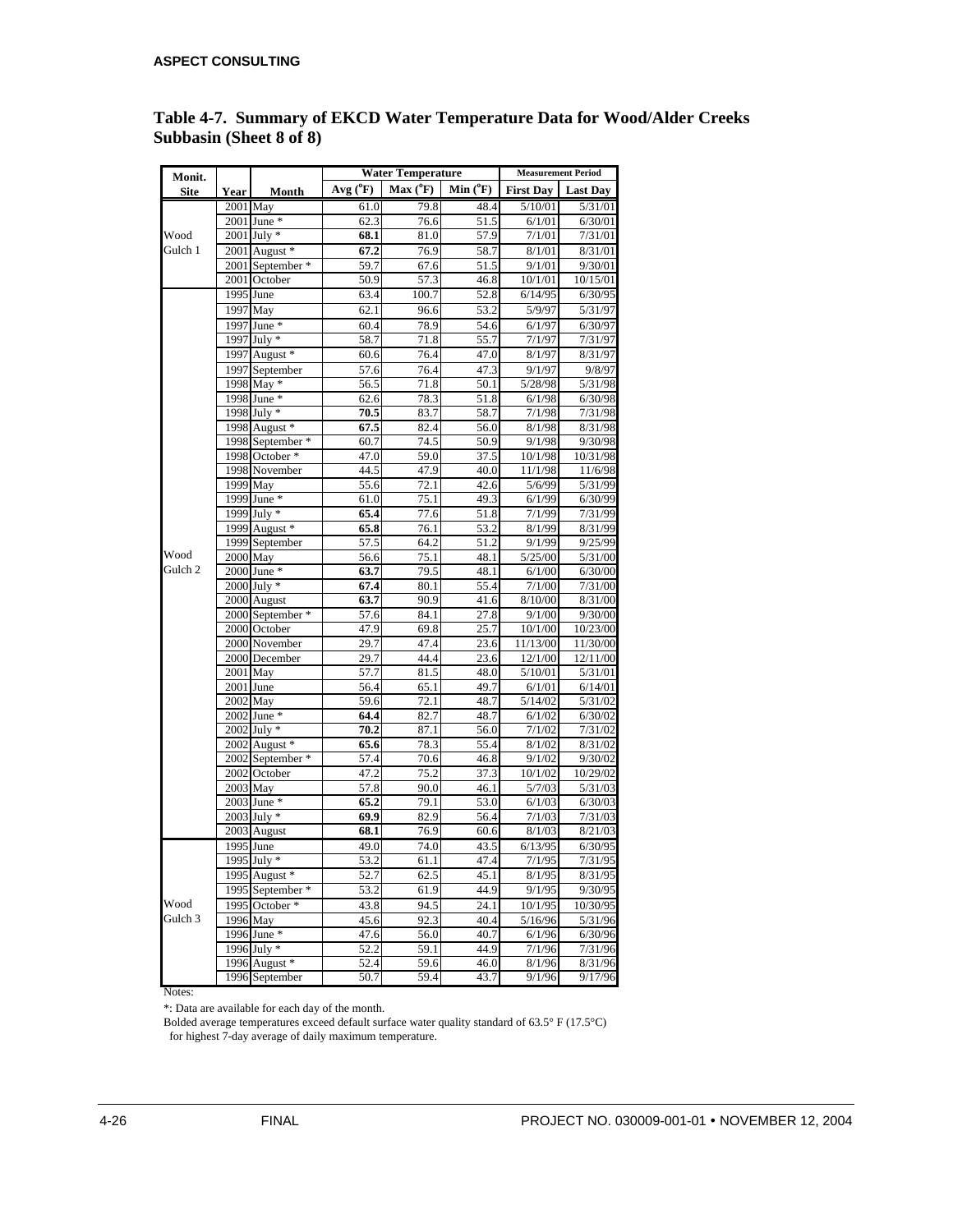| Monit.  |             |                  |                   | <b>Water Temperature</b> | <b>Measurement Period</b> |                    |                     |
|---------|-------------|------------------|-------------------|--------------------------|---------------------------|--------------------|---------------------|
| Site    | <b>Year</b> | Month            | Avg $(^{\circ}F)$ | Max (°F)                 | Min $(^{\circ}F)$         | <b>First Day</b>   | <b>Last Day</b>     |
|         |             | 2001 May         | 61.0              | 79.8                     | 48.4                      | 5/10/01            | 5/31/01             |
|         |             | 2001 June *      | 62.3              | $\overline{76.6}$        | 51.5                      | 6/1/01             | 6/30/01             |
| Wood    |             | $2001$ July $*$  | 68.1              | 81.0                     | 57.9                      | 7/1/01             | 7/31/01             |
| Gulch 1 |             | 2001 August *    | 67.2              | 76.9                     | 58.7                      | 8/1/01             | 8/31/01             |
|         |             | 2001 September * | 59.7              | 67.6                     | 51.5                      | 9/1/01             | 9/30/01             |
|         |             | 2001 October     | 50.9              | 57.3                     | 46.8                      | 10/1/01            | 10/15/01            |
|         | 1995 June   |                  | 63.4              | 100.7                    | 52.8                      | 6/14/95            | 6/30/95             |
|         |             | 1997 May         | 62.1              | 96.6                     | 53.2                      | 5/9/97             | 5/31/97             |
|         |             | 1997 June *      | 60.4              | 78.9                     | 54.6                      | 6/1/97             | 6/30/97             |
|         |             | 1997 July *      | 58.7              | 71.8                     | 55.7                      | 7/1/97             | 7/31/97             |
|         |             | 1997 August *    | 60.6              | 76.4                     | 47.0                      | 8/1/97             | 8/31/97             |
|         |             | 1997 September   | 57.6              | 76.4                     | 47.3                      | 9/1/97             | 9/8/97              |
|         |             | 1998 May *       | 56.5              | 71.8                     | 50.1                      | 5/28/98            | 5/31/98             |
|         |             | 1998 June *      | 62.6              | 78.3                     | 51.8                      | 6/1/98             | 6/30/98             |
|         |             | 1998 July *      | 70.5              | 83.7                     | 58.7                      | 7/1/98             | 7/31/98             |
|         |             | 1998 August *    | 67.5              | 82.4                     | 56.0                      | 8/1/98             | 8/31/98             |
|         |             | 1998 September * | 60.7              | 74.5                     | 50.9                      | 9/1/98             | 9/30/98             |
|         |             | 1998 October *   | 47.0              | 59.0                     | 37.5                      | 10/1/98            | 10/31/98            |
|         |             | 1998 November    | 44.5              | 47.9                     | 40.0                      | 11/1/98            | 11/6/98             |
|         |             | 1999 May         | 55.6              | 72.1                     | 42.6                      | 5/6/99             | 5/31/99             |
|         |             | 1999 June *      | 61.0              | 75.1                     | 49.3                      | 6/1/99             | 6/30/99             |
|         |             | 1999 July *      | 65.4              | 77.6                     | 51.8                      | 7/1/99             | 7/31/99             |
|         |             | 1999 August *    | 65.8              | 76.1                     | 53.2                      | 8/1/99             | 8/31/99             |
|         |             | 1999 September   | 57.5              | 64.2                     | 51.2                      | 9/1/99             | 9/25/99             |
| Wood    | 2000 May    |                  | 56.6              | 75.1                     | 48.1                      | $\frac{5}{25/00}$  | 5/31/00             |
| Gulch 2 |             | 2000 June *      | 63.7              | 79.5                     | 48.1                      | 6/1/00             | 6/30/00             |
|         |             | 2000 July *      | 67.4              | 80.1                     | 55.4                      | 7/1/00             | 7/31/00             |
|         |             | 2000 August      | 63.7              | 90.9                     | 41.6                      | 8/10/00            | 8/31/00             |
|         |             | 2000 September * | 57.6              | 84.1                     | 27.8                      | 9/1/00             | 9/30/00             |
|         |             | 2000 October     | 47.9<br>29.7      | 69.8<br>47.4             | 25.7                      | 10/1/00            | 10/23/00            |
|         |             | 2000 November    |                   |                          | 23.6                      | 11/13/00           | 11/30/00            |
|         | 2001 May    | 2000 December    | 29.7<br>57.7      | 44.4<br>81.5             | 23.6<br>48.0              | 12/1/00<br>5/10/01 | 12/11/00<br>5/31/01 |
|         | 2001 June   |                  | 56.4              | 65.1                     | 49.7                      | 6/1/01             | 6/14/01             |
|         | 2002 May    |                  | 59.6              | 72.1                     | 48.7                      | 5/14/02            | 5/31/02             |
|         |             | 2002 June *      | 64.4              | 82.7                     | 48.7                      | 6/1/02             | 6/30/02             |
|         |             | $2002$ July $*$  | 70.2              | 87.1                     | 56.0                      | 7/1/02             | 7/31/02             |
|         |             | 2002 August *    | 65.6              | 78.3                     | 55.4                      | 8/1/02             | 8/31/02             |
|         |             | 2002 September * | 57.4              | 70.6                     | 46.8                      | 9/1/02             | 9/30/02             |
|         |             | 2002 October     | 47.2              | 75.2                     | 37.3                      | 10/1/02            | 10/29/02            |
|         | 2003 May    |                  | 57.8              | 90.0                     | 46.1                      | 5/7/03             | 5/31/03             |
|         |             | $2003$ June $*$  | 65.2              | 79.1                     | 53.0                      | 6/1/03             | 6/30/03             |
|         |             | $2003$ July $*$  | 69.9              | 82.9                     | 56.4                      | 7/1/03             | 7/31/03             |
|         |             | 2003 August      | 68.1              | 76.9                     | 60.6                      | 8/1/03             | 8/21/03             |
|         | 1995 June   |                  | 49.0              | 74.0                     | 43.5                      | 6/13/95            | 6/30/95             |
|         |             | 1995 July *      | 53.2              | 61.1                     | 47.4                      | 7/1/95             | 7/31/95             |
|         |             | 1995 August *    | 52.7              | 62.5                     | 45.1                      | 8/1/95             | 8/31/95             |
|         |             | 1995 September * | 53.2              | 61.9                     | 44.9                      | 9/1/95             | 9/30/95             |
| Wood    |             | 1995 October *   | 43.8              | 94.5                     | 24.1                      | 10/1/95            | 10/30/95            |
| Gulch 3 |             | 1996 May         | 45.6              | 92.3                     | 40.4                      | 5/16/96            | 5/31/96             |
|         |             | 1996 June *      | 47.6              | 56.0                     | 40.7                      | 6/1/96             | 6/30/96             |
|         |             | 1996 July $*$    | 52.2              | 59.1                     | 44.9                      | 7/1/96             | 7/31/96             |
|         |             | 1996 August *    | 52.4              | 59.6                     | 46.0                      | 8/1/96             | 8/31/96             |
|         |             | 1996 September   | 50.7              | 59.4                     | 43.7                      | 9/1/96             | 9/17/96             |
|         |             |                  |                   |                          |                           |                    |                     |

### **Table 4-7. Summary of EKCD Water Temperature Data for Wood/Alder Creeks Subbasin (Sheet 8 of 8)**

Notes:

\*: Data are available for each day of the month.

Bolded average temperatures exceed default surface water quality standard of 63.5° F (17.5°C) for highest 7-day average of daily maximum temperature.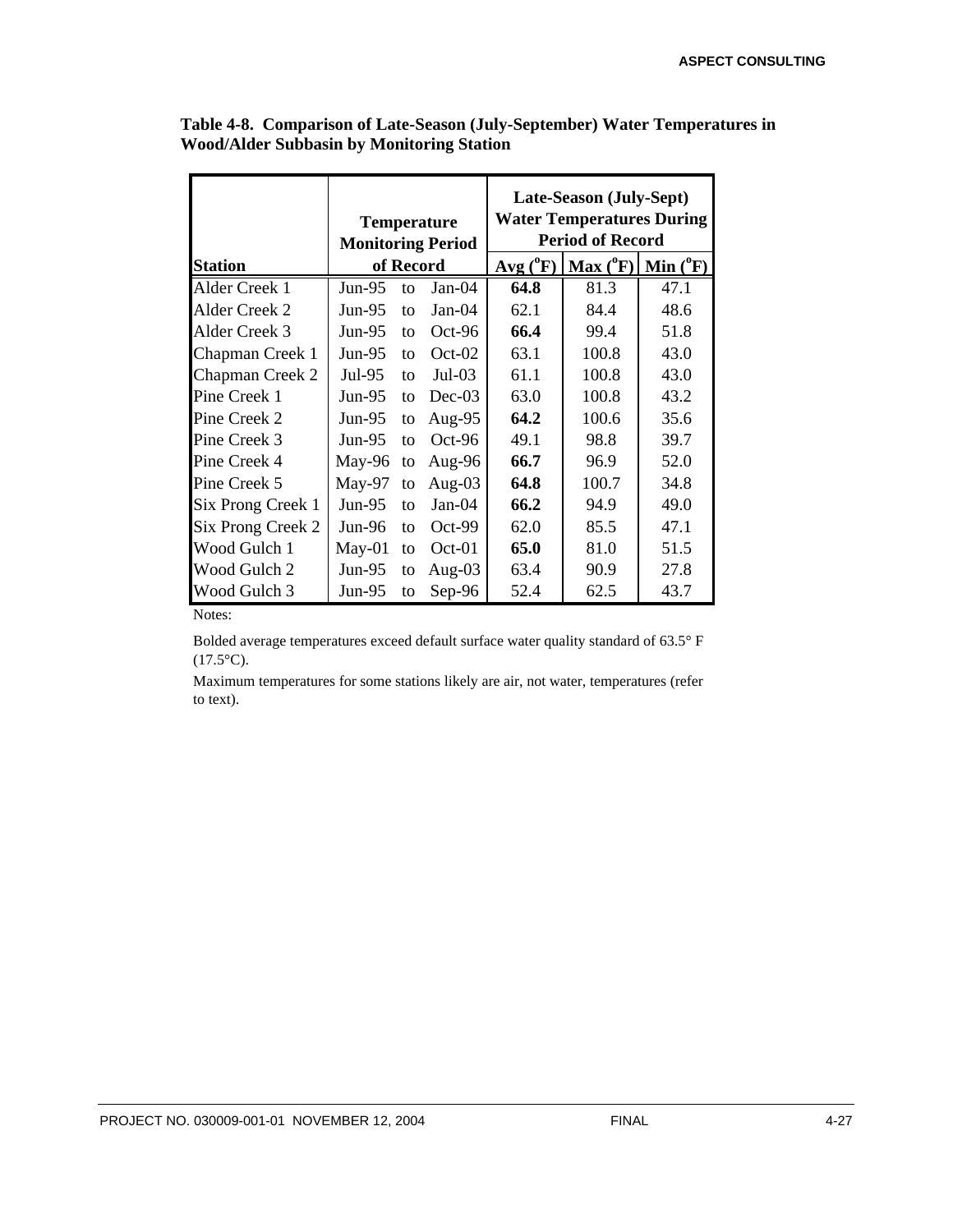|                   |                          |           | <b>Temperature</b><br><b>Monitoring Period</b> | Late-Season (July-Sept)<br><b>Water Temperatures During</b><br><b>Period of Record</b> |          |             |  |  |
|-------------------|--------------------------|-----------|------------------------------------------------|----------------------------------------------------------------------------------------|----------|-------------|--|--|
| <b>Station</b>    |                          | of Record |                                                | $Avg(^{0}F)$                                                                           | Max (°F) | Min $(^0F)$ |  |  |
| Alder Creek 1     | Jun-95<br>$Jan-04$<br>to |           |                                                | 64.8                                                                                   | 81.3     | 47.1        |  |  |
| Alder Creek 2     | Jun-95                   | to        | $Jan-04$                                       | 62.1                                                                                   | 84.4     | 48.6        |  |  |
| Alder Creek 3     | Jun-95                   | to        | $Oct-96$                                       | 66.4                                                                                   | 99.4     | 51.8        |  |  |
| Chapman Creek 1   | Jun- $95$                | to        | $Oct-02$                                       | 63.1                                                                                   | 100.8    | 43.0        |  |  |
| Chapman Creek 2   | Jul-95                   | to        | $Jul-03$                                       | 61.1                                                                                   | 100.8    | 43.0        |  |  |
| Pine Creek 1      | Jun-95                   | to        | $Dec-03$                                       | 63.0                                                                                   | 100.8    | 43.2        |  |  |
| Pine Creek 2      | Jun- $95$                | to        | Aug-95                                         | 64.2                                                                                   | 100.6    | 35.6        |  |  |
| Pine Creek 3      | Jun-95                   | to        | $Oct-96$                                       | 49.1                                                                                   | 98.8     | 39.7        |  |  |
| Pine Creek 4      | May-96                   | to        | Aug-96                                         | 66.7                                                                                   | 96.9     | 52.0        |  |  |
| Pine Creek 5      | May-97                   | to        | Aug- $03$                                      | 64.8                                                                                   | 100.7    | 34.8        |  |  |
| Six Prong Creek 1 | $Jun-95$                 | to        | $Jan-04$                                       | 66.2                                                                                   | 94.9     | 49.0        |  |  |
| Six Prong Creek 2 | Jun- $96$                | to        | $Oct-99$                                       | 62.0                                                                                   | 85.5     | 47.1        |  |  |
| Wood Gulch 1      | $May-01$                 | to        | $Oct-01$                                       | 65.0                                                                                   | 81.0     | 51.5        |  |  |
| Wood Gulch 2      | Jun-95                   | to        | Aug- $03$                                      | 63.4                                                                                   | 90.9     | 27.8        |  |  |
| Wood Gulch 3      | Jun-95                   | to        | Sep-96                                         | 52.4                                                                                   | 62.5     | 43.7        |  |  |

**Table 4-8. Comparison of Late-Season (July-September) Water Temperatures in Wood/Alder Subbasin by Monitoring Station**

Notes:

Bolded average temperatures exceed default surface water quality standard of 63.5° F  $(17.5^{\circ}C).$ 

Maximum temperatures for some stations likely are air, not water, temperatures (refer to text).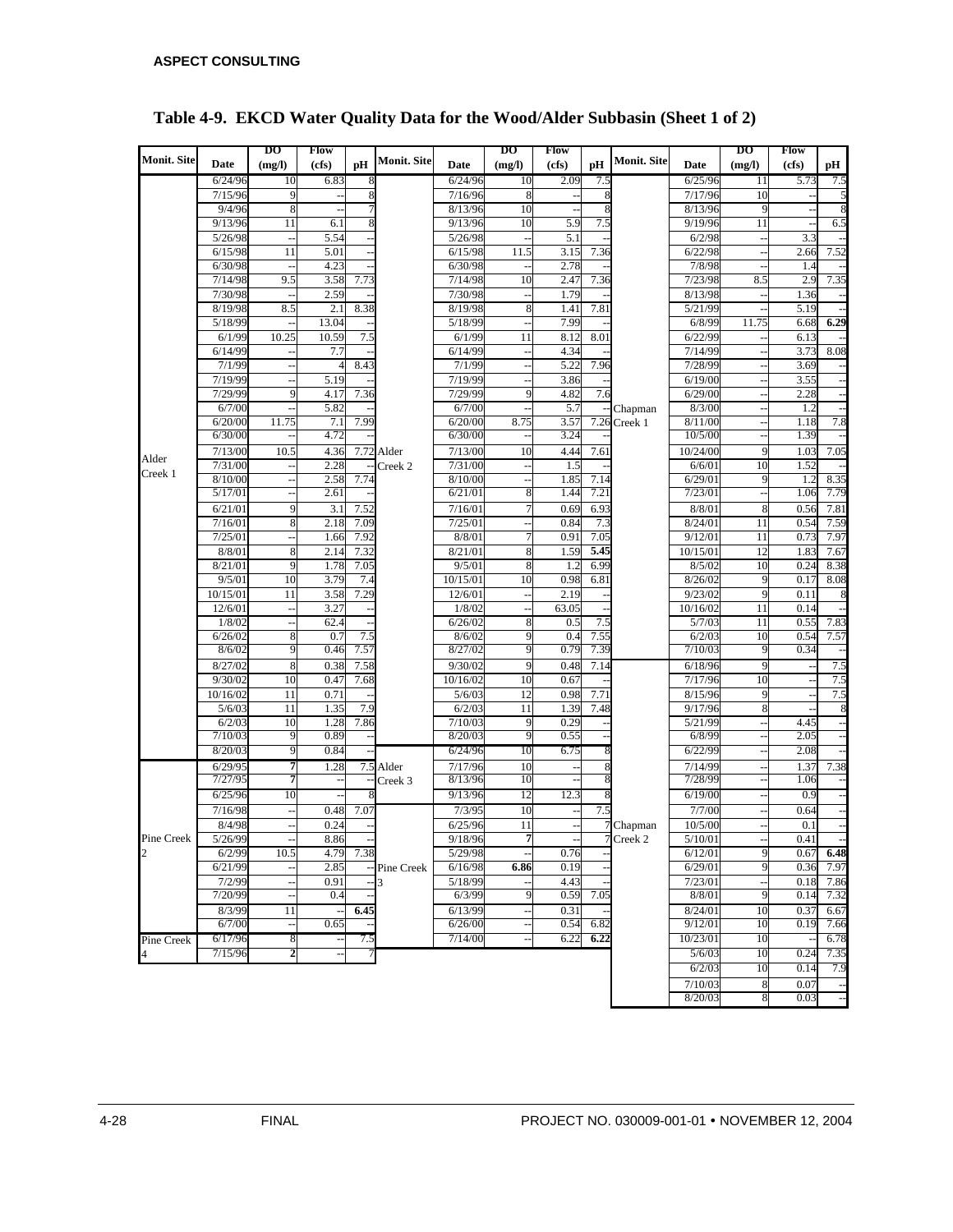|                    |                      | DО                   | Flow         |                      |                    |                    | DО             | Flow         |      |                    |                    | DO       | Flow         |              |
|--------------------|----------------------|----------------------|--------------|----------------------|--------------------|--------------------|----------------|--------------|------|--------------------|--------------------|----------|--------------|--------------|
| <b>Monit. Site</b> | Date                 | (mg/l)               | (cfs)        | рH                   | <b>Monit. Site</b> | Date               | (mg/l)         | (cfs)        | рH   | <b>Monit. Site</b> | Date               | (mg/l)   | (cfs)        | рH           |
|                    | 6/24/96              | 10                   | 6.83         |                      |                    | 6/24/96            | 10             | 2.09         | 7.5  |                    | 6/25/96            | 11       | 5.73         | 7.5          |
|                    | 7/15/96              | 9                    |              | 8                    |                    | 7/16/96            | 8              |              | 8    |                    | 7/17/96            | 10       |              |              |
|                    | 9/4/96               | 8                    |              |                      |                    | 8/13/96            | 10             |              | 8    |                    | 8/13/96            | 9        |              |              |
|                    | 9/13/96              | 11                   | 6.1          | 8                    |                    | 9/13/96            | 10             | 5.9          | 7.5  |                    | 9/19/96            | 11       |              | 6.5          |
|                    | 5/26/98              | $\ddot{\phantom{a}}$ | 5.54         |                      |                    | 5/26/98            |                | 5.1          |      |                    | 6/2/98             |          | 3.3          |              |
|                    | 6/15/98              | 11                   | 5.01         |                      |                    | 6/15/98            | 11.5           | 3.15         | 7.36 |                    | 6/22/98            |          | 2.66         | 7.52         |
|                    | 6/30/98              |                      | 4.23         |                      |                    | 6/30/98            |                | 2.78         |      |                    | 7/8/98             |          | 1.4          |              |
|                    | 7/14/98              | 9.5                  | 3.58         | 7.73                 |                    | 7/14/98            | 10             | 2.47         | 7.36 |                    | 7/23/98            | 8.5      | 2.9          | 7.35         |
|                    | 7/30/98              |                      | 2.59         |                      |                    | 7/30/98            |                | 1.79         |      |                    | 8/13/98            |          | 1.36         |              |
|                    | 8/19/98              | 8.5                  | 2.1          | 8.38                 |                    | 8/19/98            | 8              | 1.41         | 7.81 |                    | 5/21/99            |          | 5.19         |              |
|                    | 5/18/99              |                      | 13.04        |                      |                    | 5/18/99            |                | 7.99         |      |                    | 6/8/99             | 11.75    | 6.68         | 6.29         |
|                    | 6/1/99               | 10.25                | 10.59        | 7.5                  |                    | 6/1/99             | 11             | 8.12         | 8.01 |                    | 6/22/99            |          | 6.13         |              |
|                    | $\frac{1}{6}$ /14/99 | $\ddotsc$            | 7.7          |                      |                    | 6/14/99            |                | 4.34         |      |                    | 7/14/99            |          | 3.73         | 8.08         |
|                    | 7/1/99               |                      | 4            | 8.43                 |                    | 7/1/99             |                | 5.22         | 7.96 |                    | 7/28/99            |          | 3.69         |              |
|                    | 7/19/99              |                      | 5.19         |                      |                    | 7/19/99            | $\overline{a}$ | 3.86         |      |                    | 6/19/00            |          | 3.55         |              |
|                    | 7/29/99              | 9                    | 4.17         | 7.36                 |                    | 7/29/99            | 9              | 4.82         | 7.6  |                    | 6/29/00            |          | 2.28         |              |
|                    | 6/7/00               |                      | 5.82         |                      |                    | 6/7/00             |                | 5.7          |      | Chapman            | 8/3/00             |          | 1.2          |              |
|                    | 6/20/00              | 11.75                | 7.1          | 7.99                 |                    | 6/20/00            | 8.75           | 3.57         | 7.26 | Creek 1            | 8/11/00            |          | 1.18         | 7.8          |
|                    | 6/30/00              |                      | 4.72         |                      |                    | 6/30/00            |                | 3.24         |      |                    | 10/5/00            |          | 1.39         |              |
| Alder              | 7/13/00              | 10.5                 | 4.36         |                      | 7.72 Alder         | 7/13/00            | 10             | 4.44         | 7.61 |                    | 10/24/00           | 9        | 1.03         | 7.05         |
| Creek 1            | 7/31/00              |                      | 2.28         |                      | Creek 2            | 7/31/00            |                | 1.5          |      |                    | 6/6/01             | 10       | 1.52         |              |
|                    | 8/10/00              |                      | 2.58         | 7.74                 |                    | 8/10/00            |                | 1.85         | 7.14 |                    | 6/29/01            | 9        | 1.2          | 8.35         |
|                    | 5/17/01              |                      | 2.61         |                      |                    | 6/21/01            | 8              | 1.44         | 7.21 |                    | 7/23/01            |          | 1.06         | 7.79         |
|                    | 6/21/01              | 9                    | 3.1          | 7.52                 |                    | 7/16/01            |                | 0.69         | 6.93 |                    | 8/8/01             | 8        | 0.56         | 7.81         |
|                    | 7/16/01              | 8                    | 2.18         | 7.09                 |                    | 7/25/01            |                | 0.84         | 7.3  |                    | 8/24/01            | 11       | 0.54         | 7.59         |
|                    | 7/25/01              |                      | 1.66         | 7.92                 |                    | 8/8/01             |                | 0.91         | 7.05 |                    | 9/12/01            | 11       | 0.73         | 7.97         |
|                    | 8/8/01               | 8                    | 2.14         | 7.32                 |                    | 8/21/01            | 8              | 1.59         | 5.45 |                    | 10/15/01           | 12       | 1.83         | 7.67         |
|                    | 8/21/01              | 9                    | 1.78         | 7.05                 |                    | 9/5/01             | 8              | 1.2          | 6.99 |                    | 8/5/02             | 10       | 0.24         | 8.38         |
|                    | 9/5/01               | 10                   | 3.79         | 7.4                  |                    | 10/15/01           | 10             | 0.98         | 6.81 |                    | 8/26/02            | 9        | 0.17         | 8.08         |
|                    | 10/15/01             | 11                   | 3.58         | 7.29                 |                    | 12/6/01            |                | 2.19         |      |                    | 9/23/02            | 9        | 0.11         |              |
|                    | 12/6/01              | $\sim$               | 3.27         |                      |                    | 1/8/02             |                | 63.05        |      |                    | 10/16/02           | 11       | 0.14         |              |
|                    | 1/8/02               | L.                   | 62.4         |                      |                    | 6/26/02            | 8              | 0.5          | 7.5  |                    | 5/7/03             | 11       | 0.55         | 7.83         |
|                    | 6/26/02              | 8                    | 0.7          | 7.5                  |                    | 8/6/02             | 9              | 0.4          | 7.55 |                    | 6/2/03             | 10       | 0.54         | 7.57         |
|                    | 8/6/02               | 9                    | 0.46         | 7.57                 |                    | 8/27/02            |                | 0.79         | 7.39 |                    | 7/10/03            | 9        | 0.34         |              |
|                    | 8/27/02              | 8                    | 0.38         | 7.58                 |                    | 9/30/02            | 9              | 0.48         | 7.14 |                    | 6/18/96            | 9        |              | 7.5          |
|                    | 9/30/02              | 10                   | 0.47         | 7.68                 |                    | 10/16/02           | 10             | 0.67         |      |                    | 7/17/96            | 10       |              | 7.5          |
|                    | 10/16/02             | 11                   | 0.71         |                      |                    | 5/6/03             | 12             | 0.98         | 7.71 |                    | 8/15/96            | 9        |              | 7.5          |
|                    | 5/6/03               | 11<br>10             | 1.35         | 7.9                  |                    | 6/2/03             | 11             | 1.39         | 7.48 |                    | 9/17/96            | 8        |              |              |
|                    | 6/2/03<br>7/10/03    | 9                    | 1.28<br>0.89 | 7.86<br>÷,           |                    | 7/10/03<br>8/20/03 | 9<br>9         | 0.29<br>0.55 |      |                    | 5/21/99<br>6/8/99  |          | 4.45<br>2.05 |              |
|                    | 8/20/03              |                      | 0.84         |                      |                    |                    | 10             | 6.75         |      |                    | 6/22/99            |          | 2.08         |              |
|                    |                      | 9                    |              |                      |                    | 6/24/96            |                |              |      |                    |                    |          |              |              |
|                    | 6/29/95<br>7/27/95   | 7<br>7               | 1.28         |                      | 7.5 Alder          | 7/17/96<br>8/13/96 | 10<br>10       |              |      |                    | 7/14/99<br>7/28/99 |          | 1.37<br>1.06 | 7.38         |
|                    | 6/25/96              | 10                   |              |                      | Creek 3            | 9/13/96            | 12             | 12.3         |      |                    |                    |          |              |              |
|                    |                      |                      |              | 8                    |                    |                    |                |              | 8    |                    | 6/19/00            |          | 0.9          |              |
|                    | 7/16/98              |                      | 0.48         | 7.07                 |                    | 7/3/95             | 10             |              | 7.5  |                    | 7/7/00             |          | 0.64         |              |
|                    | 8/4/98               |                      | 0.24         | $\ddot{\phantom{1}}$ |                    | 6/25/96            | 11<br>7        |              |      | Chapman            | 10/5/00            |          | 0.1          |              |
| Pine Creek         | 5/26/99              |                      | 8.86         |                      |                    | 9/18/96            |                |              |      | $7$ Creek 2        | 5/10/01            |          | 0.41         |              |
| $\overline{c}$     | 6/2/99               | 10.5                 | 4.79         | 7.38                 |                    | 5/29/98            |                | 0.76         |      |                    | 6/12/01            | 9<br>9   | 0.67         | 6.48         |
|                    | 6/21/99              |                      | 2.85         |                      | -- Pine Creek      | 6/16/98            | 6.86           | 0.19         |      |                    | 6/29/01            |          | 0.36         | 7.97         |
|                    | 7/2/99<br>7/20/99    |                      | 0.91<br>0.4  |                      | 3                  | 5/18/99<br>6/3/99  | 9              | 4.43<br>0.59 | 7.05 |                    | 7/23/01<br>8/8/01  | 9        | 0.18<br>0.14 | 7.86<br>7.32 |
|                    |                      |                      |              |                      |                    |                    |                |              |      |                    |                    |          |              |              |
|                    | 8/3/99<br>6/7/00     | 11                   | 0.65         | 6.45                 |                    | 6/13/99<br>6/26/00 |                | 0.31<br>0.54 | 6.82 |                    | 8/24/01<br>9/12/01 | 10<br>10 | 0.37<br>0.19 | 6.67<br>7.66 |
|                    |                      | $\overline{a}$       |              |                      |                    |                    |                |              | 6.22 |                    |                    |          |              |              |
| Pine Creek         | 6/17/96              | 8                    |              | 7.5                  |                    | 7/14/00            |                | 6.22         |      |                    | 10/23/01           | 10       |              | 6.78         |
|                    | 7/15/96              | 2                    |              |                      |                    |                    |                |              |      |                    | 5/6/03             | 10       | 0.24         | 7.35         |
|                    |                      |                      |              |                      |                    |                    |                |              |      |                    | 6/2/03             | 10       | 0.14         | 7.9          |
|                    |                      |                      |              |                      |                    |                    |                |              |      |                    | 7/10/03            | 8        | 0.07         |              |
|                    |                      |                      |              |                      |                    |                    |                |              |      |                    | 8/20/03            | 8        | 0.03         |              |

## **Table 4-9. EKCD Water Quality Data for the Wood/Alder Subbasin (Sheet 1 of 2)**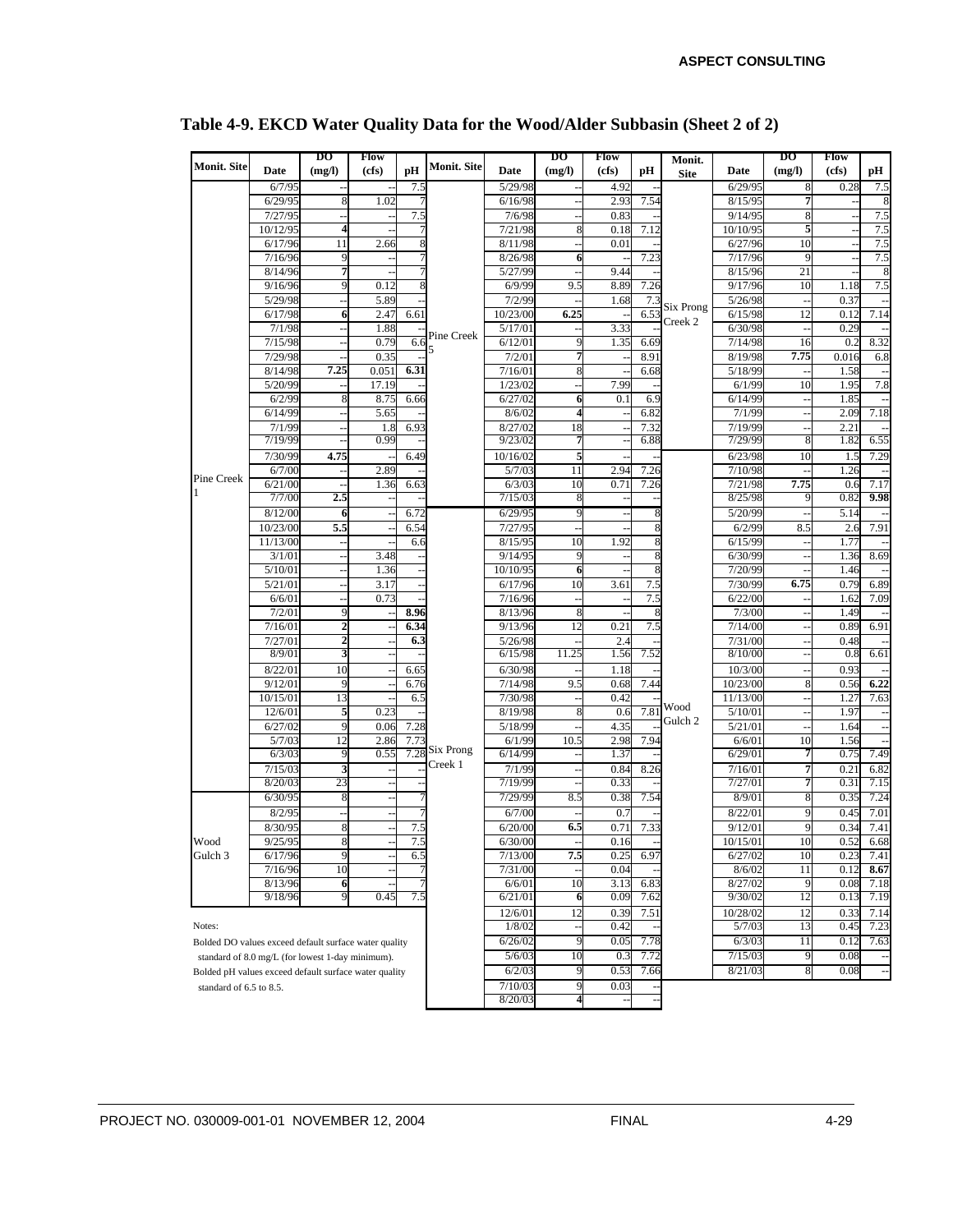| (mg/l)<br>pH<br>(mg/l)<br>(mg/l)<br>Date<br>(cfs)<br>(cfs)<br>pН<br>(cfs)<br>pН<br>Date<br>Date<br><b>Site</b><br>6/7/95<br>5/29/98<br>4.92<br>6/29/95<br>0.28<br>7.5<br>7.5<br>7.54<br>6/29/95<br>$\bf 8$<br>1.02<br>6/16/98<br>2.93<br>8/15/95<br>7.5<br>7/27/95<br>7.5<br>7/6/98<br>9/14/95<br>0.83<br>7.5<br>7/21/98<br>7.12<br>10/10/95<br>10/12/95<br>$\overline{\mathbf{4}}$<br>8<br>0.18<br>7.5<br>6/17/96<br>11<br>8/11/98<br>6/27/96<br>10<br>2.66<br>0.01<br>÷,<br>7.23<br>7.5<br>7/16/96<br>8/26/98<br>6<br>7/17/96<br>9<br>9<br>8/14/96<br>7<br>5/27/99<br>8/15/96<br>9.44<br>21<br>9/16/96<br>9.5<br>9/17/96<br>7.5<br>0.12<br>6/9/99<br>8.89<br>7.26<br>10<br>9<br>1.18<br>5/29/98<br>7/2/99<br>5/26/98<br>5.89<br>7.3<br>0.37<br>1.68<br>Six Prong<br>6.25<br>6.53<br>6/15/98<br>6/17/98<br>2.47<br>10/23/00<br>12<br>7.14<br>6<br>6.61<br>0.12<br>$\overline{a}$<br>Creek 2<br>7/1/98<br>5/17/01<br>3.33<br>6/30/98<br>1.88<br>0.29<br>Pine Creek<br>7/15/98<br>0.79<br>6.6<br>6/12/01<br>9<br>7/14/98<br>8.32<br>1.35<br>6.69<br>16<br>0.2<br>$\overline{a}$<br>5<br>8.91<br>7.75<br>7/29/98<br>0.35<br>7/2/01<br>7<br>8/19/98<br>0.016<br>6.8<br>$\overline{\phantom{a}}$<br>$\overline{\phantom{a}}$<br>8/14/98<br>7.25<br>0.051<br>6.31<br>7/16/01<br>5/18/99<br>1.58<br>8<br>6.68<br>5/20/99<br>7.99<br>7.8<br>17.19<br>1/23/02<br>6/1/99<br>10<br>1.95<br>L,<br>6/2/99<br>6/27/02<br>8.75<br>6<br>6.9<br>6/14/99<br>8<br>6.66<br>0.1<br>1.85<br>6/14/99<br>5.65<br>8/6/02<br>$\overline{4}$<br>6.82<br>7/1/99<br>2.09<br>7.18<br>÷,<br>7/1/99<br>6.93<br>8/27/02<br>18<br>7.32<br>7/19/99<br>1.8<br>2.21<br>9/23/02<br>7/29/99<br>6.55<br>7/19/99<br>0.99<br>6.88<br>1.82<br>8<br>4.75<br>5<br>7/30/99<br>10/16/02<br>6/23/98<br>10<br>7.29<br>6.49<br>1.5<br>$\overline{11}$<br>6/7/00<br>2.89<br>5/7/03<br>2.94<br>7.26<br>7/10/98<br>1.26<br>Pine Creek<br>6/3/03<br>7.75<br>6/21/00<br>1.36<br>10<br>0.71<br>7.26<br>7/21/98<br>7.17<br>6.63<br>0.6<br>9.98<br>7/7/00<br>2.5<br>7/15/03<br>8/25/98<br>0.82<br>8/12/00<br>6/29/95<br>5/20/99<br>5.14<br>6.72<br>9<br>6<br>8<br>5.5<br>7/27/95<br>6/2/99<br>8.5<br>7.91<br>10/23/00<br>6.54<br>2.6<br>11/13/00<br>8/15/95<br>10<br>1.92<br>6/15/99<br>1.77<br>6.6<br>3/1/01<br>3.48<br>9/14/95<br>9<br>6/30/99<br>1.36<br>8.69<br>8<br>5/10/01<br>1.36<br>10/10/95<br>7/20/99<br>6<br>1.46<br>$\overline{\phantom{a}}$<br>6.75<br>5/21/01<br>3.17<br>6/17/96<br>10<br>7.5<br>7/30/99<br>0.79<br>6.89<br>3.61<br>6/6/01<br>0.73<br>7/16/96<br>7.5<br>6/22/00<br>7.09<br>1.62<br>7/2/01<br>8.96<br>7/3/00<br>8/13/96<br>8<br>1.49<br>9<br>$\mathbf{2}$<br>12<br>7.5<br>7/14/00<br>6.91<br>7/16/01<br>6.34<br>9/13/96<br>0.21<br>0.89<br>7/27/01<br>$\overline{\mathbf{c}}$<br>6.3<br>5/26/98<br>2.4<br>7/31/00<br>0.48<br>ä,<br>8/9/01<br>11.25<br>7.52<br>8/10/00<br>6.61<br>3<br>6/15/98<br>1.56<br>0.8<br>8/22/01<br>6/30/98<br>10/3/00<br>0.93<br>10<br>6.65<br>1.18<br>9/12/01<br>9.5<br>10/23/00<br>6.22<br>9<br>6.76<br>7/14/98<br>7.44<br>8<br>0.68<br>0.56<br>10/15/01<br>13<br>7/30/98<br>11/13/00<br>7.63<br>6.5<br>0.42<br>1.27<br>Wood<br>7.81<br>12/6/01<br>5<br>0.23<br>8/19/98<br>5/10/01<br>1.97<br>ş<br>0.6<br>Gulch <sub>2</sub><br>6/27/02<br>7.28<br>5/18/99<br>4.35<br>5/21/01<br>9<br>0.06<br>1.64<br>6/1/99<br>10.5<br>2.98<br>7.94<br>10<br>5/7/03<br>12<br>2.86<br>7.73<br>6/6/01<br>1.56<br>Six Prong<br>6/29/01<br>7.49<br>6/3/03<br>0.55<br>7.28<br>6/14/99<br>0.75<br>9<br>1.37<br>Creek 1<br>7/1/99<br>6.82<br>7/15/03<br>3<br>0.84<br>8.26<br>7/16/01<br>7<br>0.21<br>8/20/03<br>23<br>7/19/99<br>7/27/01<br>0.31<br>7.15<br>0.33<br>7<br>7.24<br>7/29/99<br>8/9/01<br>6/30/95<br>0.38<br>7.54<br>0.35<br>8.5<br>8<br>8<br>8/2/95<br>8/22/01<br>7.01<br>6/7/00<br>0.7<br>0.45<br>9<br>8/30/95<br>$\bf 8$<br>7.5<br>6/20/00<br>6.5<br>0.71<br>7.33<br>9/12/01<br>7.41<br>0.34<br>9<br>9/25/95<br>8<br>7.5<br>6/30/00<br>10/15/01<br>10<br>0.52<br>6.68<br>Wood<br>0.16<br>Gulch 3<br>7.5<br>6/17/96<br>9<br>7/13/00<br>6/27/02<br>10<br>6.5<br>0.25<br>6.97<br>0.23<br>7.41<br>8.67<br>7/16/96<br>10<br>7/31/00<br>0.04<br>8/6/02<br>11<br>0.12<br>10<br>3.13<br>8/27/02<br>8/13/96<br>6/6/01<br>6.83<br>9<br>0.08<br>7.18<br>6<br>9/18/96<br>9<br>0.45<br>7.5<br>0.09<br>12<br>6/21/01<br>7.62<br>9/30/02<br>0.13<br>7.19<br>6<br>12/6/01<br>12<br>0.39<br>7.51<br>10/28/02<br>0.33<br>7.14<br>12<br>1/8/02<br>0.42<br>5/7/03<br>0.45<br>7.23<br>13<br>Notes:<br>0.05<br>6/26/02<br>9<br>7.78<br>6/3/03<br>0.12<br>7.63<br>11<br>Bolded DO values exceed default surface water quality<br>7.72<br>0.08<br>5/6/03<br>10<br>0.3<br>7/15/03<br>9<br>standard of 8.0 mg/L (for lowest 1-day minimum).<br>6/2/03<br>0.53<br>7.66<br>8/21/03<br>0.08<br>9<br>8<br>$\overline{\phantom{a}}$<br>Bolded pH values exceed default surface water quality<br>7/10/03<br>9<br>0.03<br>standard of 6.5 to 8.5.<br>8/20/03<br>4 |                    |  | DO | Flow |  |                    | DO | Flow | Monit. | DO | Flow |  |
|-------------------------------------------------------------------------------------------------------------------------------------------------------------------------------------------------------------------------------------------------------------------------------------------------------------------------------------------------------------------------------------------------------------------------------------------------------------------------------------------------------------------------------------------------------------------------------------------------------------------------------------------------------------------------------------------------------------------------------------------------------------------------------------------------------------------------------------------------------------------------------------------------------------------------------------------------------------------------------------------------------------------------------------------------------------------------------------------------------------------------------------------------------------------------------------------------------------------------------------------------------------------------------------------------------------------------------------------------------------------------------------------------------------------------------------------------------------------------------------------------------------------------------------------------------------------------------------------------------------------------------------------------------------------------------------------------------------------------------------------------------------------------------------------------------------------------------------------------------------------------------------------------------------------------------------------------------------------------------------------------------------------------------------------------------------------------------------------------------------------------------------------------------------------------------------------------------------------------------------------------------------------------------------------------------------------------------------------------------------------------------------------------------------------------------------------------------------------------------------------------------------------------------------------------------------------------------------------------------------------------------------------------------------------------------------------------------------------------------------------------------------------------------------------------------------------------------------------------------------------------------------------------------------------------------------------------------------------------------------------------------------------------------------------------------------------------------------------------------------------------------------------------------------------------------------------------------------------------------------------------------------------------------------------------------------------------------------------------------------------------------------------------------------------------------------------------------------------------------------------------------------------------------------------------------------------------------------------------------------------------------------------------------------------------------------------------------------------------------------------------------------------------------------------------------------------------------------------------------------------------------------------------------------------------------------------------------------------------------------------------------------------------------------------------------------------------------------------------------------------------------------------------------------------------------------------------------------------------------------------------------------------------------------------------------------------------------------------------------------------------------------------------------------------------------------------------------------------------------------------------------------------------------------------------------------------------------------------------------------------------------------------------------------------------------------------------------------------------------------------------------------------------------------------------------------------------------------------------------------------------------------------------------------------------|--------------------|--|----|------|--|--------------------|----|------|--------|----|------|--|
|                                                                                                                                                                                                                                                                                                                                                                                                                                                                                                                                                                                                                                                                                                                                                                                                                                                                                                                                                                                                                                                                                                                                                                                                                                                                                                                                                                                                                                                                                                                                                                                                                                                                                                                                                                                                                                                                                                                                                                                                                                                                                                                                                                                                                                                                                                                                                                                                                                                                                                                                                                                                                                                                                                                                                                                                                                                                                                                                                                                                                                                                                                                                                                                                                                                                                                                                                                                                                                                                                                                                                                                                                                                                                                                                                                                                                                                                                                                                                                                                                                                                                                                                                                                                                                                                                                                                                                                                                                                                                                                                                                                                                                                                                                                                                                                                                                                                                                                         | <b>Monit. Site</b> |  |    |      |  | <b>Monit. Site</b> |    |      |        |    |      |  |
|                                                                                                                                                                                                                                                                                                                                                                                                                                                                                                                                                                                                                                                                                                                                                                                                                                                                                                                                                                                                                                                                                                                                                                                                                                                                                                                                                                                                                                                                                                                                                                                                                                                                                                                                                                                                                                                                                                                                                                                                                                                                                                                                                                                                                                                                                                                                                                                                                                                                                                                                                                                                                                                                                                                                                                                                                                                                                                                                                                                                                                                                                                                                                                                                                                                                                                                                                                                                                                                                                                                                                                                                                                                                                                                                                                                                                                                                                                                                                                                                                                                                                                                                                                                                                                                                                                                                                                                                                                                                                                                                                                                                                                                                                                                                                                                                                                                                                                                         |                    |  |    |      |  |                    |    |      |        |    |      |  |
|                                                                                                                                                                                                                                                                                                                                                                                                                                                                                                                                                                                                                                                                                                                                                                                                                                                                                                                                                                                                                                                                                                                                                                                                                                                                                                                                                                                                                                                                                                                                                                                                                                                                                                                                                                                                                                                                                                                                                                                                                                                                                                                                                                                                                                                                                                                                                                                                                                                                                                                                                                                                                                                                                                                                                                                                                                                                                                                                                                                                                                                                                                                                                                                                                                                                                                                                                                                                                                                                                                                                                                                                                                                                                                                                                                                                                                                                                                                                                                                                                                                                                                                                                                                                                                                                                                                                                                                                                                                                                                                                                                                                                                                                                                                                                                                                                                                                                                                         |                    |  |    |      |  |                    |    |      |        |    |      |  |
|                                                                                                                                                                                                                                                                                                                                                                                                                                                                                                                                                                                                                                                                                                                                                                                                                                                                                                                                                                                                                                                                                                                                                                                                                                                                                                                                                                                                                                                                                                                                                                                                                                                                                                                                                                                                                                                                                                                                                                                                                                                                                                                                                                                                                                                                                                                                                                                                                                                                                                                                                                                                                                                                                                                                                                                                                                                                                                                                                                                                                                                                                                                                                                                                                                                                                                                                                                                                                                                                                                                                                                                                                                                                                                                                                                                                                                                                                                                                                                                                                                                                                                                                                                                                                                                                                                                                                                                                                                                                                                                                                                                                                                                                                                                                                                                                                                                                                                                         |                    |  |    |      |  |                    |    |      |        |    |      |  |
|                                                                                                                                                                                                                                                                                                                                                                                                                                                                                                                                                                                                                                                                                                                                                                                                                                                                                                                                                                                                                                                                                                                                                                                                                                                                                                                                                                                                                                                                                                                                                                                                                                                                                                                                                                                                                                                                                                                                                                                                                                                                                                                                                                                                                                                                                                                                                                                                                                                                                                                                                                                                                                                                                                                                                                                                                                                                                                                                                                                                                                                                                                                                                                                                                                                                                                                                                                                                                                                                                                                                                                                                                                                                                                                                                                                                                                                                                                                                                                                                                                                                                                                                                                                                                                                                                                                                                                                                                                                                                                                                                                                                                                                                                                                                                                                                                                                                                                                         |                    |  |    |      |  |                    |    |      |        |    |      |  |
|                                                                                                                                                                                                                                                                                                                                                                                                                                                                                                                                                                                                                                                                                                                                                                                                                                                                                                                                                                                                                                                                                                                                                                                                                                                                                                                                                                                                                                                                                                                                                                                                                                                                                                                                                                                                                                                                                                                                                                                                                                                                                                                                                                                                                                                                                                                                                                                                                                                                                                                                                                                                                                                                                                                                                                                                                                                                                                                                                                                                                                                                                                                                                                                                                                                                                                                                                                                                                                                                                                                                                                                                                                                                                                                                                                                                                                                                                                                                                                                                                                                                                                                                                                                                                                                                                                                                                                                                                                                                                                                                                                                                                                                                                                                                                                                                                                                                                                                         |                    |  |    |      |  |                    |    |      |        |    |      |  |
|                                                                                                                                                                                                                                                                                                                                                                                                                                                                                                                                                                                                                                                                                                                                                                                                                                                                                                                                                                                                                                                                                                                                                                                                                                                                                                                                                                                                                                                                                                                                                                                                                                                                                                                                                                                                                                                                                                                                                                                                                                                                                                                                                                                                                                                                                                                                                                                                                                                                                                                                                                                                                                                                                                                                                                                                                                                                                                                                                                                                                                                                                                                                                                                                                                                                                                                                                                                                                                                                                                                                                                                                                                                                                                                                                                                                                                                                                                                                                                                                                                                                                                                                                                                                                                                                                                                                                                                                                                                                                                                                                                                                                                                                                                                                                                                                                                                                                                                         |                    |  |    |      |  |                    |    |      |        |    |      |  |
|                                                                                                                                                                                                                                                                                                                                                                                                                                                                                                                                                                                                                                                                                                                                                                                                                                                                                                                                                                                                                                                                                                                                                                                                                                                                                                                                                                                                                                                                                                                                                                                                                                                                                                                                                                                                                                                                                                                                                                                                                                                                                                                                                                                                                                                                                                                                                                                                                                                                                                                                                                                                                                                                                                                                                                                                                                                                                                                                                                                                                                                                                                                                                                                                                                                                                                                                                                                                                                                                                                                                                                                                                                                                                                                                                                                                                                                                                                                                                                                                                                                                                                                                                                                                                                                                                                                                                                                                                                                                                                                                                                                                                                                                                                                                                                                                                                                                                                                         |                    |  |    |      |  |                    |    |      |        |    |      |  |
|                                                                                                                                                                                                                                                                                                                                                                                                                                                                                                                                                                                                                                                                                                                                                                                                                                                                                                                                                                                                                                                                                                                                                                                                                                                                                                                                                                                                                                                                                                                                                                                                                                                                                                                                                                                                                                                                                                                                                                                                                                                                                                                                                                                                                                                                                                                                                                                                                                                                                                                                                                                                                                                                                                                                                                                                                                                                                                                                                                                                                                                                                                                                                                                                                                                                                                                                                                                                                                                                                                                                                                                                                                                                                                                                                                                                                                                                                                                                                                                                                                                                                                                                                                                                                                                                                                                                                                                                                                                                                                                                                                                                                                                                                                                                                                                                                                                                                                                         |                    |  |    |      |  |                    |    |      |        |    |      |  |
|                                                                                                                                                                                                                                                                                                                                                                                                                                                                                                                                                                                                                                                                                                                                                                                                                                                                                                                                                                                                                                                                                                                                                                                                                                                                                                                                                                                                                                                                                                                                                                                                                                                                                                                                                                                                                                                                                                                                                                                                                                                                                                                                                                                                                                                                                                                                                                                                                                                                                                                                                                                                                                                                                                                                                                                                                                                                                                                                                                                                                                                                                                                                                                                                                                                                                                                                                                                                                                                                                                                                                                                                                                                                                                                                                                                                                                                                                                                                                                                                                                                                                                                                                                                                                                                                                                                                                                                                                                                                                                                                                                                                                                                                                                                                                                                                                                                                                                                         |                    |  |    |      |  |                    |    |      |        |    |      |  |
|                                                                                                                                                                                                                                                                                                                                                                                                                                                                                                                                                                                                                                                                                                                                                                                                                                                                                                                                                                                                                                                                                                                                                                                                                                                                                                                                                                                                                                                                                                                                                                                                                                                                                                                                                                                                                                                                                                                                                                                                                                                                                                                                                                                                                                                                                                                                                                                                                                                                                                                                                                                                                                                                                                                                                                                                                                                                                                                                                                                                                                                                                                                                                                                                                                                                                                                                                                                                                                                                                                                                                                                                                                                                                                                                                                                                                                                                                                                                                                                                                                                                                                                                                                                                                                                                                                                                                                                                                                                                                                                                                                                                                                                                                                                                                                                                                                                                                                                         |                    |  |    |      |  |                    |    |      |        |    |      |  |
|                                                                                                                                                                                                                                                                                                                                                                                                                                                                                                                                                                                                                                                                                                                                                                                                                                                                                                                                                                                                                                                                                                                                                                                                                                                                                                                                                                                                                                                                                                                                                                                                                                                                                                                                                                                                                                                                                                                                                                                                                                                                                                                                                                                                                                                                                                                                                                                                                                                                                                                                                                                                                                                                                                                                                                                                                                                                                                                                                                                                                                                                                                                                                                                                                                                                                                                                                                                                                                                                                                                                                                                                                                                                                                                                                                                                                                                                                                                                                                                                                                                                                                                                                                                                                                                                                                                                                                                                                                                                                                                                                                                                                                                                                                                                                                                                                                                                                                                         |                    |  |    |      |  |                    |    |      |        |    |      |  |
|                                                                                                                                                                                                                                                                                                                                                                                                                                                                                                                                                                                                                                                                                                                                                                                                                                                                                                                                                                                                                                                                                                                                                                                                                                                                                                                                                                                                                                                                                                                                                                                                                                                                                                                                                                                                                                                                                                                                                                                                                                                                                                                                                                                                                                                                                                                                                                                                                                                                                                                                                                                                                                                                                                                                                                                                                                                                                                                                                                                                                                                                                                                                                                                                                                                                                                                                                                                                                                                                                                                                                                                                                                                                                                                                                                                                                                                                                                                                                                                                                                                                                                                                                                                                                                                                                                                                                                                                                                                                                                                                                                                                                                                                                                                                                                                                                                                                                                                         |                    |  |    |      |  |                    |    |      |        |    |      |  |
|                                                                                                                                                                                                                                                                                                                                                                                                                                                                                                                                                                                                                                                                                                                                                                                                                                                                                                                                                                                                                                                                                                                                                                                                                                                                                                                                                                                                                                                                                                                                                                                                                                                                                                                                                                                                                                                                                                                                                                                                                                                                                                                                                                                                                                                                                                                                                                                                                                                                                                                                                                                                                                                                                                                                                                                                                                                                                                                                                                                                                                                                                                                                                                                                                                                                                                                                                                                                                                                                                                                                                                                                                                                                                                                                                                                                                                                                                                                                                                                                                                                                                                                                                                                                                                                                                                                                                                                                                                                                                                                                                                                                                                                                                                                                                                                                                                                                                                                         |                    |  |    |      |  |                    |    |      |        |    |      |  |
|                                                                                                                                                                                                                                                                                                                                                                                                                                                                                                                                                                                                                                                                                                                                                                                                                                                                                                                                                                                                                                                                                                                                                                                                                                                                                                                                                                                                                                                                                                                                                                                                                                                                                                                                                                                                                                                                                                                                                                                                                                                                                                                                                                                                                                                                                                                                                                                                                                                                                                                                                                                                                                                                                                                                                                                                                                                                                                                                                                                                                                                                                                                                                                                                                                                                                                                                                                                                                                                                                                                                                                                                                                                                                                                                                                                                                                                                                                                                                                                                                                                                                                                                                                                                                                                                                                                                                                                                                                                                                                                                                                                                                                                                                                                                                                                                                                                                                                                         |                    |  |    |      |  |                    |    |      |        |    |      |  |
|                                                                                                                                                                                                                                                                                                                                                                                                                                                                                                                                                                                                                                                                                                                                                                                                                                                                                                                                                                                                                                                                                                                                                                                                                                                                                                                                                                                                                                                                                                                                                                                                                                                                                                                                                                                                                                                                                                                                                                                                                                                                                                                                                                                                                                                                                                                                                                                                                                                                                                                                                                                                                                                                                                                                                                                                                                                                                                                                                                                                                                                                                                                                                                                                                                                                                                                                                                                                                                                                                                                                                                                                                                                                                                                                                                                                                                                                                                                                                                                                                                                                                                                                                                                                                                                                                                                                                                                                                                                                                                                                                                                                                                                                                                                                                                                                                                                                                                                         |                    |  |    |      |  |                    |    |      |        |    |      |  |
|                                                                                                                                                                                                                                                                                                                                                                                                                                                                                                                                                                                                                                                                                                                                                                                                                                                                                                                                                                                                                                                                                                                                                                                                                                                                                                                                                                                                                                                                                                                                                                                                                                                                                                                                                                                                                                                                                                                                                                                                                                                                                                                                                                                                                                                                                                                                                                                                                                                                                                                                                                                                                                                                                                                                                                                                                                                                                                                                                                                                                                                                                                                                                                                                                                                                                                                                                                                                                                                                                                                                                                                                                                                                                                                                                                                                                                                                                                                                                                                                                                                                                                                                                                                                                                                                                                                                                                                                                                                                                                                                                                                                                                                                                                                                                                                                                                                                                                                         |                    |  |    |      |  |                    |    |      |        |    |      |  |
|                                                                                                                                                                                                                                                                                                                                                                                                                                                                                                                                                                                                                                                                                                                                                                                                                                                                                                                                                                                                                                                                                                                                                                                                                                                                                                                                                                                                                                                                                                                                                                                                                                                                                                                                                                                                                                                                                                                                                                                                                                                                                                                                                                                                                                                                                                                                                                                                                                                                                                                                                                                                                                                                                                                                                                                                                                                                                                                                                                                                                                                                                                                                                                                                                                                                                                                                                                                                                                                                                                                                                                                                                                                                                                                                                                                                                                                                                                                                                                                                                                                                                                                                                                                                                                                                                                                                                                                                                                                                                                                                                                                                                                                                                                                                                                                                                                                                                                                         |                    |  |    |      |  |                    |    |      |        |    |      |  |
|                                                                                                                                                                                                                                                                                                                                                                                                                                                                                                                                                                                                                                                                                                                                                                                                                                                                                                                                                                                                                                                                                                                                                                                                                                                                                                                                                                                                                                                                                                                                                                                                                                                                                                                                                                                                                                                                                                                                                                                                                                                                                                                                                                                                                                                                                                                                                                                                                                                                                                                                                                                                                                                                                                                                                                                                                                                                                                                                                                                                                                                                                                                                                                                                                                                                                                                                                                                                                                                                                                                                                                                                                                                                                                                                                                                                                                                                                                                                                                                                                                                                                                                                                                                                                                                                                                                                                                                                                                                                                                                                                                                                                                                                                                                                                                                                                                                                                                                         |                    |  |    |      |  |                    |    |      |        |    |      |  |
|                                                                                                                                                                                                                                                                                                                                                                                                                                                                                                                                                                                                                                                                                                                                                                                                                                                                                                                                                                                                                                                                                                                                                                                                                                                                                                                                                                                                                                                                                                                                                                                                                                                                                                                                                                                                                                                                                                                                                                                                                                                                                                                                                                                                                                                                                                                                                                                                                                                                                                                                                                                                                                                                                                                                                                                                                                                                                                                                                                                                                                                                                                                                                                                                                                                                                                                                                                                                                                                                                                                                                                                                                                                                                                                                                                                                                                                                                                                                                                                                                                                                                                                                                                                                                                                                                                                                                                                                                                                                                                                                                                                                                                                                                                                                                                                                                                                                                                                         |                    |  |    |      |  |                    |    |      |        |    |      |  |
|                                                                                                                                                                                                                                                                                                                                                                                                                                                                                                                                                                                                                                                                                                                                                                                                                                                                                                                                                                                                                                                                                                                                                                                                                                                                                                                                                                                                                                                                                                                                                                                                                                                                                                                                                                                                                                                                                                                                                                                                                                                                                                                                                                                                                                                                                                                                                                                                                                                                                                                                                                                                                                                                                                                                                                                                                                                                                                                                                                                                                                                                                                                                                                                                                                                                                                                                                                                                                                                                                                                                                                                                                                                                                                                                                                                                                                                                                                                                                                                                                                                                                                                                                                                                                                                                                                                                                                                                                                                                                                                                                                                                                                                                                                                                                                                                                                                                                                                         |                    |  |    |      |  |                    |    |      |        |    |      |  |
|                                                                                                                                                                                                                                                                                                                                                                                                                                                                                                                                                                                                                                                                                                                                                                                                                                                                                                                                                                                                                                                                                                                                                                                                                                                                                                                                                                                                                                                                                                                                                                                                                                                                                                                                                                                                                                                                                                                                                                                                                                                                                                                                                                                                                                                                                                                                                                                                                                                                                                                                                                                                                                                                                                                                                                                                                                                                                                                                                                                                                                                                                                                                                                                                                                                                                                                                                                                                                                                                                                                                                                                                                                                                                                                                                                                                                                                                                                                                                                                                                                                                                                                                                                                                                                                                                                                                                                                                                                                                                                                                                                                                                                                                                                                                                                                                                                                                                                                         |                    |  |    |      |  |                    |    |      |        |    |      |  |
|                                                                                                                                                                                                                                                                                                                                                                                                                                                                                                                                                                                                                                                                                                                                                                                                                                                                                                                                                                                                                                                                                                                                                                                                                                                                                                                                                                                                                                                                                                                                                                                                                                                                                                                                                                                                                                                                                                                                                                                                                                                                                                                                                                                                                                                                                                                                                                                                                                                                                                                                                                                                                                                                                                                                                                                                                                                                                                                                                                                                                                                                                                                                                                                                                                                                                                                                                                                                                                                                                                                                                                                                                                                                                                                                                                                                                                                                                                                                                                                                                                                                                                                                                                                                                                                                                                                                                                                                                                                                                                                                                                                                                                                                                                                                                                                                                                                                                                                         |                    |  |    |      |  |                    |    |      |        |    |      |  |
|                                                                                                                                                                                                                                                                                                                                                                                                                                                                                                                                                                                                                                                                                                                                                                                                                                                                                                                                                                                                                                                                                                                                                                                                                                                                                                                                                                                                                                                                                                                                                                                                                                                                                                                                                                                                                                                                                                                                                                                                                                                                                                                                                                                                                                                                                                                                                                                                                                                                                                                                                                                                                                                                                                                                                                                                                                                                                                                                                                                                                                                                                                                                                                                                                                                                                                                                                                                                                                                                                                                                                                                                                                                                                                                                                                                                                                                                                                                                                                                                                                                                                                                                                                                                                                                                                                                                                                                                                                                                                                                                                                                                                                                                                                                                                                                                                                                                                                                         |                    |  |    |      |  |                    |    |      |        |    |      |  |
|                                                                                                                                                                                                                                                                                                                                                                                                                                                                                                                                                                                                                                                                                                                                                                                                                                                                                                                                                                                                                                                                                                                                                                                                                                                                                                                                                                                                                                                                                                                                                                                                                                                                                                                                                                                                                                                                                                                                                                                                                                                                                                                                                                                                                                                                                                                                                                                                                                                                                                                                                                                                                                                                                                                                                                                                                                                                                                                                                                                                                                                                                                                                                                                                                                                                                                                                                                                                                                                                                                                                                                                                                                                                                                                                                                                                                                                                                                                                                                                                                                                                                                                                                                                                                                                                                                                                                                                                                                                                                                                                                                                                                                                                                                                                                                                                                                                                                                                         |                    |  |    |      |  |                    |    |      |        |    |      |  |
|                                                                                                                                                                                                                                                                                                                                                                                                                                                                                                                                                                                                                                                                                                                                                                                                                                                                                                                                                                                                                                                                                                                                                                                                                                                                                                                                                                                                                                                                                                                                                                                                                                                                                                                                                                                                                                                                                                                                                                                                                                                                                                                                                                                                                                                                                                                                                                                                                                                                                                                                                                                                                                                                                                                                                                                                                                                                                                                                                                                                                                                                                                                                                                                                                                                                                                                                                                                                                                                                                                                                                                                                                                                                                                                                                                                                                                                                                                                                                                                                                                                                                                                                                                                                                                                                                                                                                                                                                                                                                                                                                                                                                                                                                                                                                                                                                                                                                                                         |                    |  |    |      |  |                    |    |      |        |    |      |  |
|                                                                                                                                                                                                                                                                                                                                                                                                                                                                                                                                                                                                                                                                                                                                                                                                                                                                                                                                                                                                                                                                                                                                                                                                                                                                                                                                                                                                                                                                                                                                                                                                                                                                                                                                                                                                                                                                                                                                                                                                                                                                                                                                                                                                                                                                                                                                                                                                                                                                                                                                                                                                                                                                                                                                                                                                                                                                                                                                                                                                                                                                                                                                                                                                                                                                                                                                                                                                                                                                                                                                                                                                                                                                                                                                                                                                                                                                                                                                                                                                                                                                                                                                                                                                                                                                                                                                                                                                                                                                                                                                                                                                                                                                                                                                                                                                                                                                                                                         |                    |  |    |      |  |                    |    |      |        |    |      |  |
|                                                                                                                                                                                                                                                                                                                                                                                                                                                                                                                                                                                                                                                                                                                                                                                                                                                                                                                                                                                                                                                                                                                                                                                                                                                                                                                                                                                                                                                                                                                                                                                                                                                                                                                                                                                                                                                                                                                                                                                                                                                                                                                                                                                                                                                                                                                                                                                                                                                                                                                                                                                                                                                                                                                                                                                                                                                                                                                                                                                                                                                                                                                                                                                                                                                                                                                                                                                                                                                                                                                                                                                                                                                                                                                                                                                                                                                                                                                                                                                                                                                                                                                                                                                                                                                                                                                                                                                                                                                                                                                                                                                                                                                                                                                                                                                                                                                                                                                         |                    |  |    |      |  |                    |    |      |        |    |      |  |
|                                                                                                                                                                                                                                                                                                                                                                                                                                                                                                                                                                                                                                                                                                                                                                                                                                                                                                                                                                                                                                                                                                                                                                                                                                                                                                                                                                                                                                                                                                                                                                                                                                                                                                                                                                                                                                                                                                                                                                                                                                                                                                                                                                                                                                                                                                                                                                                                                                                                                                                                                                                                                                                                                                                                                                                                                                                                                                                                                                                                                                                                                                                                                                                                                                                                                                                                                                                                                                                                                                                                                                                                                                                                                                                                                                                                                                                                                                                                                                                                                                                                                                                                                                                                                                                                                                                                                                                                                                                                                                                                                                                                                                                                                                                                                                                                                                                                                                                         |                    |  |    |      |  |                    |    |      |        |    |      |  |
|                                                                                                                                                                                                                                                                                                                                                                                                                                                                                                                                                                                                                                                                                                                                                                                                                                                                                                                                                                                                                                                                                                                                                                                                                                                                                                                                                                                                                                                                                                                                                                                                                                                                                                                                                                                                                                                                                                                                                                                                                                                                                                                                                                                                                                                                                                                                                                                                                                                                                                                                                                                                                                                                                                                                                                                                                                                                                                                                                                                                                                                                                                                                                                                                                                                                                                                                                                                                                                                                                                                                                                                                                                                                                                                                                                                                                                                                                                                                                                                                                                                                                                                                                                                                                                                                                                                                                                                                                                                                                                                                                                                                                                                                                                                                                                                                                                                                                                                         |                    |  |    |      |  |                    |    |      |        |    |      |  |
|                                                                                                                                                                                                                                                                                                                                                                                                                                                                                                                                                                                                                                                                                                                                                                                                                                                                                                                                                                                                                                                                                                                                                                                                                                                                                                                                                                                                                                                                                                                                                                                                                                                                                                                                                                                                                                                                                                                                                                                                                                                                                                                                                                                                                                                                                                                                                                                                                                                                                                                                                                                                                                                                                                                                                                                                                                                                                                                                                                                                                                                                                                                                                                                                                                                                                                                                                                                                                                                                                                                                                                                                                                                                                                                                                                                                                                                                                                                                                                                                                                                                                                                                                                                                                                                                                                                                                                                                                                                                                                                                                                                                                                                                                                                                                                                                                                                                                                                         |                    |  |    |      |  |                    |    |      |        |    |      |  |
|                                                                                                                                                                                                                                                                                                                                                                                                                                                                                                                                                                                                                                                                                                                                                                                                                                                                                                                                                                                                                                                                                                                                                                                                                                                                                                                                                                                                                                                                                                                                                                                                                                                                                                                                                                                                                                                                                                                                                                                                                                                                                                                                                                                                                                                                                                                                                                                                                                                                                                                                                                                                                                                                                                                                                                                                                                                                                                                                                                                                                                                                                                                                                                                                                                                                                                                                                                                                                                                                                                                                                                                                                                                                                                                                                                                                                                                                                                                                                                                                                                                                                                                                                                                                                                                                                                                                                                                                                                                                                                                                                                                                                                                                                                                                                                                                                                                                                                                         |                    |  |    |      |  |                    |    |      |        |    |      |  |
|                                                                                                                                                                                                                                                                                                                                                                                                                                                                                                                                                                                                                                                                                                                                                                                                                                                                                                                                                                                                                                                                                                                                                                                                                                                                                                                                                                                                                                                                                                                                                                                                                                                                                                                                                                                                                                                                                                                                                                                                                                                                                                                                                                                                                                                                                                                                                                                                                                                                                                                                                                                                                                                                                                                                                                                                                                                                                                                                                                                                                                                                                                                                                                                                                                                                                                                                                                                                                                                                                                                                                                                                                                                                                                                                                                                                                                                                                                                                                                                                                                                                                                                                                                                                                                                                                                                                                                                                                                                                                                                                                                                                                                                                                                                                                                                                                                                                                                                         |                    |  |    |      |  |                    |    |      |        |    |      |  |
|                                                                                                                                                                                                                                                                                                                                                                                                                                                                                                                                                                                                                                                                                                                                                                                                                                                                                                                                                                                                                                                                                                                                                                                                                                                                                                                                                                                                                                                                                                                                                                                                                                                                                                                                                                                                                                                                                                                                                                                                                                                                                                                                                                                                                                                                                                                                                                                                                                                                                                                                                                                                                                                                                                                                                                                                                                                                                                                                                                                                                                                                                                                                                                                                                                                                                                                                                                                                                                                                                                                                                                                                                                                                                                                                                                                                                                                                                                                                                                                                                                                                                                                                                                                                                                                                                                                                                                                                                                                                                                                                                                                                                                                                                                                                                                                                                                                                                                                         |                    |  |    |      |  |                    |    |      |        |    |      |  |
|                                                                                                                                                                                                                                                                                                                                                                                                                                                                                                                                                                                                                                                                                                                                                                                                                                                                                                                                                                                                                                                                                                                                                                                                                                                                                                                                                                                                                                                                                                                                                                                                                                                                                                                                                                                                                                                                                                                                                                                                                                                                                                                                                                                                                                                                                                                                                                                                                                                                                                                                                                                                                                                                                                                                                                                                                                                                                                                                                                                                                                                                                                                                                                                                                                                                                                                                                                                                                                                                                                                                                                                                                                                                                                                                                                                                                                                                                                                                                                                                                                                                                                                                                                                                                                                                                                                                                                                                                                                                                                                                                                                                                                                                                                                                                                                                                                                                                                                         |                    |  |    |      |  |                    |    |      |        |    |      |  |
|                                                                                                                                                                                                                                                                                                                                                                                                                                                                                                                                                                                                                                                                                                                                                                                                                                                                                                                                                                                                                                                                                                                                                                                                                                                                                                                                                                                                                                                                                                                                                                                                                                                                                                                                                                                                                                                                                                                                                                                                                                                                                                                                                                                                                                                                                                                                                                                                                                                                                                                                                                                                                                                                                                                                                                                                                                                                                                                                                                                                                                                                                                                                                                                                                                                                                                                                                                                                                                                                                                                                                                                                                                                                                                                                                                                                                                                                                                                                                                                                                                                                                                                                                                                                                                                                                                                                                                                                                                                                                                                                                                                                                                                                                                                                                                                                                                                                                                                         |                    |  |    |      |  |                    |    |      |        |    |      |  |
|                                                                                                                                                                                                                                                                                                                                                                                                                                                                                                                                                                                                                                                                                                                                                                                                                                                                                                                                                                                                                                                                                                                                                                                                                                                                                                                                                                                                                                                                                                                                                                                                                                                                                                                                                                                                                                                                                                                                                                                                                                                                                                                                                                                                                                                                                                                                                                                                                                                                                                                                                                                                                                                                                                                                                                                                                                                                                                                                                                                                                                                                                                                                                                                                                                                                                                                                                                                                                                                                                                                                                                                                                                                                                                                                                                                                                                                                                                                                                                                                                                                                                                                                                                                                                                                                                                                                                                                                                                                                                                                                                                                                                                                                                                                                                                                                                                                                                                                         |                    |  |    |      |  |                    |    |      |        |    |      |  |
|                                                                                                                                                                                                                                                                                                                                                                                                                                                                                                                                                                                                                                                                                                                                                                                                                                                                                                                                                                                                                                                                                                                                                                                                                                                                                                                                                                                                                                                                                                                                                                                                                                                                                                                                                                                                                                                                                                                                                                                                                                                                                                                                                                                                                                                                                                                                                                                                                                                                                                                                                                                                                                                                                                                                                                                                                                                                                                                                                                                                                                                                                                                                                                                                                                                                                                                                                                                                                                                                                                                                                                                                                                                                                                                                                                                                                                                                                                                                                                                                                                                                                                                                                                                                                                                                                                                                                                                                                                                                                                                                                                                                                                                                                                                                                                                                                                                                                                                         |                    |  |    |      |  |                    |    |      |        |    |      |  |
|                                                                                                                                                                                                                                                                                                                                                                                                                                                                                                                                                                                                                                                                                                                                                                                                                                                                                                                                                                                                                                                                                                                                                                                                                                                                                                                                                                                                                                                                                                                                                                                                                                                                                                                                                                                                                                                                                                                                                                                                                                                                                                                                                                                                                                                                                                                                                                                                                                                                                                                                                                                                                                                                                                                                                                                                                                                                                                                                                                                                                                                                                                                                                                                                                                                                                                                                                                                                                                                                                                                                                                                                                                                                                                                                                                                                                                                                                                                                                                                                                                                                                                                                                                                                                                                                                                                                                                                                                                                                                                                                                                                                                                                                                                                                                                                                                                                                                                                         |                    |  |    |      |  |                    |    |      |        |    |      |  |
|                                                                                                                                                                                                                                                                                                                                                                                                                                                                                                                                                                                                                                                                                                                                                                                                                                                                                                                                                                                                                                                                                                                                                                                                                                                                                                                                                                                                                                                                                                                                                                                                                                                                                                                                                                                                                                                                                                                                                                                                                                                                                                                                                                                                                                                                                                                                                                                                                                                                                                                                                                                                                                                                                                                                                                                                                                                                                                                                                                                                                                                                                                                                                                                                                                                                                                                                                                                                                                                                                                                                                                                                                                                                                                                                                                                                                                                                                                                                                                                                                                                                                                                                                                                                                                                                                                                                                                                                                                                                                                                                                                                                                                                                                                                                                                                                                                                                                                                         |                    |  |    |      |  |                    |    |      |        |    |      |  |
|                                                                                                                                                                                                                                                                                                                                                                                                                                                                                                                                                                                                                                                                                                                                                                                                                                                                                                                                                                                                                                                                                                                                                                                                                                                                                                                                                                                                                                                                                                                                                                                                                                                                                                                                                                                                                                                                                                                                                                                                                                                                                                                                                                                                                                                                                                                                                                                                                                                                                                                                                                                                                                                                                                                                                                                                                                                                                                                                                                                                                                                                                                                                                                                                                                                                                                                                                                                                                                                                                                                                                                                                                                                                                                                                                                                                                                                                                                                                                                                                                                                                                                                                                                                                                                                                                                                                                                                                                                                                                                                                                                                                                                                                                                                                                                                                                                                                                                                         |                    |  |    |      |  |                    |    |      |        |    |      |  |
|                                                                                                                                                                                                                                                                                                                                                                                                                                                                                                                                                                                                                                                                                                                                                                                                                                                                                                                                                                                                                                                                                                                                                                                                                                                                                                                                                                                                                                                                                                                                                                                                                                                                                                                                                                                                                                                                                                                                                                                                                                                                                                                                                                                                                                                                                                                                                                                                                                                                                                                                                                                                                                                                                                                                                                                                                                                                                                                                                                                                                                                                                                                                                                                                                                                                                                                                                                                                                                                                                                                                                                                                                                                                                                                                                                                                                                                                                                                                                                                                                                                                                                                                                                                                                                                                                                                                                                                                                                                                                                                                                                                                                                                                                                                                                                                                                                                                                                                         |                    |  |    |      |  |                    |    |      |        |    |      |  |
|                                                                                                                                                                                                                                                                                                                                                                                                                                                                                                                                                                                                                                                                                                                                                                                                                                                                                                                                                                                                                                                                                                                                                                                                                                                                                                                                                                                                                                                                                                                                                                                                                                                                                                                                                                                                                                                                                                                                                                                                                                                                                                                                                                                                                                                                                                                                                                                                                                                                                                                                                                                                                                                                                                                                                                                                                                                                                                                                                                                                                                                                                                                                                                                                                                                                                                                                                                                                                                                                                                                                                                                                                                                                                                                                                                                                                                                                                                                                                                                                                                                                                                                                                                                                                                                                                                                                                                                                                                                                                                                                                                                                                                                                                                                                                                                                                                                                                                                         |                    |  |    |      |  |                    |    |      |        |    |      |  |
|                                                                                                                                                                                                                                                                                                                                                                                                                                                                                                                                                                                                                                                                                                                                                                                                                                                                                                                                                                                                                                                                                                                                                                                                                                                                                                                                                                                                                                                                                                                                                                                                                                                                                                                                                                                                                                                                                                                                                                                                                                                                                                                                                                                                                                                                                                                                                                                                                                                                                                                                                                                                                                                                                                                                                                                                                                                                                                                                                                                                                                                                                                                                                                                                                                                                                                                                                                                                                                                                                                                                                                                                                                                                                                                                                                                                                                                                                                                                                                                                                                                                                                                                                                                                                                                                                                                                                                                                                                                                                                                                                                                                                                                                                                                                                                                                                                                                                                                         |                    |  |    |      |  |                    |    |      |        |    |      |  |
|                                                                                                                                                                                                                                                                                                                                                                                                                                                                                                                                                                                                                                                                                                                                                                                                                                                                                                                                                                                                                                                                                                                                                                                                                                                                                                                                                                                                                                                                                                                                                                                                                                                                                                                                                                                                                                                                                                                                                                                                                                                                                                                                                                                                                                                                                                                                                                                                                                                                                                                                                                                                                                                                                                                                                                                                                                                                                                                                                                                                                                                                                                                                                                                                                                                                                                                                                                                                                                                                                                                                                                                                                                                                                                                                                                                                                                                                                                                                                                                                                                                                                                                                                                                                                                                                                                                                                                                                                                                                                                                                                                                                                                                                                                                                                                                                                                                                                                                         |                    |  |    |      |  |                    |    |      |        |    |      |  |
|                                                                                                                                                                                                                                                                                                                                                                                                                                                                                                                                                                                                                                                                                                                                                                                                                                                                                                                                                                                                                                                                                                                                                                                                                                                                                                                                                                                                                                                                                                                                                                                                                                                                                                                                                                                                                                                                                                                                                                                                                                                                                                                                                                                                                                                                                                                                                                                                                                                                                                                                                                                                                                                                                                                                                                                                                                                                                                                                                                                                                                                                                                                                                                                                                                                                                                                                                                                                                                                                                                                                                                                                                                                                                                                                                                                                                                                                                                                                                                                                                                                                                                                                                                                                                                                                                                                                                                                                                                                                                                                                                                                                                                                                                                                                                                                                                                                                                                                         |                    |  |    |      |  |                    |    |      |        |    |      |  |
|                                                                                                                                                                                                                                                                                                                                                                                                                                                                                                                                                                                                                                                                                                                                                                                                                                                                                                                                                                                                                                                                                                                                                                                                                                                                                                                                                                                                                                                                                                                                                                                                                                                                                                                                                                                                                                                                                                                                                                                                                                                                                                                                                                                                                                                                                                                                                                                                                                                                                                                                                                                                                                                                                                                                                                                                                                                                                                                                                                                                                                                                                                                                                                                                                                                                                                                                                                                                                                                                                                                                                                                                                                                                                                                                                                                                                                                                                                                                                                                                                                                                                                                                                                                                                                                                                                                                                                                                                                                                                                                                                                                                                                                                                                                                                                                                                                                                                                                         |                    |  |    |      |  |                    |    |      |        |    |      |  |
|                                                                                                                                                                                                                                                                                                                                                                                                                                                                                                                                                                                                                                                                                                                                                                                                                                                                                                                                                                                                                                                                                                                                                                                                                                                                                                                                                                                                                                                                                                                                                                                                                                                                                                                                                                                                                                                                                                                                                                                                                                                                                                                                                                                                                                                                                                                                                                                                                                                                                                                                                                                                                                                                                                                                                                                                                                                                                                                                                                                                                                                                                                                                                                                                                                                                                                                                                                                                                                                                                                                                                                                                                                                                                                                                                                                                                                                                                                                                                                                                                                                                                                                                                                                                                                                                                                                                                                                                                                                                                                                                                                                                                                                                                                                                                                                                                                                                                                                         |                    |  |    |      |  |                    |    |      |        |    |      |  |
|                                                                                                                                                                                                                                                                                                                                                                                                                                                                                                                                                                                                                                                                                                                                                                                                                                                                                                                                                                                                                                                                                                                                                                                                                                                                                                                                                                                                                                                                                                                                                                                                                                                                                                                                                                                                                                                                                                                                                                                                                                                                                                                                                                                                                                                                                                                                                                                                                                                                                                                                                                                                                                                                                                                                                                                                                                                                                                                                                                                                                                                                                                                                                                                                                                                                                                                                                                                                                                                                                                                                                                                                                                                                                                                                                                                                                                                                                                                                                                                                                                                                                                                                                                                                                                                                                                                                                                                                                                                                                                                                                                                                                                                                                                                                                                                                                                                                                                                         |                    |  |    |      |  |                    |    |      |        |    |      |  |
|                                                                                                                                                                                                                                                                                                                                                                                                                                                                                                                                                                                                                                                                                                                                                                                                                                                                                                                                                                                                                                                                                                                                                                                                                                                                                                                                                                                                                                                                                                                                                                                                                                                                                                                                                                                                                                                                                                                                                                                                                                                                                                                                                                                                                                                                                                                                                                                                                                                                                                                                                                                                                                                                                                                                                                                                                                                                                                                                                                                                                                                                                                                                                                                                                                                                                                                                                                                                                                                                                                                                                                                                                                                                                                                                                                                                                                                                                                                                                                                                                                                                                                                                                                                                                                                                                                                                                                                                                                                                                                                                                                                                                                                                                                                                                                                                                                                                                                                         |                    |  |    |      |  |                    |    |      |        |    |      |  |
|                                                                                                                                                                                                                                                                                                                                                                                                                                                                                                                                                                                                                                                                                                                                                                                                                                                                                                                                                                                                                                                                                                                                                                                                                                                                                                                                                                                                                                                                                                                                                                                                                                                                                                                                                                                                                                                                                                                                                                                                                                                                                                                                                                                                                                                                                                                                                                                                                                                                                                                                                                                                                                                                                                                                                                                                                                                                                                                                                                                                                                                                                                                                                                                                                                                                                                                                                                                                                                                                                                                                                                                                                                                                                                                                                                                                                                                                                                                                                                                                                                                                                                                                                                                                                                                                                                                                                                                                                                                                                                                                                                                                                                                                                                                                                                                                                                                                                                                         |                    |  |    |      |  |                    |    |      |        |    |      |  |
|                                                                                                                                                                                                                                                                                                                                                                                                                                                                                                                                                                                                                                                                                                                                                                                                                                                                                                                                                                                                                                                                                                                                                                                                                                                                                                                                                                                                                                                                                                                                                                                                                                                                                                                                                                                                                                                                                                                                                                                                                                                                                                                                                                                                                                                                                                                                                                                                                                                                                                                                                                                                                                                                                                                                                                                                                                                                                                                                                                                                                                                                                                                                                                                                                                                                                                                                                                                                                                                                                                                                                                                                                                                                                                                                                                                                                                                                                                                                                                                                                                                                                                                                                                                                                                                                                                                                                                                                                                                                                                                                                                                                                                                                                                                                                                                                                                                                                                                         |                    |  |    |      |  |                    |    |      |        |    |      |  |
|                                                                                                                                                                                                                                                                                                                                                                                                                                                                                                                                                                                                                                                                                                                                                                                                                                                                                                                                                                                                                                                                                                                                                                                                                                                                                                                                                                                                                                                                                                                                                                                                                                                                                                                                                                                                                                                                                                                                                                                                                                                                                                                                                                                                                                                                                                                                                                                                                                                                                                                                                                                                                                                                                                                                                                                                                                                                                                                                                                                                                                                                                                                                                                                                                                                                                                                                                                                                                                                                                                                                                                                                                                                                                                                                                                                                                                                                                                                                                                                                                                                                                                                                                                                                                                                                                                                                                                                                                                                                                                                                                                                                                                                                                                                                                                                                                                                                                                                         |                    |  |    |      |  |                    |    |      |        |    |      |  |
|                                                                                                                                                                                                                                                                                                                                                                                                                                                                                                                                                                                                                                                                                                                                                                                                                                                                                                                                                                                                                                                                                                                                                                                                                                                                                                                                                                                                                                                                                                                                                                                                                                                                                                                                                                                                                                                                                                                                                                                                                                                                                                                                                                                                                                                                                                                                                                                                                                                                                                                                                                                                                                                                                                                                                                                                                                                                                                                                                                                                                                                                                                                                                                                                                                                                                                                                                                                                                                                                                                                                                                                                                                                                                                                                                                                                                                                                                                                                                                                                                                                                                                                                                                                                                                                                                                                                                                                                                                                                                                                                                                                                                                                                                                                                                                                                                                                                                                                         |                    |  |    |      |  |                    |    |      |        |    |      |  |
|                                                                                                                                                                                                                                                                                                                                                                                                                                                                                                                                                                                                                                                                                                                                                                                                                                                                                                                                                                                                                                                                                                                                                                                                                                                                                                                                                                                                                                                                                                                                                                                                                                                                                                                                                                                                                                                                                                                                                                                                                                                                                                                                                                                                                                                                                                                                                                                                                                                                                                                                                                                                                                                                                                                                                                                                                                                                                                                                                                                                                                                                                                                                                                                                                                                                                                                                                                                                                                                                                                                                                                                                                                                                                                                                                                                                                                                                                                                                                                                                                                                                                                                                                                                                                                                                                                                                                                                                                                                                                                                                                                                                                                                                                                                                                                                                                                                                                                                         |                    |  |    |      |  |                    |    |      |        |    |      |  |

# **Table 4-9. EKCD Water Quality Data for the Wood/Alder Subbasin (Sheet 2 of 2)**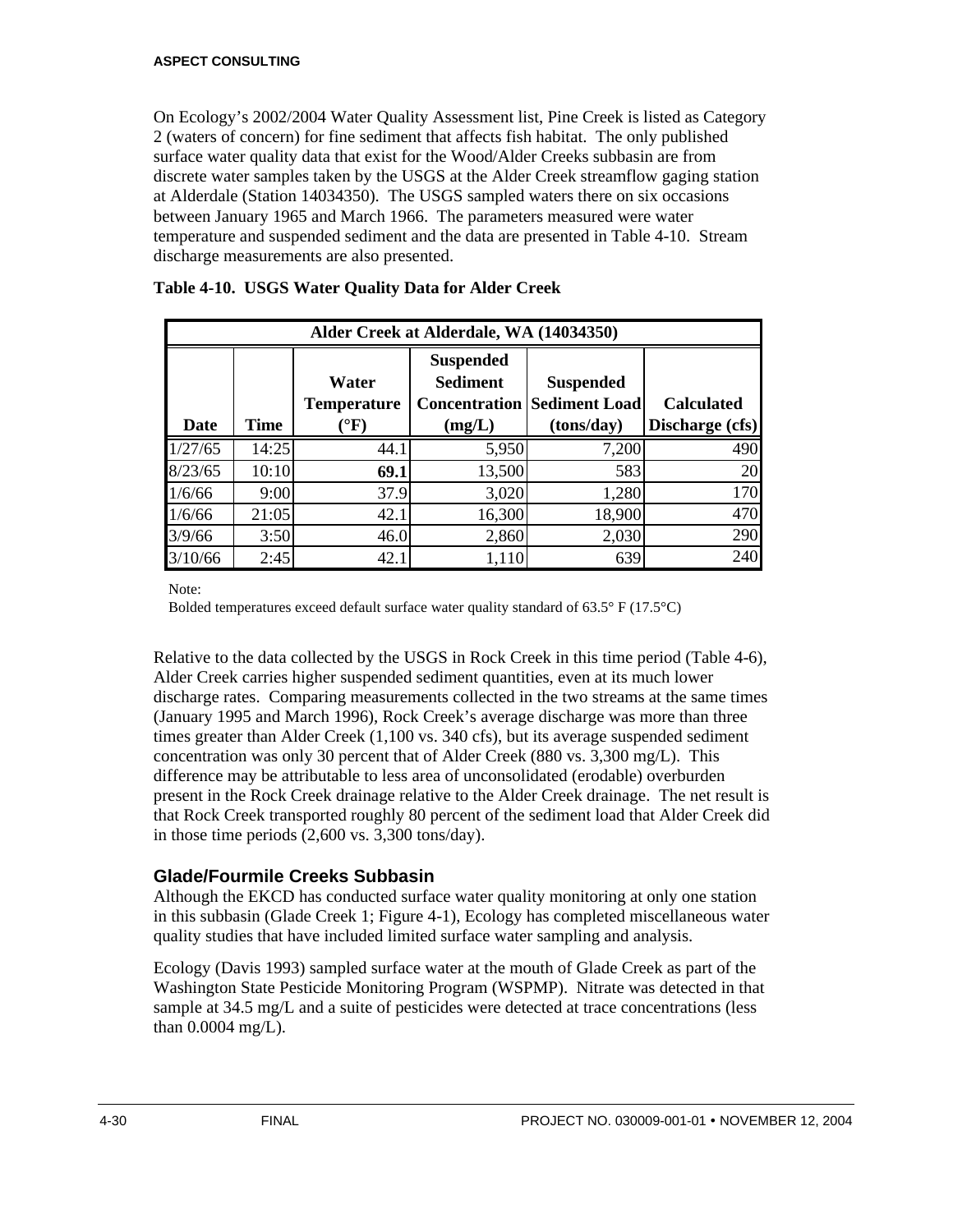On Ecology's 2002/2004 Water Quality Assessment list, Pine Creek is listed as Category 2 (waters of concern) for fine sediment that affects fish habitat. The only published surface water quality data that exist for the Wood/Alder Creeks subbasin are from discrete water samples taken by the USGS at the Alder Creek streamflow gaging station at Alderdale (Station 14034350). The USGS sampled waters there on six occasions between January 1965 and March 1966. The parameters measured were water temperature and suspended sediment and the data are presented in Table 4-10. Stream discharge measurements are also presented.

|         |       |                                           | Alder Creek at Alderdale, WA (14034350)                               |                                                        |                                      |
|---------|-------|-------------------------------------------|-----------------------------------------------------------------------|--------------------------------------------------------|--------------------------------------|
| Date    | Time  | Water<br>Temperature<br>$^\circ \text{F}$ | <b>Suspended</b><br><b>Sediment</b><br><b>Concentration</b><br>(mg/L) | <b>Suspended</b><br><b>Sediment Load</b><br>(tons/day) | <b>Calculated</b><br>Discharge (cfs) |
| 1/27/65 | 14:25 | 44.1                                      | 5,950                                                                 | 7,200                                                  | 490                                  |
| 8/23/65 | 10:10 | 69.1                                      | 13,500                                                                | 583                                                    | 20                                   |
| 1/6/66  | 9:00  | 37.9                                      | 3,020                                                                 | 1,280                                                  | 170                                  |
| 1/6/66  | 21:05 | 42.1                                      | 16,300                                                                | 18,900                                                 | 470                                  |
| 3/9/66  | 3:50  | 46.0                                      | 2,860                                                                 | 2,030                                                  | 290                                  |
| 3/10/66 | 2:45  | 42.1                                      | 1,110                                                                 | 639                                                    | 240                                  |

Note:

Bolded temperatures exceed default surface water quality standard of 63.5° F (17.5°C)

Relative to the data collected by the USGS in Rock Creek in this time period (Table 4-6), Alder Creek carries higher suspended sediment quantities, even at its much lower discharge rates. Comparing measurements collected in the two streams at the same times (January 1995 and March 1996), Rock Creek's average discharge was more than three times greater than Alder Creek (1,100 vs. 340 cfs), but its average suspended sediment concentration was only 30 percent that of Alder Creek (880 vs. 3,300 mg/L). This difference may be attributable to less area of unconsolidated (erodable) overburden present in the Rock Creek drainage relative to the Alder Creek drainage. The net result is that Rock Creek transported roughly 80 percent of the sediment load that Alder Creek did in those time periods (2,600 vs. 3,300 tons/day).

## **Glade/Fourmile Creeks Subbasin**

Although the EKCD has conducted surface water quality monitoring at only one station in this subbasin (Glade Creek 1; Figure 4-1), Ecology has completed miscellaneous water quality studies that have included limited surface water sampling and analysis.

Ecology (Davis 1993) sampled surface water at the mouth of Glade Creek as part of the Washington State Pesticide Monitoring Program (WSPMP). Nitrate was detected in that sample at 34.5 mg/L and a suite of pesticides were detected at trace concentrations (less than 0.0004 mg/L).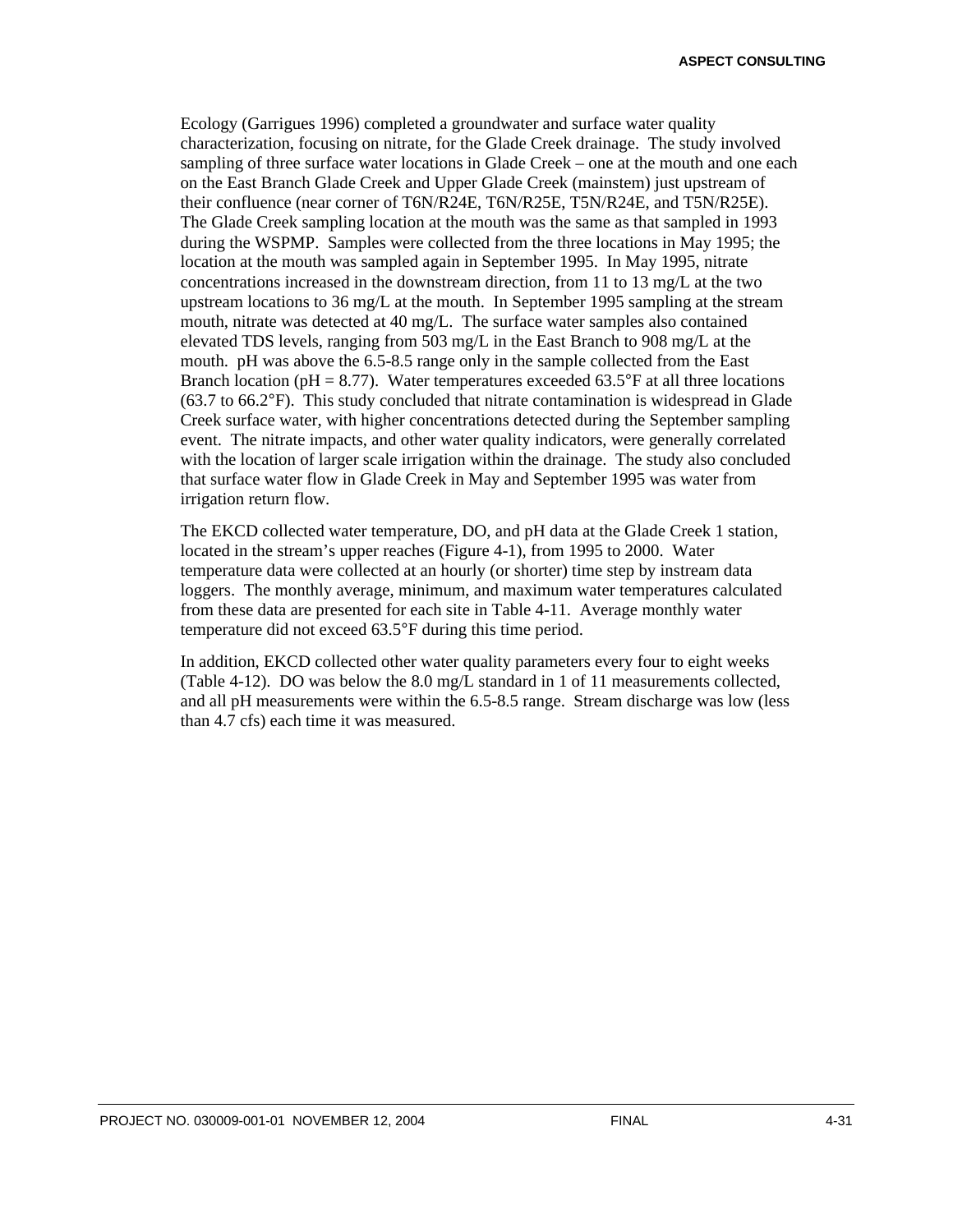Ecology (Garrigues 1996) completed a groundwater and surface water quality characterization, focusing on nitrate, for the Glade Creek drainage. The study involved sampling of three surface water locations in Glade Creek – one at the mouth and one each on the East Branch Glade Creek and Upper Glade Creek (mainstem) just upstream of their confluence (near corner of T6N/R24E, T6N/R25E, T5N/R24E, and T5N/R25E). The Glade Creek sampling location at the mouth was the same as that sampled in 1993 during the WSPMP. Samples were collected from the three locations in May 1995; the location at the mouth was sampled again in September 1995. In May 1995, nitrate concentrations increased in the downstream direction, from 11 to 13 mg/L at the two upstream locations to 36 mg/L at the mouth. In September 1995 sampling at the stream mouth, nitrate was detected at 40 mg/L. The surface water samples also contained elevated TDS levels, ranging from 503 mg/L in the East Branch to 908 mg/L at the mouth. pH was above the 6.5-8.5 range only in the sample collected from the East Branch location ( $pH = 8.77$ ). Water temperatures exceeded 63.5°F at all three locations (63.7 to 66.2°F). This study concluded that nitrate contamination is widespread in Glade Creek surface water, with higher concentrations detected during the September sampling event. The nitrate impacts, and other water quality indicators, were generally correlated with the location of larger scale irrigation within the drainage. The study also concluded that surface water flow in Glade Creek in May and September 1995 was water from irrigation return flow.

The EKCD collected water temperature, DO, and pH data at the Glade Creek 1 station, located in the stream's upper reaches (Figure 4-1), from 1995 to 2000. Water temperature data were collected at an hourly (or shorter) time step by instream data loggers. The monthly average, minimum, and maximum water temperatures calculated from these data are presented for each site in Table 4-11. Average monthly water temperature did not exceed 63.5°F during this time period.

In addition, EKCD collected other water quality parameters every four to eight weeks (Table 4-12). DO was below the 8.0 mg/L standard in 1 of 11 measurements collected, and all pH measurements were within the 6.5-8.5 range. Stream discharge was low (less than 4.7 cfs) each time it was measured.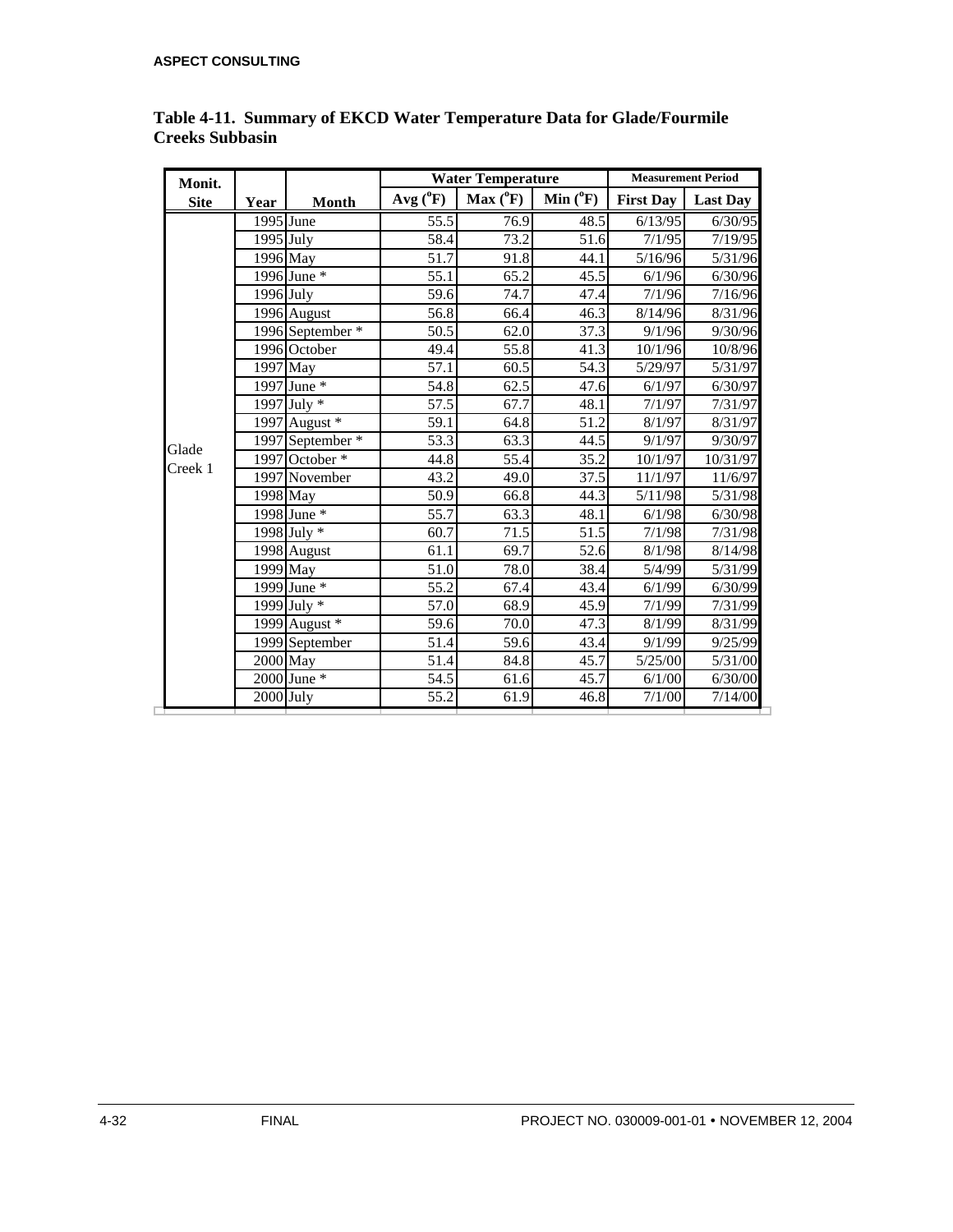| Monit.           |                         |                  |                   | <b>Water Temperature</b> | <b>Measurement Period</b> |                  |                 |
|------------------|-------------------------|------------------|-------------------|--------------------------|---------------------------|------------------|-----------------|
| <b>Site</b>      | Year                    | Month            | $Avg(^{0}F)$      | $Max(^0F)$               | Min $(^0F)$               | <b>First Day</b> | <b>Last Day</b> |
|                  | 1995 June               |                  | 55.5              | 76.9                     | 48.5                      | 6/13/95          | 6/30/95         |
|                  | $\overline{1}$ 995 July |                  | 58.4              | 73.2                     | 51.6                      | 7/1/95           | 7/19/95         |
|                  | 1996 May                |                  | 51.7              | 91.8                     | 44.1                      | 5/16/96          | 5/31/96         |
|                  |                         | 1996 June *      | 55.1              | 65.2                     | 45.5                      | 6/1/96           | 6/30/96         |
|                  | $1996$ July             |                  | 59.6              | 74.7                     | 47.4                      | 7/1/96           | 7/16/96         |
|                  |                         | 1996 August      | 56.8              | 66.4                     | 46.3                      | 8/14/96          | 8/31/96         |
|                  |                         | 1996 September * | 50.5              | 62.0                     | 37.3                      | 9/1/96           | 9/30/96         |
|                  |                         | 1996 October     | 49.4              | 55.8                     | 41.3                      | 10/1/96          | 10/8/96         |
|                  | 1997 May                |                  | 57.1              | 60.5                     | 54.3                      | 5/29/97          | 5/31/97         |
| Glade<br>Creek 1 |                         | 1997 June *      | 54.8              | 62.5                     | 47.6                      | 6/1/97           | 6/30/97         |
|                  |                         | 1997 July *      | 57.5              | 67.7                     | 48.1                      | 7/1/97           | 7/31/97         |
|                  |                         | 1997 August $*$  | 59.1              | 64.8                     | 51.2                      | 8/1/97           | 8/31/97         |
|                  |                         | 1997 September * | 53.3              | 63.3                     | 44.5                      | 9/1/97           | 9/30/97         |
|                  |                         | 1997 October $*$ | 44.8              | 55.4                     | 35.2                      | 10/1/97          | 10/31/97        |
|                  |                         | 1997 November    | $\overline{43.2}$ | 49.0                     | 37.5                      | 11/1/97          | 11/6/97         |
|                  |                         | 1998 May         | 50.9              | 66.8                     | 44.3                      | 5/11/98          | 5/31/98         |
|                  |                         | 1998 June *      | 55.7              | 63.3                     | 48.1                      | 6/1/98           | 6/30/98         |
|                  |                         | 1998 July $*$    | 60.7              | 71.5                     | 51.5                      | 7/1/98           | 7/31/98         |
|                  |                         | 1998 August      | 61.1              | 69.7                     | 52.6                      | 8/1/98           | 8/14/98         |
|                  |                         | 1999 May         | 51.0              | 78.0                     | 38.4                      | 5/4/99           | 5/31/99         |
|                  |                         | 1999 June *      | 55.2              | 67.4                     | 43.4                      | 6/1/99           | 6/30/99         |
|                  |                         | 1999 July *      | 57.0              | 68.9                     | 45.9                      | 7/1/99           | 7/31/99         |
|                  |                         | 1999 August *    | 59.6              | 70.0                     | 47.3                      | 8/1/99           | 8/31/99         |
|                  |                         | 1999 September   | 51.4              | 59.6                     | 43.4                      | 9/1/99           | 9/25/99         |
|                  | 2000 May                |                  | 51.4              | 84.8                     | 45.7                      | 5/25/00          | 5/31/00         |
|                  |                         | $2000$ June $*$  | 54.5              | 61.6                     | 45.7                      | 6/1/00           | 6/30/00         |
|                  | $2000$ July             |                  | 55.2              | 61.9                     | 46.8                      | 7/1/00           | 7/14/00         |

#### **Table 4-11. Summary of EKCD Water Temperature Data for Glade/Fourmile Creeks Subbasin**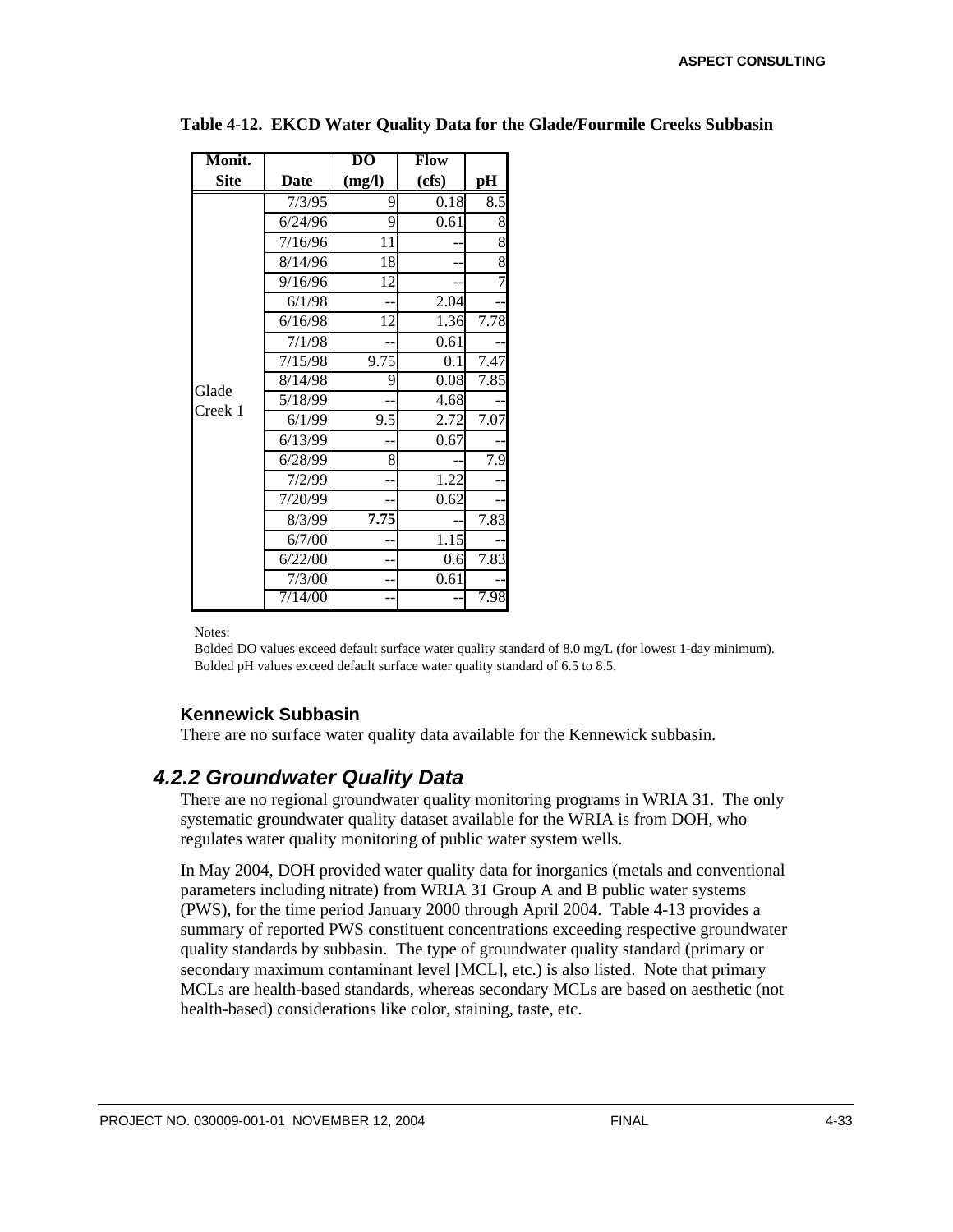| Monit.      |             | DO     | <b>Flow</b> |      |
|-------------|-------------|--------|-------------|------|
| <b>Site</b> | <b>Date</b> | (mg/l) | (cfs)       | pH   |
|             | 7/3/95      | 9      | 0.18        | 8.5  |
|             | 6/24/96     | 9      | 0.61        | 8    |
|             | 7/16/96     | 11     |             | 8    |
|             | 8/14/96     | 18     |             | 8    |
|             | 9/16/96     | 12     |             | 7    |
|             | 6/1/98      |        | 2.04        |      |
|             | 6/16/98     | 12     | 1.36        | 7.78 |
|             | 7/1/98      |        | 0.61        |      |
|             | 7/15/98     | 9.75   | 0.1         | 7.47 |
| Glade       | 8/14/98     | 9      | 0.08        | 7.85 |
| Creek 1     | 5/18/99     |        | 4.68        |      |
|             | 6/1/99      | 9.5    | 2.72        | 7.07 |
|             | 6/13/99     |        | 0.67        |      |
|             | 6/28/99     | 8      |             | 7.9  |
|             | 7/2/99      |        | 1.22        |      |
|             | 7/20/99     |        | 0.62        |      |
|             | 8/3/99      | 7.75   |             | 7.83 |
|             | 6/7/00      |        | 1.15        |      |
|             | 6/22/00     |        | 0.6         | 7.83 |
|             | 7/3/00      |        | 0.61        |      |
|             | 7/14/00     |        |             | 7.98 |

**Table 4-12. EKCD Water Quality Data for the Glade/Fourmile Creeks Subbasin**

Notes:

Bolded DO values exceed default surface water quality standard of 8.0 mg/L (for lowest 1-day minimum). Bolded pH values exceed default surface water quality standard of 6.5 to 8.5.

#### **Kennewick Subbasin**

There are no surface water quality data available for the Kennewick subbasin.

## *4.2.2 Groundwater Quality Data*

There are no regional groundwater quality monitoring programs in WRIA 31. The only systematic groundwater quality dataset available for the WRIA is from DOH, who regulates water quality monitoring of public water system wells.

In May 2004, DOH provided water quality data for inorganics (metals and conventional parameters including nitrate) from WRIA 31 Group A and B public water systems (PWS), for the time period January 2000 through April 2004. Table 4-13 provides a summary of reported PWS constituent concentrations exceeding respective groundwater quality standards by subbasin. The type of groundwater quality standard (primary or secondary maximum contaminant level [MCL], etc.) is also listed. Note that primary MCLs are health-based standards, whereas secondary MCLs are based on aesthetic (not health-based) considerations like color, staining, taste, etc.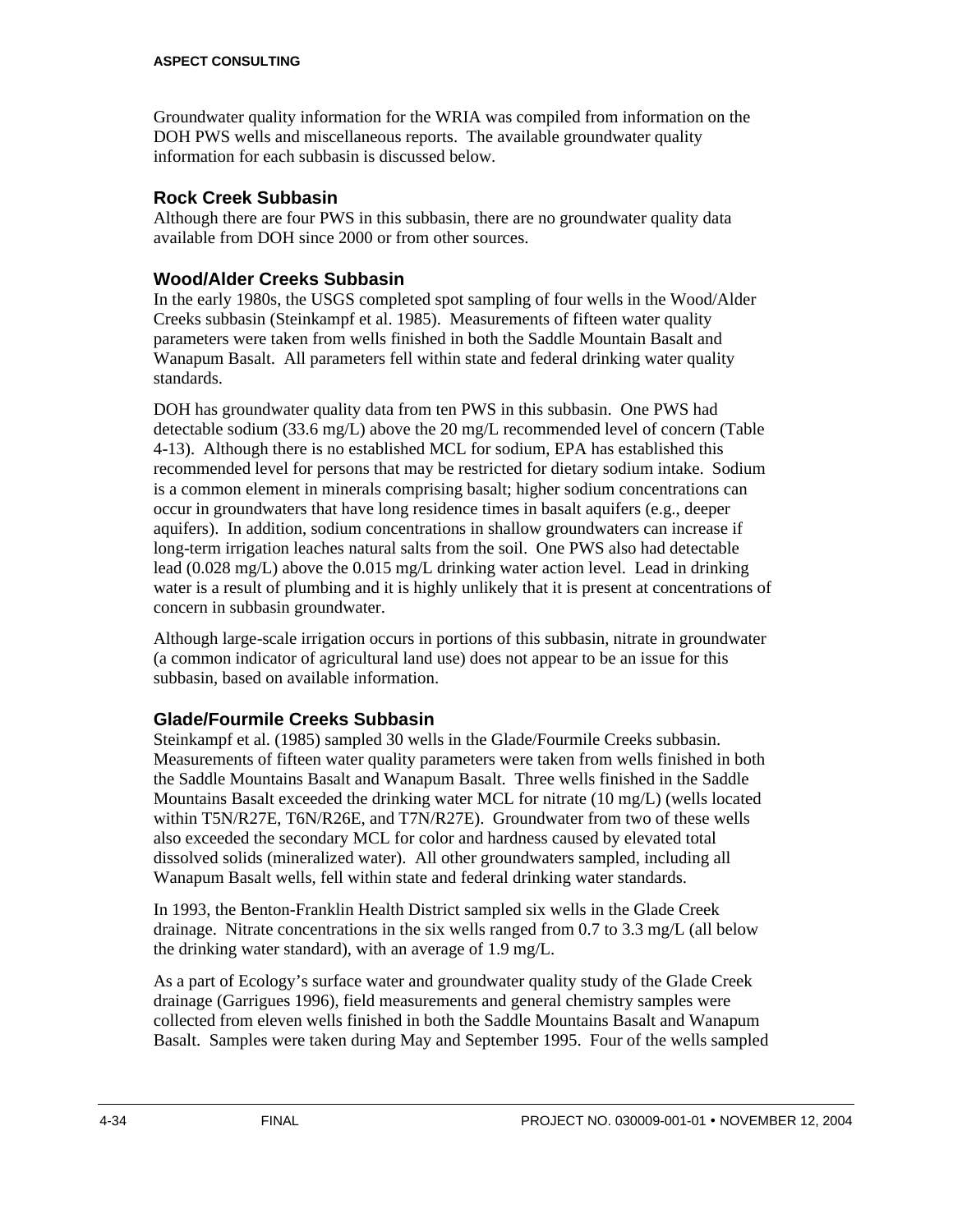Groundwater quality information for the WRIA was compiled from information on the DOH PWS wells and miscellaneous reports. The available groundwater quality information for each subbasin is discussed below.

### **Rock Creek Subbasin**

Although there are four PWS in this subbasin, there are no groundwater quality data available from DOH since 2000 or from other sources.

## **Wood/Alder Creeks Subbasin**

In the early 1980s, the USGS completed spot sampling of four wells in the Wood/Alder Creeks subbasin (Steinkampf et al. 1985). Measurements of fifteen water quality parameters were taken from wells finished in both the Saddle Mountain Basalt and Wanapum Basalt. All parameters fell within state and federal drinking water quality standards.

DOH has groundwater quality data from ten PWS in this subbasin. One PWS had detectable sodium (33.6 mg/L) above the 20 mg/L recommended level of concern (Table 4-13). Although there is no established MCL for sodium, EPA has established this recommended level for persons that may be restricted for dietary sodium intake. Sodium is a common element in minerals comprising basalt; higher sodium concentrations can occur in groundwaters that have long residence times in basalt aquifers (e.g., deeper aquifers). In addition, sodium concentrations in shallow groundwaters can increase if long-term irrigation leaches natural salts from the soil. One PWS also had detectable lead (0.028 mg/L) above the 0.015 mg/L drinking water action level. Lead in drinking water is a result of plumbing and it is highly unlikely that it is present at concentrations of concern in subbasin groundwater.

Although large-scale irrigation occurs in portions of this subbasin, nitrate in groundwater (a common indicator of agricultural land use) does not appear to be an issue for this subbasin, based on available information.

## **Glade/Fourmile Creeks Subbasin**

Steinkampf et al. (1985) sampled 30 wells in the Glade/Fourmile Creeks subbasin. Measurements of fifteen water quality parameters were taken from wells finished in both the Saddle Mountains Basalt and Wanapum Basalt. Three wells finished in the Saddle Mountains Basalt exceeded the drinking water MCL for nitrate (10 mg/L) (wells located within T5N/R27E, T6N/R26E, and T7N/R27E). Groundwater from two of these wells also exceeded the secondary MCL for color and hardness caused by elevated total dissolved solids (mineralized water). All other groundwaters sampled, including all Wanapum Basalt wells, fell within state and federal drinking water standards.

In 1993, the Benton-Franklin Health District sampled six wells in the Glade Creek drainage. Nitrate concentrations in the six wells ranged from 0.7 to 3.3 mg/L (all below the drinking water standard), with an average of 1.9 mg/L.

As a part of Ecology's surface water and groundwater quality study of the Glade Creek drainage (Garrigues 1996), field measurements and general chemistry samples were collected from eleven wells finished in both the Saddle Mountains Basalt and Wanapum Basalt. Samples were taken during May and September 1995. Four of the wells sampled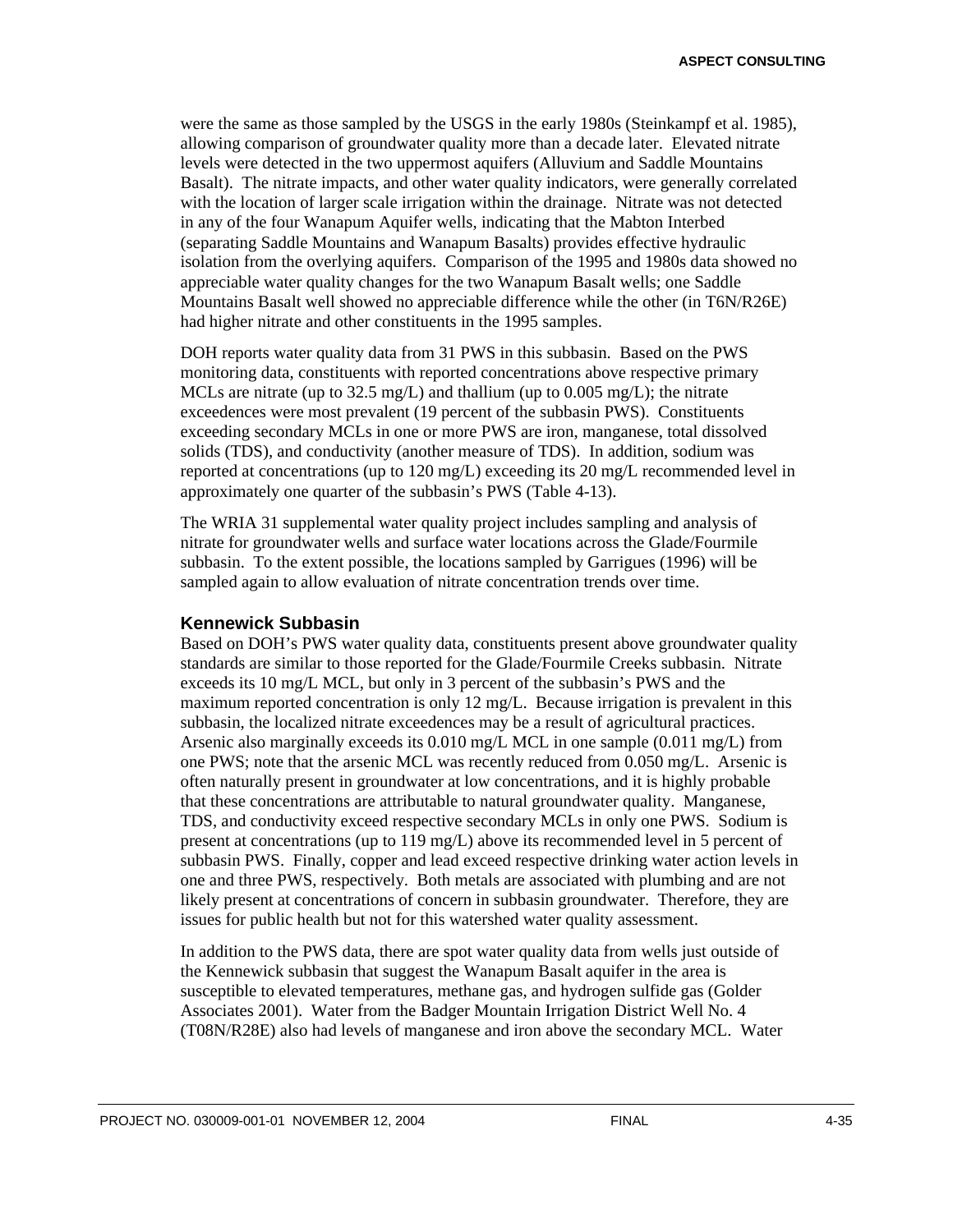were the same as those sampled by the USGS in the early 1980s (Steinkampf et al. 1985), allowing comparison of groundwater quality more than a decade later. Elevated nitrate levels were detected in the two uppermost aquifers (Alluvium and Saddle Mountains Basalt). The nitrate impacts, and other water quality indicators, were generally correlated with the location of larger scale irrigation within the drainage. Nitrate was not detected in any of the four Wanapum Aquifer wells, indicating that the Mabton Interbed (separating Saddle Mountains and Wanapum Basalts) provides effective hydraulic isolation from the overlying aquifers. Comparison of the 1995 and 1980s data showed no appreciable water quality changes for the two Wanapum Basalt wells; one Saddle Mountains Basalt well showed no appreciable difference while the other (in T6N/R26E) had higher nitrate and other constituents in the 1995 samples.

DOH reports water quality data from 31 PWS in this subbasin. Based on the PWS monitoring data, constituents with reported concentrations above respective primary MCLs are nitrate (up to 32.5 mg/L) and thallium (up to 0.005 mg/L); the nitrate exceedences were most prevalent (19 percent of the subbasin PWS). Constituents exceeding secondary MCLs in one or more PWS are iron, manganese, total dissolved solids (TDS), and conductivity (another measure of TDS). In addition, sodium was reported at concentrations (up to 120 mg/L) exceeding its 20 mg/L recommended level in approximately one quarter of the subbasin's PWS (Table 4-13).

The WRIA 31 supplemental water quality project includes sampling and analysis of nitrate for groundwater wells and surface water locations across the Glade/Fourmile subbasin. To the extent possible, the locations sampled by Garrigues (1996) will be sampled again to allow evaluation of nitrate concentration trends over time.

#### **Kennewick Subbasin**

Based on DOH's PWS water quality data, constituents present above groundwater quality standards are similar to those reported for the Glade/Fourmile Creeks subbasin. Nitrate exceeds its 10 mg/L MCL, but only in 3 percent of the subbasin's PWS and the maximum reported concentration is only 12 mg/L. Because irrigation is prevalent in this subbasin, the localized nitrate exceedences may be a result of agricultural practices. Arsenic also marginally exceeds its 0.010 mg/L MCL in one sample (0.011 mg/L) from one PWS; note that the arsenic MCL was recently reduced from 0.050 mg/L. Arsenic is often naturally present in groundwater at low concentrations, and it is highly probable that these concentrations are attributable to natural groundwater quality. Manganese, TDS, and conductivity exceed respective secondary MCLs in only one PWS. Sodium is present at concentrations (up to 119 mg/L) above its recommended level in 5 percent of subbasin PWS. Finally, copper and lead exceed respective drinking water action levels in one and three PWS, respectively. Both metals are associated with plumbing and are not likely present at concentrations of concern in subbasin groundwater. Therefore, they are issues for public health but not for this watershed water quality assessment.

In addition to the PWS data, there are spot water quality data from wells just outside of the Kennewick subbasin that suggest the Wanapum Basalt aquifer in the area is susceptible to elevated temperatures, methane gas, and hydrogen sulfide gas (Golder Associates 2001). Water from the Badger Mountain Irrigation District Well No. 4 (T08N/R28E) also had levels of manganese and iron above the secondary MCL. Water